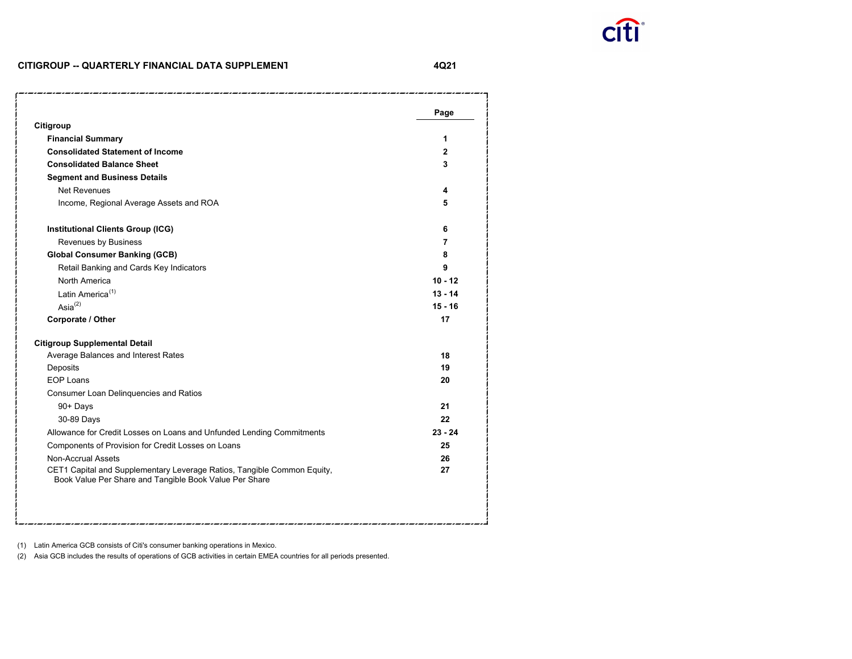

### **CITIGROUP -- QUARTERLY FINANCIAL DATA SUPPLEMEN T**

**4Q21**

| Citigroup                                                                                                                         | Page      |
|-----------------------------------------------------------------------------------------------------------------------------------|-----------|
| <b>Financial Summary</b>                                                                                                          | 1         |
| <b>Consolidated Statement of Income</b>                                                                                           | 2         |
| <b>Consolidated Balance Sheet</b>                                                                                                 | 3         |
| <b>Segment and Business Details</b>                                                                                               |           |
| <b>Net Revenues</b>                                                                                                               | 4         |
|                                                                                                                                   |           |
| Income, Regional Average Assets and ROA                                                                                           | 5         |
| <b>Institutional Clients Group (ICG)</b>                                                                                          | 6         |
| Revenues by Business                                                                                                              | 7         |
| <b>Global Consumer Banking (GCB)</b>                                                                                              | 8         |
| Retail Banking and Cards Key Indicators                                                                                           | 9         |
| North America                                                                                                                     | $10 - 12$ |
| Latin America <sup>(1)</sup>                                                                                                      | $13 - 14$ |
| Asi $a^{(2)}$                                                                                                                     | $15 - 16$ |
| Corporate / Other                                                                                                                 | 17        |
| <b>Citigroup Supplemental Detail</b>                                                                                              |           |
| Average Balances and Interest Rates                                                                                               | 18        |
| Deposits                                                                                                                          | 19        |
| <b>EOP Loans</b>                                                                                                                  | 20        |
| Consumer Loan Delinquencies and Ratios                                                                                            |           |
| 90+ Days                                                                                                                          | 21        |
| 30-89 Days                                                                                                                        | 22        |
| Allowance for Credit Losses on Loans and Unfunded Lending Commitments                                                             | $23 - 24$ |
| Components of Provision for Credit Losses on Loans                                                                                | 25        |
| Non-Accrual Assets                                                                                                                | 26        |
| CET1 Capital and Supplementary Leverage Ratios, Tangible Common Equity,<br>Book Value Per Share and Tangible Book Value Per Share | 27        |
|                                                                                                                                   |           |

(1) Latin America GCB consists of Citi's consumer banking operations in Mexico.

(2) Asia GCB includes the results of operations of GCB activities in certain EMEA countries for all periods presented.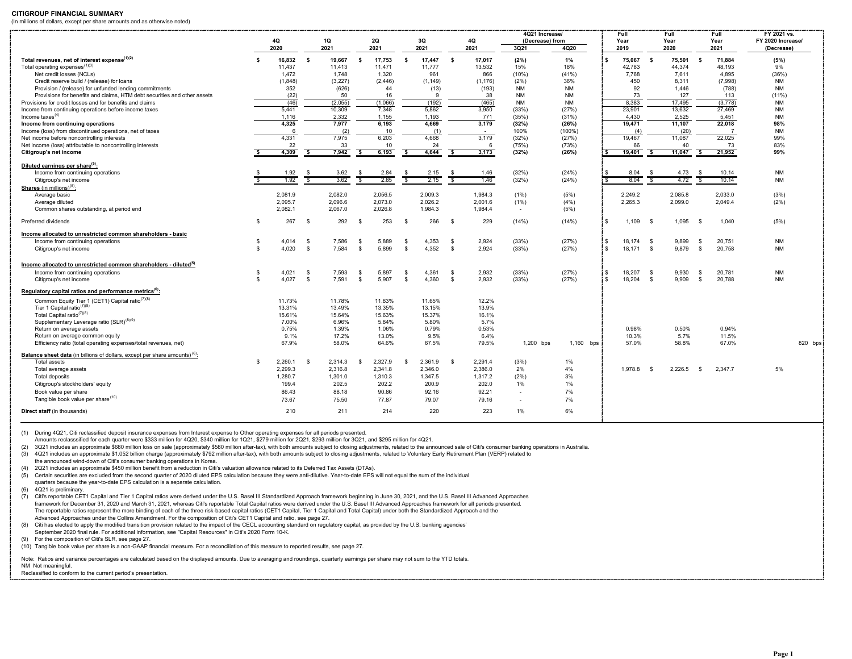#### **CITIGROUP FINANCIAL SUMMARY**

(In millions of dollars, except per share amounts and as otherwise noted)

|                                                                                               |                    | 4Q            |          | 1Q                |      | <b>2Q</b>        |              | 3Q             |                         | 4Q             | 4Q21 Increase/<br>(Decrease) from |                        |      | Full<br>Year    |      | Full<br>Year     |          | Full<br>Year      | FY 2021 vs.<br>FY 2020 Increase/ |         |
|-----------------------------------------------------------------------------------------------|--------------------|---------------|----------|-------------------|------|------------------|--------------|----------------|-------------------------|----------------|-----------------------------------|------------------------|------|-----------------|------|------------------|----------|-------------------|----------------------------------|---------|
|                                                                                               |                    | 2020          |          | 2021              |      | 2021             |              | 2021           |                         | 2021           | 3Q21                              | 4Q20                   |      | 2019            |      | 2020             |          | 2021              | (Decrease)                       |         |
| Total revenues, net of interest expense <sup>(1)(2)</sup>                                     |                    | 16,832        | - S      | 19.667            |      | 17.753           | -S.          | 17,447         | - S                     | 17,017         | (2%)                              | 1%                     | ۱s   | 75,067          | -S   | 75,501           | - \$     | 71.884            | (5%)                             |         |
| Total operating expenses <sup>(1)(3)</sup>                                                    |                    | 11,437        |          | 11,413            |      | 11,471           |              | 11,777         |                         | 13,532         | 15%                               | 18%                    |      | 42,783          |      | 44,374           |          | 48.193            | 9%                               |         |
| Net credit losses (NCLs)                                                                      |                    | 1,472         |          | 1.748             |      | 1,320            |              | 961            |                         | 866            | (10%)                             | (41%)                  |      | 7.768           |      | 7.611            |          | 4.895             | (36%)                            |         |
| Credit reserve build / (release) for loans                                                    |                    | (1,848)       |          | (3,227)           |      | (2, 446)         |              | (1, 149)       |                         | (1, 176)       | (2%)                              | 36%                    |      | 450             |      | 8,311            |          | (7,998)           | <b>NM</b>                        |         |
| Provision / (release) for unfunded lending commitments                                        |                    | 352           |          | (626)             |      | 44               |              | (13)           |                         | (193)          | <b>NM</b>                         | <b>NM</b>              |      | 92              |      | 1.446            |          | (788)             | <b>NM</b>                        |         |
| Provisions for benefits and claims. HTM debt securities and other assets                      |                    | (22)          |          | 50                |      | 16               |              | -9             |                         | 38             | <b>NM</b>                         | <b>NM</b><br><b>NM</b> |      | 73              |      | 127              |          | 113               | (11% )                           |         |
| Provisions for credit losses and for benefits and claims                                      |                    | (46)<br>5,441 |          | (2,055)<br>10,309 |      | (1,066)<br>7,348 |              | (192)<br>5,862 |                         | (465)<br>3,950 | <b>NM</b><br>(33%)                | (27%)                  |      | 8,383<br>23,901 |      | 17,495<br>13,632 |          | (3,778)<br>27,469 | <b>NM</b><br><b>NM</b>           |         |
| Income from continuing operations before income taxes<br>Income taxes $(4)$                   |                    | 1,116         |          | 2.332             |      | 1.155            |              | 1,193          |                         | 771            | (35%)                             | (31%)                  |      | 4.430           |      | 2.525            |          | 5.451             | <b>NM</b>                        |         |
| Income from continuing operations                                                             |                    | 4,325         |          | 7.977             |      | 6.193            |              | 4,669          |                         | 3,179          | (32%)                             | (26%)                  |      | 19,471          |      | 11,107           |          | 22,018            | 98%                              |         |
| Income (loss) from discontinued operations, net of taxes                                      |                    | 6             |          | (2)               |      | 10               |              | (1)            |                         | $\sim$         | 100%                              | $(100\%)$              |      | (4)             |      | (20)             |          | $\overline{7}$    | <b>NM</b>                        |         |
| Net income before noncontrolling interests                                                    |                    | 4,331         |          | 7.975             |      | 6,203            |              | 4,668          |                         | 3.179          | (32%)                             | (27%)                  |      | 19.467          |      | 11,087           |          | 22.025            | 99%                              |         |
| Net income (loss) attributable to noncontrolling interests                                    |                    | 22            |          | 33                |      | 10               |              | 24             |                         | -6             | (75%)                             | (73%)                  |      | 66              |      | 40               |          | 73                | 83%                              |         |
| Citigroup's net income                                                                        |                    | 4,309         | s.       | 7,942             | - \$ | 6,193            | -S           | 4,644          | s.                      | 3,173          | (32%)                             | (26%)                  |      | 19,401          | -S   | 11,047           | <b>S</b> | 21,952            | 99%                              |         |
|                                                                                               |                    |               |          |                   |      |                  |              |                |                         |                |                                   |                        |      |                 |      |                  |          |                   |                                  |         |
| Diluted earnings per share <sup>(5)</sup>                                                     |                    |               |          |                   |      |                  |              |                |                         |                |                                   |                        |      |                 |      |                  |          |                   |                                  |         |
| Income from continuing operations                                                             |                    | 1.92          | -S       | 3.62              |      | 2.84             |              | 2.15           |                         | 1.46           | (32%)                             | (24%)                  | i s  | 8.04            | - \$ | 4.73             | -96      | 10.14             | <b>NM</b>                        |         |
| Citigroup's net income                                                                        |                    | 1.92          | -S       | 3.62              |      | 2.85             |              | 2.15           | $\overline{\mathbf{S}}$ | 1.46           | (32%)                             | (24%)                  |      | 8.04            |      | 4.72             |          | 10.14             | <b>NM</b>                        |         |
| <b>Shares</b> (in millions) <sup>(5)</sup>                                                    |                    |               |          |                   |      |                  |              |                |                         |                |                                   |                        |      |                 |      |                  |          |                   |                                  |         |
| Average basic                                                                                 |                    | 2,081.9       |          | 2,082.0           |      | 2,056.5          |              | 2,009.3        |                         | 1,984.3        | $(1\%)$                           | (5%)                   |      | 2,249.2         |      | 2,085.8          |          | 2,033.0           | (3%)                             |         |
| Average diluted                                                                               |                    | 2.095.7       |          | 2,096.6           |      | 2,073.0          |              | 2,026.2        |                         | 2,001.6        | (1%)                              | (4%)<br>(5%)           |      | 2,265.3         |      | 2,099.0          |          | 2,049.4           | (2%)                             |         |
| Common shares outstanding, at period end                                                      |                    | 2,082.1       |          | 2,067.0           |      | 2,026.8          |              | 1,984.3        |                         | 1,984.4        | $\sim$                            |                        |      |                 |      |                  |          |                   |                                  |         |
| Preferred dividends                                                                           | - \$               | 267           | -S       | 292               | - \$ | 253              | -S           | 266            | - \$                    | 229            | (14% )                            | (14% )                 | l s  | 1.109           | - \$ | 1.095            | - S      | 1.040             | (5%)                             |         |
| Income allocated to unrestricted common shareholders - basic                                  |                    |               |          |                   |      |                  |              |                |                         |                |                                   |                        |      |                 |      |                  |          |                   |                                  |         |
| Income from continuing operations                                                             | -S                 | 4.014         | -S       | 7.586             | - \$ | 5.889            | -S           | 4.353          | - S                     | 2.924          | (33%)                             | (27%)                  | l s  | 18.174          | - \$ | 9.899            | -S       | 20.751            | <b>NM</b>                        |         |
| Citigroup's net income                                                                        | S.                 | 4,020         | \$       | 7.584             | -S   | 5,899            | $\mathbf{s}$ | 4,352          | \$                      | 2,924          | (33%)                             | (27%)                  | l s  | 18,171 \$       |      | 9,879            | -S       | 20,758            | <b>NM</b>                        |         |
| Income allocated to unrestricted common shareholders - diluted <sup>5)</sup>                  |                    |               |          |                   |      |                  |              |                |                         |                |                                   |                        |      |                 |      |                  |          |                   |                                  |         |
| Income from continuing operations                                                             | -S                 | 4,021         | <b>S</b> | 7,593             | - \$ | 5,897            | -S           | 4,361          | - S                     | 2,932          | (33%)                             | (27%)                  | l \$ | 18,207          | - \$ | 9,930            | -S       | 20,781            | <b>NM</b>                        |         |
| Citigroup's net income                                                                        | $\mathbf{\hat{z}}$ | 4.027         | -S       | 7.591             | -S   | 5.907            | -S           | 4,360          | - \$                    | 2,932          | (33%)                             | (27%)                  | i s  | 18,204          | - \$ | 9.909            | -S       | 20,788            | <b>NM</b>                        |         |
| Regulatory capital ratios and performance metrics <sup>(6)</sup> :                            |                    |               |          |                   |      |                  |              |                |                         |                |                                   |                        |      |                 |      |                  |          |                   |                                  |         |
| Common Equity Tier 1 (CET1) Capital ratio <sup>(7)(8)</sup>                                   |                    | 11.73%        |          | 11.78%            |      | 11.83%           |              | 11.65%         |                         | 12.2%          |                                   |                        |      |                 |      |                  |          |                   |                                  |         |
| Tier 1 Capital ratio <sup>(7)(8)</sup>                                                        |                    | 13.31%        |          | 13.49%            |      | 13.35%           |              | 13.15%         |                         | 13.9%          |                                   |                        |      |                 |      |                  |          |                   |                                  |         |
| Total Capital ratio <sup>(7)(8)</sup>                                                         |                    | 15.61%        |          | 15.64%            |      | 15.63%           |              | 15.37%         |                         | 16.1%          |                                   |                        |      |                 |      |                  |          |                   |                                  |         |
| Supplementary Leverage ratio (SLR) <sup>(8)(9)</sup>                                          |                    | 7.00%         |          | 6.96%             |      | 5.84%            |              | 5.80%          |                         | 5.7%           |                                   |                        |      |                 |      |                  |          |                   |                                  |         |
| Return on average assets                                                                      |                    | 0.75%         |          | 1.39%             |      | 1.06%            |              | 0.79%          |                         | 0.53%          |                                   |                        |      | 0.98%           |      | 0.50%            |          | 0.94%             |                                  |         |
| Return on average common equity                                                               |                    | 9.1%          |          | 17.2%             |      | 13.0%            |              | 9.5%           |                         | 6.4%           |                                   |                        |      | 10.3%           |      | 5.7%             |          | 11.5%             |                                  |         |
| Efficiency ratio (total operating expenses/total revenues, net)                               |                    | 67.9%         |          | 58.0%             |      | 64.6%            |              | 67.5%          |                         | 79.5%          | 1,200 bps                         | 1,160 bps              |      | 57.0%           |      | 58.8%            |          | 67.0%             |                                  | 820 bps |
| <b>Balance sheet data</b> (in billions of dollars, except per share amounts) <sup>(6)</sup> . |                    |               |          |                   |      |                  |              |                |                         |                |                                   |                        |      |                 |      |                  |          |                   |                                  |         |
| <b>Total assets</b>                                                                           | $\mathbf{\hat{z}}$ | 2.260.1       | -S       | 2.314.3           | - 96 | 2.327.9          | -S.          | 2.361.9        | - \$                    | 2.291.4        | (3%)                              | 1%                     |      |                 |      |                  |          |                   |                                  |         |
| Total average assets                                                                          |                    | 2.299.3       |          | 2.316.8           |      | 2.341.8          |              | 2.346.0        |                         | 2.386.0        | 2%                                | 4%                     |      | 1.978.8         | - \$ | 2.226.5          | - S      | 2.347.7           | 5%                               |         |
| Total deposits                                                                                |                    | 1.280.7       |          | 1.301.0           |      | 1.310.3          |              | 1.347.5        |                         | 1.317.2        | (2%)                              | 3%                     |      |                 |      |                  |          |                   |                                  |         |
| Citigroup's stockholders' equity                                                              |                    | 199.4         |          | 202.5             |      | 202.2            |              | 200.9          |                         | 202.0          | 1%                                | 1%                     |      |                 |      |                  |          |                   |                                  |         |
| Book value per share                                                                          |                    | 86.43         |          | 88.18             |      | 90.86            |              | 92.16          |                         | 92.21          | $\overline{\phantom{a}}$          | 7%                     |      |                 |      |                  |          |                   |                                  |         |
| Tangible book value per share <sup>(10)</sup>                                                 |                    | 73.67         |          | 75.50             |      | 77.87            |              | 79.07          |                         | 79.16          | $\overline{\phantom{a}}$          | 7%                     |      |                 |      |                  |          |                   |                                  |         |
| Direct staff (in thousands)                                                                   |                    | 210           |          | 211               |      | 214              |              | 220            |                         | 223            | 1%                                | 6%                     |      |                 |      |                  |          |                   |                                  |         |

(1) During 4Q21, Citi reclassified deposit insurance expenses from Interest expense to Other operating expenses for all periods presented.

Amounts reclasssified for each quarter were \$333 million for 4Q20, \$340 million for 1Q21, \$279 million for 2Q21, \$293 million for 3Q21, and \$295 million for 4Q21.

(2) 3Q21 includes an approximate \$680 million loss on sale (approximately \$580 million after-tax), with both amounts subject to closing adjustments, related to the announced sale of Citi's consumer banking operations in Au

(3) 4Q21 includes an approximate \$1.052 billion charge (approximately \$792 million after-tax), with both amounts subject to closing adjustments, related to Voluntary Early Retirement Plan (VERP) related to the announced wind-down of Citi's consumer banking operations in Korea.

(4) 2Q21 includes an approximate \$450 million benefit from a reduction in Citi's valuation allowance related to its Deferred Tax Assets (DTAs).

- (5) Certain securities are excluded from the second quarter of 2020 diluted EPS calculation because they were anti-dilutive. Year-to-date EPS will not equal the sum of the individual
- quarters because the year-to-date EPS calculation is a separate calculation.

(6) 4Q21 is preliminary.

(7) Citi's reportable CET1 Capital and Tier 1 Capital ratios were derived under the U.S. Basel III Standardized Approach framework beginning in June 30, 2021, and the U.S. Basel III Advanced Approaches framework for December 31, 2020 and March 31, 2021, whereas Citi's reportable Total Capital ratios were derived under the U.S. Basel III Advanced Approaches framework for all periods presented. The reportable ratios represent the more binding of each of the three risk-based capital ratios (CET1 Capital, Tier 1 Capital and Total Capital) under both the Standardized Approach and the Advanced Approaches under the Collins Amendment. For the composition of Citi's CET1 Capital and ratio, see page 27.

(8) Citi has elected to apply the modified transition provision related to the impact of the CECL accounting standard on regulatory capital, as provided by the U.S. banking agencies' September 2020 final rule. For additional information, see "Capital Resources" in Citi's 2020 Form 10-K.

(9) For the composition of Citi's SLR, see page 27.

(10) Tangible book value per share is a non-GAAP financial measure. For a reconciliation of this measure to reported results, see page 27.

Note: Ratios and variance percentages are calculated based on the displayed amounts. Due to averaging and roundings, quarterly earnings per share may not sum to the YTD totals.

NM Not meaningful.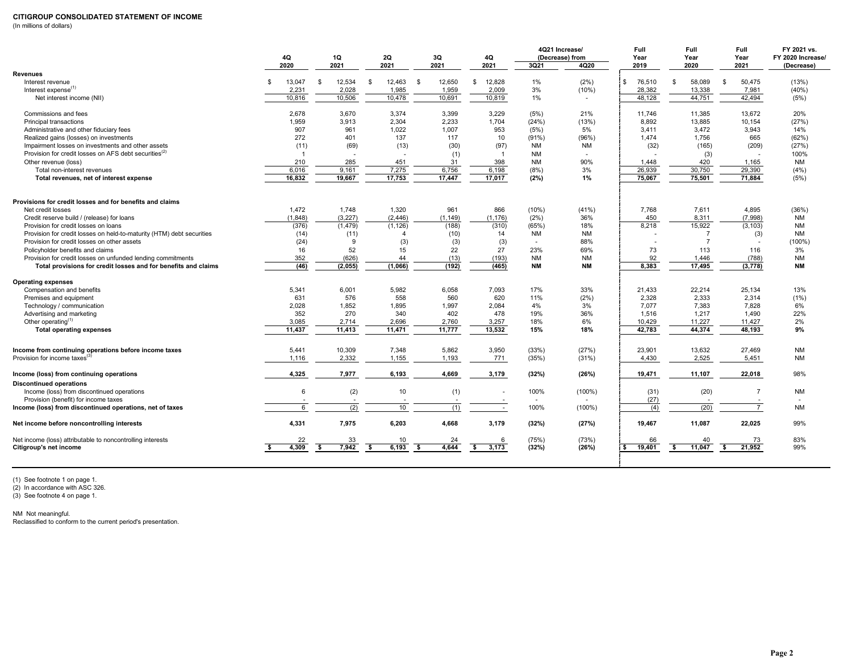### **CITIGROUP CONSOLIDATED STATEMENT OF INCOME**

(In millions of dollars)

|                                                                       | 4Q<br>2020   |                | 1Q<br>2021 |          |    | <b>2Q</b><br>2021 | 3Q<br>2021   | 4Q<br>2021 |                          | <b>3Q21</b>    | 4Q21 Increase/<br>(Decrease) from<br>4Q20 |              | Full<br>Year<br>2019 | Full<br>Year<br>2020 |              | Full<br>Year<br>2021 | FY 2021 vs.<br>FY 2020 Increase/<br>(Decrease) |
|-----------------------------------------------------------------------|--------------|----------------|------------|----------|----|-------------------|--------------|------------|--------------------------|----------------|-------------------------------------------|--------------|----------------------|----------------------|--------------|----------------------|------------------------------------------------|
| <b>Revenues</b>                                                       |              |                |            |          |    |                   |              |            |                          |                |                                           |              |                      |                      |              |                      |                                                |
| Interest revenue                                                      | $\mathbf{s}$ | 13.047         | -S         | 12,534   | \$ | 12,463            | \$<br>12.650 | s.         | 12,828                   | 1%             | (2%)                                      | $\mathbb{S}$ | 76,510               | \$<br>58,089         | $\mathbb{S}$ | 50,475               | (13%)                                          |
| Interest expense <sup>(1)</sup>                                       |              | 2,231          |            | 2,028    |    | 1,985             | 1,959        |            | 2,009                    | 3%             | (10%)                                     |              | 28,382               | 13,338               |              | 7,981                | (40%)                                          |
| Net interest income (NII)                                             |              | 10,816         |            | 10,506   |    | 10,478            | 10,691       |            | 10,819                   | 1%             |                                           |              | 48,128               | 44,751               |              | 42,494               | (5%)                                           |
|                                                                       |              |                |            |          |    |                   |              |            |                          |                |                                           |              |                      |                      |              |                      |                                                |
| Commissions and fees                                                  |              | 2,678          |            | 3,670    |    | 3,374             | 3,399        |            | 3,229                    | (5%)           | 21%                                       |              | 11,746               | 11,385               |              | 13,672               | 20%                                            |
| Principal transactions                                                |              | 1,959          |            | 3,913    |    | 2,304             | 2,233        |            | 1,704                    | (24%)          | (13%)                                     |              | 8,892                | 13,885               |              | 10,154               | (27%)                                          |
| Administrative and other fiduciary fees                               |              | 907            |            | 961      |    | 1,022             | 1,007        |            | 953                      | (5%)           | 5%                                        |              | 3,411                | 3,472                |              | 3,943                | 14%                                            |
| Realized gains (losses) on investments                                |              | 272            |            | 401      |    | 137               | 117          |            | 10                       | $(91\%)$       | (96%)                                     |              | 1,474                | 1,756                |              | 665                  | (62%)                                          |
| Impairment losses on investments and other assets                     |              | (11)           |            | (69)     |    | (13)              | (30)         |            | (97)                     | NM             | <b>NM</b>                                 |              | (32)                 | (165)                |              | (209)                | (27%)                                          |
| Provision for credit losses on AFS debt securities <sup>(2)</sup>     |              | $\overline{1}$ |            |          |    | ٠.                | (1)          |            | $\overline{1}$           | <b>NM</b>      |                                           |              |                      | (3)                  |              | $\sim$               | 100%                                           |
| Other revenue (loss)                                                  |              | 210            |            | 285      |    | 451               | 31           |            | 398                      | <b>NM</b>      | 90%                                       |              | 1,448                | 420                  |              | 1,165                | NM                                             |
| Total non-interest revenues                                           |              | 6,016          |            | 9,161    |    | 7,275             | 6,756        |            | 6,198                    | (8%)           | 3%                                        |              | 26,939               | 30,750               |              | 29,390               | (4% )                                          |
| Total revenues, net of interest expense                               |              | 16.832         |            | 19,667   |    | 17,753            | 17.447       |            | 17,017                   | (2%)           | 1%                                        |              | 75,067               | 75,501               |              | 71,884               | (5%)                                           |
|                                                                       |              |                |            |          |    |                   |              |            |                          |                |                                           |              |                      |                      |              |                      |                                                |
| Provisions for credit losses and for benefits and claims              |              |                |            |          |    |                   |              |            |                          |                |                                           |              |                      |                      |              |                      |                                                |
| Net credit losses                                                     |              | 1,472          |            | 1,748    |    | 1,320             | 961          |            | 866                      | (10%)          | (41%)                                     |              | 7,768                | 7,611                |              | 4,895                | (36%)                                          |
| Credit reserve build / (release) for loans                            |              | (1, 848)       |            | (3, 227) |    | (2, 446)          | (1, 149)     |            | (1, 176)                 | (2%)           | 36%                                       |              | 450                  | 8,311                |              | (7,998)              | NM                                             |
| Provision for credit losses on loans                                  |              | (376)          |            | (1, 479) |    | (1, 126)          | (188)        |            | (310)                    | (65%)          | 18%                                       |              | 8,218                | 15,922               |              | (3, 103)             | <b>NM</b>                                      |
| Provision for credit losses on held-to-maturity (HTM) debt securities |              | (14)           |            | (11)     |    |                   | (10)         |            | 14                       | <b>NM</b>      | <b>NM</b>                                 |              |                      | $\overline{7}$       |              | (3)                  | <b>NM</b>                                      |
| Provision for credit losses on other assets                           |              | (24)           |            | 9        |    | (3)               | (3)          |            | (3)                      | $\blacksquare$ | 88%                                       |              |                      | $\overline{7}$       |              |                      | $(100\%)$                                      |
| Policyholder benefits and claims                                      |              | 16             |            | 52       |    | 15                | 22           |            | 27                       | 23%            | 69%                                       |              | 73                   | 113                  |              | 116                  | 3%                                             |
| Provision for credit losses on unfunded lending commitments           |              | 352            |            | (626)    |    | 44                | (13)         |            | (193)                    | <b>NM</b>      | <b>NM</b>                                 |              | 92                   | 1,446                |              | (788)                | <b>NM</b>                                      |
| Total provisions for credit losses and for benefits and claims        |              | (46)           |            | (2,055)  |    | (1,066)           | (192)        |            | (465)                    | <b>NM</b>      | <b>NM</b>                                 |              | 8,383                | 17,495               |              | (3, 778)             | <b>NM</b>                                      |
| <b>Operating expenses</b>                                             |              |                |            |          |    |                   |              |            |                          |                |                                           |              |                      |                      |              |                      |                                                |
| Compensation and benefits                                             |              | 5,341          |            | 6,001    |    | 5,982             | 6,058        |            | 7,093                    | 17%            | 33%                                       |              | 21,433               | 22,214               |              | 25,134               | 13%                                            |
| Premises and equipment                                                |              | 631            |            | 576      |    | 558               | 560          |            | 620                      | 11%            | (2%)                                      |              | 2,328                | 2,333                |              | 2,314                | (1%)                                           |
| Technology / communication                                            |              | 2,028          |            | 1,852    |    | 1,895             | 1,997        |            | 2,084                    | 4%             | 3%                                        |              | 7,077                | 7,383                |              | 7,828                | 6%                                             |
| Advertising and marketing                                             |              | 352            |            | 270      |    | 340               | 402          |            | 478                      | 19%            | 36%                                       |              | 1,516                | 1,217                |              | 1,490                | 22%                                            |
| Other operating $(1)$                                                 |              | 3,085          |            | 2,714    |    | 2,696             | 2,760        |            | 3,257                    | 18%            | 6%                                        |              | 10,429               | 11,227               |              | 11,427               | 2%                                             |
| <b>Total operating expenses</b>                                       |              | 11,437         |            | 11,413   |    | 11,471            | 11,777       |            | 13,532                   | 15%            | 18%                                       |              | 42,783               | 44,374               |              | 48,193               | 9%                                             |
|                                                                       |              |                |            |          |    |                   |              |            |                          |                |                                           |              |                      |                      |              |                      |                                                |
| Income from continuing operations before income taxes                 |              | 5,441          |            | 10,309   |    | 7,348             | 5,862        |            | 3,950                    | (33%)          | (27%)                                     |              | 23,901               | 13,632               |              | 27,469               | NM                                             |
| Provision for income taxes <sup>(3)</sup>                             |              | 1,116          |            | 2,332    |    | 1,155             | 1,193        |            | 771                      | (35%)          | (31%)                                     |              | 4,430                | 2,525                |              | 5,451                | NM                                             |
|                                                                       |              |                |            |          |    |                   |              |            |                          |                |                                           |              |                      |                      |              |                      |                                                |
| Income (loss) from continuing operations                              |              | 4,325          |            | 7,977    |    | 6,193             | 4,669        |            | 3,179                    | (32%)          | (26%)                                     |              | 19,471               | 11,107               |              | 22,018               | 98%                                            |
| <b>Discontinued operations</b>                                        |              |                |            |          |    |                   |              |            |                          |                |                                           |              |                      |                      |              |                      |                                                |
| Income (loss) from discontinued operations                            |              | 6              |            | (2)      |    | 10                | (1)          |            | $\overline{\phantom{a}}$ | 100%           | $(100\%)$                                 |              | (31)                 | (20)                 |              | $\overline{7}$       | <b>NM</b>                                      |
| Provision (benefit) for income taxes                                  |              |                |            |          |    |                   |              |            |                          |                |                                           |              | (27)                 |                      |              |                      |                                                |
| Income (loss) from discontinued operations, net of taxes              |              | 6              |            | (2)      |    | 10                | (1)          |            | $\overline{\phantom{a}}$ | 100%           | $(100\%)$                                 |              | (4)                  | (20)                 |              | $\overline{7}$       | <b>NM</b>                                      |
| Net income before noncontrolling interests                            |              | 4,331          |            | 7,975    |    | 6,203             | 4,668        |            | 3,179                    | (32%)          | (27%)                                     |              | 19,467               | 11,087               |              | 22,025               | 99%                                            |
| Net income (loss) attributable to noncontrolling interests            |              | 22             |            | 33       |    | 10                | 24           |            | 6                        | (75%)          | (73%)                                     |              | 66                   | 40                   |              | 73                   | 83%                                            |
| Citigroup's net income                                                | -S           | 4,309          | -S         | 7,942    | S. | 6,193             | \$<br>4,644  | - \$       | 3,173                    | (32%)          | (26%)                                     | s.           | 19,401               | \$<br>11,047         | s.           | 21,952               | 99%                                            |
|                                                                       |              |                |            |          |    |                   |              |            |                          |                |                                           |              |                      |                      |              |                      |                                                |

(1) See footnote 1 on page 1. (2) In accordance with ASC 326. (3) See footnote 4 on page 1.

NM Not meaningful. Reclassified to conform to the current period's presentation.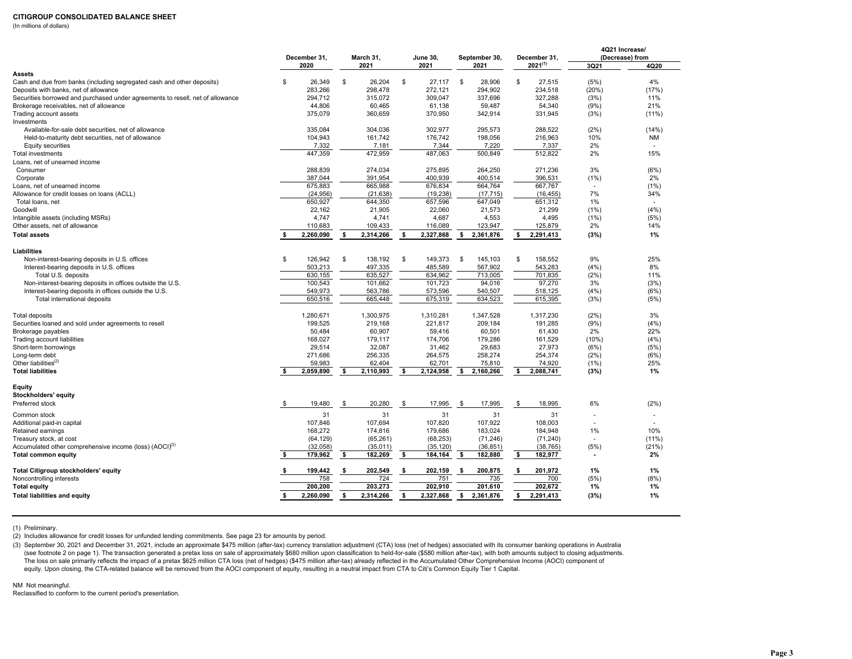### **CITIGROUP CONSOLIDATED BALANCE SHEET**

(In millions of dollars)

|                                                                                |     | December 31, |     | March 31, |      | <b>June 30,</b> |     | September 30, |    | December 31, |                          | 4Q21 Increase/<br>(Decrease) from |
|--------------------------------------------------------------------------------|-----|--------------|-----|-----------|------|-----------------|-----|---------------|----|--------------|--------------------------|-----------------------------------|
|                                                                                |     | 2020         |     | 2021      |      | 2021            |     | 2021          |    | $2021^{(1)}$ | 3Q21                     | 4Q20                              |
| Assets                                                                         |     |              |     |           |      |                 |     |               |    |              |                          |                                   |
| Cash and due from banks (including segregated cash and other deposits)         | \$  | 26,349       | \$  | 26,204    | \$   | 27,117          | \$  | 28,906        | \$ | 27,515       | (5%)                     | 4%                                |
| Deposits with banks, net of allowance                                          |     | 283,266      |     | 298,478   |      | 272,121         |     | 294,902       |    | 234,518      | (20%)                    | (17%)                             |
| Securities borrowed and purchased under agreements to resell, net of allowance |     | 294,712      |     | 315,072   |      | 309,047         |     | 337,696       |    | 327,288      | (3%)                     | 11%                               |
| Brokerage receivables, net of allowance                                        |     | 44,806       |     | 60,465    |      | 61,138          |     | 59,487        |    | 54,340       | (9%)                     | 21%                               |
| Trading account assets                                                         |     | 375,079      |     | 360,659   |      | 370,950         |     | 342,914       |    | 331,945      | (3%)                     | $(11\%)$                          |
| Investments                                                                    |     |              |     |           |      |                 |     |               |    |              |                          |                                   |
| Available-for-sale debt securities, net of allowance                           |     | 335.084      |     | 304.036   |      | 302.977         |     | 295.573       |    | 288.522      | (2%)                     | (14%)                             |
| Held-to-maturity debt securities, net of allowance                             |     | 104,943      |     | 161,742   |      | 176.742         |     | 198,056       |    | 216.963      | 10%                      | <b>NM</b>                         |
| Equity securities                                                              |     | 7,332        |     | 7,181     |      | 7,344           |     | 7,220         |    | 7,337        | 2%                       | ÷.                                |
| Total investments                                                              |     | 447,359      |     | 472,959   |      | 487,063         |     | 500,849       |    | 512,822      | 2%                       | 15%                               |
| Loans, net of unearned income                                                  |     |              |     |           |      |                 |     |               |    |              |                          |                                   |
| Consumer                                                                       |     | 288,839      |     | 274,034   |      | 275,895         |     | 264,250       |    | 271,236      | 3%                       | (6%)                              |
| Corporate                                                                      |     | 387,044      |     | 391,954   |      | 400,939         |     | 400,514       |    | 396,531      | (1%)                     | 2%                                |
| Loans, net of unearned income                                                  |     | 675,883      |     | 665,988   |      | 676,834         |     | 664,764       |    | 667,767      | $\sim$                   | (1%)                              |
| Allowance for credit losses on loans (ACLL)                                    |     | (24, 956)    |     | (21, 638) |      | (19, 238)       |     | (17, 715)     |    | (16, 455)    | 7%                       | 34%                               |
| Total loans, net                                                               |     | 650,927      |     | 644,350   |      | 657,596         |     | 647,049       |    | 651,312      | 1%                       |                                   |
| Goodwill                                                                       |     | 22,162       |     | 21,905    |      | 22,060          |     | 21,573        |    | 21,299       | (1%)                     | (4%)                              |
| Intangible assets (including MSRs)                                             |     | 4,747        |     | 4,741     |      | 4,687           |     | 4,553         |    | 4,495        | (1%)                     | (5%)                              |
| Other assets, net of allowance                                                 |     | 110,683      |     | 109,433   |      | 116,089         |     | 123,947       |    | 125,879      | 2%                       | 14%                               |
| <b>Total assets</b>                                                            | s.  | 2,260,090    | \$  | 2,314,266 | - \$ | 2,327,868       | \$  | 2,361,876     | \$ | 2,291,413    | (3%)                     | 1%                                |
|                                                                                |     |              |     |           |      |                 |     |               |    |              |                          |                                   |
| Liabilities                                                                    |     |              |     |           |      |                 |     |               |    |              |                          |                                   |
| Non-interest-bearing deposits in U.S. offices                                  | \$  | 126,942      | \$  | 138,192   | \$   | 149,373         | \$  | 145,103       | \$ | 158,552      | 9%                       | 25%                               |
| Interest-bearing deposits in U.S. offices                                      |     | 503,213      |     | 497,335   |      | 485,589         |     | 567,902       |    | 543,283      | (4%)                     | 8%                                |
| Total U.S. deposits                                                            |     | 630.155      |     | 635.527   |      | 634.962         |     | 713.005       |    | 701.835      | (2%)                     | 11%                               |
| Non-interest-bearing deposits in offices outside the U.S.                      |     | 100,543      |     | 101,662   |      | 101,723         |     | 94,016        |    | 97,270       | 3%                       | (3%)                              |
| Interest-bearing deposits in offices outside the U.S.                          |     | 549,973      |     | 563,786   |      | 573,596         |     | 540,507       |    | 518,125      | (4%)                     | (6%)                              |
| Total international deposits                                                   |     | 650,516      |     | 665,448   |      | 675,319         |     | 634,523       |    | 615,395      | (3%)                     | (5%)                              |
|                                                                                |     |              |     |           |      |                 |     |               |    |              |                          |                                   |
| <b>Total deposits</b>                                                          |     | 1,280,671    |     | 1,300,975 |      | 1,310,281       |     | 1,347,528     |    | 1,317,230    | (2%)                     | 3%                                |
| Securities loaned and sold under agreements to resell                          |     | 199,525      |     | 219,168   |      | 221,817         |     | 209,184       |    | 191,285      | (9%)                     | (4%)                              |
| Brokerage payables                                                             |     | 50,484       |     | 60,907    |      | 59,416          |     | 60,501        |    | 61,430       | 2%                       | 22%                               |
| Trading account liabilities                                                    |     | 168,027      |     | 179,117   |      | 174,706         |     | 179,286       |    | 161,529      | (10%)                    | (4% )                             |
| Short-term borrowings                                                          |     | 29,514       |     | 32,087    |      | 31,462          |     | 29,683        |    | 27,973       | (6%)                     | (5%)                              |
| Long-term debt                                                                 |     | 271,686      |     | 256,335   |      | 264,575         |     | 258,274       |    | 254,374      | (2%)                     | (6%)                              |
| Other liabilities $(2)$                                                        |     | 59,983       |     | 62,404    |      | 62,701          |     | 75,810        |    | 74,920       | (1%)                     | 25%                               |
| <b>Total liabilities</b>                                                       | s.  | 2,059,890    | \$  | 2,110,993 | - \$ | 2,124,958       | s.  | 2,160,266     | \$ | 2,088,741    | (3%)                     | 1%                                |
|                                                                                |     |              |     |           |      |                 |     |               |    |              |                          |                                   |
| Equity                                                                         |     |              |     |           |      |                 |     |               |    |              |                          |                                   |
| Stockholders' equity                                                           |     |              |     |           |      |                 |     |               |    |              |                          |                                   |
| Preferred stock                                                                | \$  | 19,480       | \$  | 20,280    | \$   | 17,995          | \$  | 17,995        | \$ | 18,995       | 6%                       | (2%)                              |
| Common stock                                                                   |     | 31           |     | 31        |      | 31              |     | 31            |    | 31           | ٠                        |                                   |
| Additional paid-in capital                                                     |     | 107.846      |     | 107.694   |      | 107.820         |     | 107,922       |    | 108,003      |                          |                                   |
| Retained earnings                                                              |     | 168,272      |     | 174,816   |      | 179,686         |     | 183,024       |    | 184,948      | 1%                       | 10%                               |
| Treasury stock, at cost                                                        |     | (64, 129)    |     | (65, 261) |      | (68, 253)       |     | (71, 246)     |    | (71, 240)    | $\blacksquare$           | $(11\%)$                          |
|                                                                                |     |              |     |           |      | (35, 120)       |     |               |    |              | (5%)                     |                                   |
| Accumulated other comprehensive income (loss) (AOCI) <sup>(3)</sup>            |     | (32,058)     |     | (35,011)  |      |                 |     | (36, 851)     |    | (38, 765)    |                          | (21%)                             |
| <b>Total common equity</b>                                                     | -\$ | 179,962      | -\$ | 182,269   | \$   | 184,164         | -\$ | 182,880       | \$ | 182,977      | $\overline{\phantom{a}}$ | 2%                                |
| Total Citigroup stockholders' equity                                           | \$  | 199,442      | \$  | 202,549   | -\$  | 202,159         | \$  | 200,875       | \$ | 201,972      | 1%                       | 1%                                |
| Noncontrolling interests                                                       |     | 758          |     | 724       |      | 751             |     | 735           |    | 700          | (5%)                     | (8%)                              |
| <b>Total equity</b>                                                            |     | 200,200      |     | 203,273   |      | 202,910         |     | 201,610       |    | 202,672      | 1%                       | 1%                                |
|                                                                                | s.  | 2,260,090    | \$  | 2,314,266 | - \$ | 2,327,868       | \$  | 2,361,876     | s. | 2,291,413    | (3%)                     | 1%                                |
| <b>Total liabilities and equity</b>                                            |     |              |     |           |      |                 |     |               |    |              |                          |                                   |

(1) Preliminary.

(2) Includes allowance for credit losses for unfunded lending commitments. See page 23 for amounts by period.

(3) September 30, 2021 and December 31, 2021, include an approximate \$475 million (after-tax) currency translation adjustment (CTA) loss (net of hedges) associated with its consumer banking operations in Australia (see footnote 2 on page 1). The transaction generated a pretax loss on sale of approximately \$680 million upon classification to held-for-sale (\$580 million after-tax), with both amounts subject to closing adjustments. The loss on sale primarily reflects the impact of a pretax \$625 million CTA loss (net of hedges) (\$475 million after-tax) already reflected in the Accumulated Other Comprehensive Income (AOCI) component of equity. Upon closing, the CTA-related balance will be removed from the AOCI component of equity, resulting in a neutral impact from CTA to Citi's Common Equity Tier 1 Capital.

NM Not meaningful.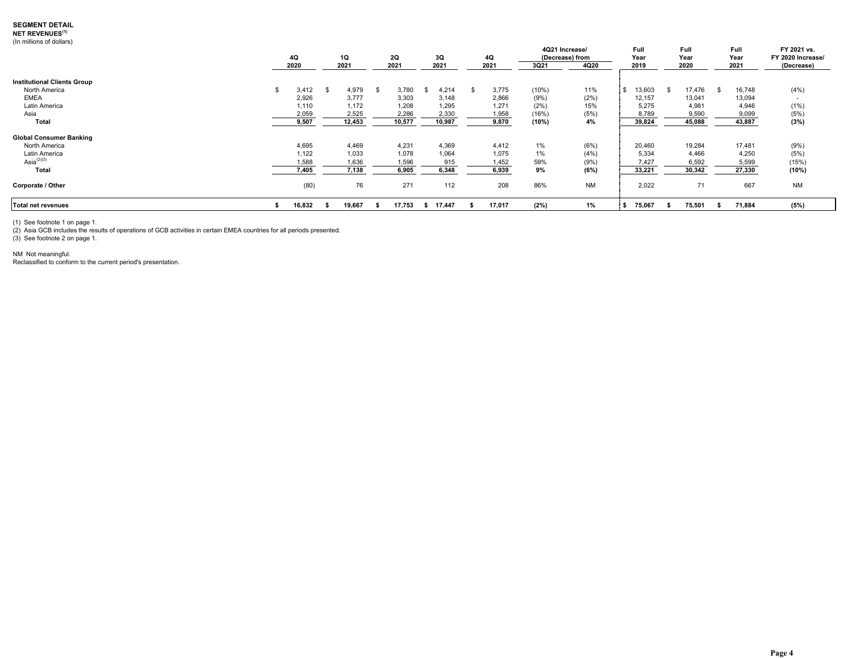### **SEGMENT DETAIL**

**NET REVENUES(1)**

(In millions of dollars)

|                                                     | 4Q<br>2020              | 1Q<br>2021              |      | 2Q<br>2021              | 3Q<br>2021              | 4Q<br>2021              | 4Q21 Increase/<br>3Q21 | (Decrease) from<br>4Q20 | Full<br>Year<br>2019     | Full<br>Year<br>2020     | Full<br>Year<br>2021     | FY 2021 vs.<br>FY 2020 Increase/<br>(Decrease) |
|-----------------------------------------------------|-------------------------|-------------------------|------|-------------------------|-------------------------|-------------------------|------------------------|-------------------------|--------------------------|--------------------------|--------------------------|------------------------------------------------|
| <b>Institutional Clients Group</b><br>North America | 3,412                   | 4,979                   | - 35 | 3.780                   | 4,214                   | 3,775                   | (10%)                  | 11%                     | 13,603                   | 17,476                   | 16,748                   | (4% )                                          |
| <b>EMEA</b><br>Latin America<br>Asia                | 2,926<br>1,110<br>2,059 | 3.777<br>1.172<br>2,525 |      | 3,303<br>1,208<br>2,286 | 3.148<br>1,295<br>2,330 | 2,866<br>1,271<br>1,958 | (9%)<br>(2%)<br>(16%   | (2%)<br>15%<br>(5%      | 12,157<br>5.275<br>8,789 | 13,041<br>4,981<br>9,590 | 13,094<br>4,946<br>9,099 | (1%)<br>(5%)                                   |
| Total                                               | 9,507                   | 12,453                  |      | 10,577                  | 10,987                  | 9,870                   | (10%)                  | 4%                      | 39,824                   | 45,088                   | 43,887                   | (3%)                                           |
| <b>Global Consumer Banking</b>                      |                         |                         |      |                         |                         |                         |                        |                         |                          |                          |                          |                                                |
| North America                                       | 4,695                   | 4,469                   |      | 4,231                   | 4,369                   | 4,412                   | 1%                     | (6%)                    | 20,460                   | 19,284                   | 17,481                   | (9%)                                           |
| Latin America<br>Asia $^{(2)(3)}$                   | 1,122<br>1,588          | 1,033<br>1,636          |      | 1,078<br>1,596          | 1,064<br>915            | 1,075<br>1,452          | 1%<br>59%              | (4% )<br>(9%            | 5,334<br>7,427           | 4,466<br>6,592           | 4,250<br>5,599           | (5%)<br>(15%)                                  |
| Total                                               | 7,405                   | 7.138                   |      | 6.905                   | 6,348                   | 6,939                   | 9%                     | (6%)                    | 33,221                   | 30,342                   | 27,330                   | (10%)                                          |
| Corporate / Other                                   | (80)                    | 76                      |      | 271                     | 112                     | 208                     | 86%                    | <b>NM</b>               | 2,022                    | 71                       | 667                      | <b>NM</b>                                      |
| Total net revenues                                  | 16,832                  | 19,667                  |      | 17,753                  | 17,447<br>- 55          | 17,017                  | (2%)                   | 1%                      | 75,067                   | 75,501                   | 71,884                   | (5%)                                           |

(1) See footnote 1 on page 1.<br>(2) Asia GCB includes the results of operations of GCB activities in certain EMEA countries for all periods presented.<br>(3) See footnote 2 on page 1.

NM Not meaningful.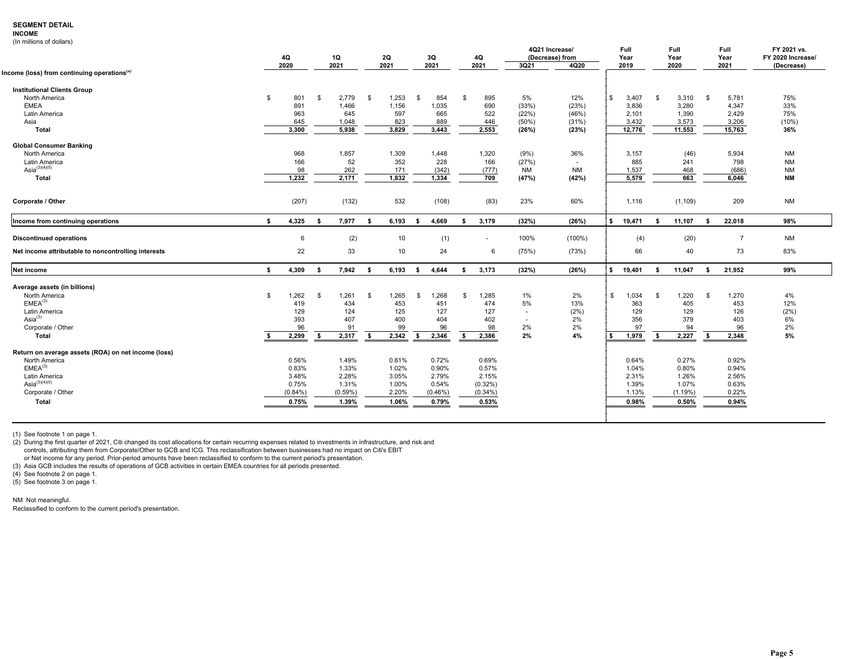### **SEGMENT DETAIL**

### **INCOME**

|  | (In millions of dollars) |  |  |
|--|--------------------------|--|--|
|--|--------------------------|--|--|

| 4Q<br>1Q<br>2Q<br>3Q<br>(Decrease) from<br>Year<br>4Q<br>2020<br>2021<br>2021<br>2021<br>2021<br>3Q21<br>4Q20<br>2019<br>Income (loss) from continuing operations <sup>(2)</sup> | Year<br>2020   |          | Year              | FY 2020 Increase/ |
|----------------------------------------------------------------------------------------------------------------------------------------------------------------------------------|----------------|----------|-------------------|-------------------|
|                                                                                                                                                                                  |                |          |                   |                   |
|                                                                                                                                                                                  |                |          | 2021              | (Decrease)        |
| <b>Institutional Clients Group</b>                                                                                                                                               |                |          |                   |                   |
| North America<br>\$<br>801<br>1,253<br>854<br>5%<br>\$<br>3,407<br>\$<br>2,779<br>- \$<br>\$<br>- \$<br>895<br>12%                                                               | \$             | 3,310    | - \$<br>5,781     | 75%               |
| <b>EMEA</b><br>(33%)<br>891<br>1,466<br>1,156<br>1,035<br>690<br>(23%)<br>3,836                                                                                                  |                | 3,280    | 4,347             | 33%               |
| 645<br>597<br>665<br>522<br>Latin America<br>963<br>(22%)<br>(46%)<br>2,101                                                                                                      |                | 1,390    | 2,429             | 75%               |
| 3.432<br>Asia<br>645<br>1.048<br>823<br>889<br>446<br>(50%)<br>(31%)                                                                                                             |                | 3.573    | 3,206             | $(10\%)$          |
| 3,300<br>2,553<br>(23%)<br>5,938<br>3,829<br>3,443<br>(26%)<br>12,776<br>Total                                                                                                   | 11,553         |          | 15,763            | 36%               |
| <b>Global Consumer Banking</b>                                                                                                                                                   |                |          |                   |                   |
| North America<br>968<br>1.857<br>1,309<br>1.448<br>1,320<br>36%<br>3,157<br>(9%)                                                                                                 |                | (46)     | 5,934             | <b>NM</b>         |
| Latin America<br>166<br>52<br>352<br>228<br>(27%)<br>885<br>166<br>$\overline{\phantom{a}}$                                                                                      |                | 241      | 798               | <b>NM</b>         |
| Asia <sup>(3)(4)(5)</sup><br>98<br>262<br>171<br>(342)<br><b>NM</b><br>1,537<br>(777)<br>NM                                                                                      |                | 468      | (686)             | <b>NM</b>         |
| 1,232<br>2,171<br>1,832<br>1,334<br><b>Total</b><br>709<br>(47%)<br>(42%)<br>5.579                                                                                               |                | 663      | 6,046             | <b>NM</b>         |
| (207)<br>(132)<br>532<br>(108)<br>(83)<br>23%<br>60%<br>Corporate / Other<br>1,116                                                                                               |                | (1, 109) | 209               | <b>NM</b>         |
|                                                                                                                                                                                  |                |          |                   |                   |
| Income from continuing operations<br>(26%)<br>4,325<br>7,977<br>6,193<br>4,669<br>3,179<br>(32%)<br>\$<br>19,471<br>s.<br>- \$<br>-S<br>- \$<br>- \$                             | 11,107<br>- \$ |          | 22,018<br>- \$    | 98%               |
| (2)<br>10<br>(1)<br>100%<br>$(100\%)$<br>(4)<br><b>Discontinued operations</b><br>6<br>٠                                                                                         |                | (20)     | $\overline{7}$    | <b>NM</b>         |
| 22<br>33<br>10<br>24<br>(75%)<br>(73%)<br>66<br>Net income attributable to noncontrolling interests<br>6                                                                         |                | 40       | 73                | 83%               |
| 4,309<br>(32%)<br>(26%)<br><b>Net income</b><br>7,942<br>6,193<br>4,644<br>3,173<br>19,401<br>s.<br>- \$<br>-S<br>- \$<br>-S<br>\$                                               | 11,047<br>-S   |          | 21,952<br>- \$    | 99%               |
| Average assets (in billions)                                                                                                                                                     |                |          |                   |                   |
| 1,262<br>1,268<br>North America<br>\$<br>\$<br>1,261<br>S.<br>1,265<br>\$<br>-S<br>1,285<br>$1\%$<br>2%<br>\$<br>1,034                                                           | \$             | 1,220    | 1,270<br><b>S</b> | 4%                |
| EMEA <sup>(3)</sup><br>434<br>453<br>451<br>474<br>5%<br>13%<br>363<br>419                                                                                                       |                | 405      | 453               | 12%               |
| Latin America<br>129<br>124<br>125<br>127<br>127<br>(2%)<br>129<br>$\sim$                                                                                                        |                | 129      | 126               | (2%)              |
| Asi $a^{(3)}$<br>393<br>407<br>400<br>404<br>402<br>2%<br>356<br>$\overline{\phantom{a}}$                                                                                        |                | 379      | 403               | 6%                |
| 2%<br>Corporate / Other<br>96<br>99<br>96<br>98<br>2%<br>97<br>91                                                                                                                |                | 94       | 96                | 2%                |
| 2%<br>4%<br>2,299<br>2,317<br>2,342<br>1,979<br>Total<br>-S<br>s.<br>- \$<br>2,346<br>2,386<br>s.<br>\$                                                                          | \$             | 2,227    | 2,348<br>- \$     | 5%                |
| Return on average assets (ROA) on net income (loss)                                                                                                                              |                |          |                   |                   |
| 0.72%<br>0.69%<br>North America<br>0.56%<br>1.49%<br>0.81%<br>0.64%                                                                                                              |                | 0.27%    | 0.92%             |                   |
| EMEA <sup>(3)</sup><br>1.33%<br>1.02%<br>0.90%<br>0.57%<br>0.83%<br>1.04%                                                                                                        |                | 0.80%    | 0.94%             |                   |
| 2.28%<br>2.15%<br>Latin America<br>3.48%<br>3.05%<br>2.79%<br>2.31%                                                                                                              |                | 1.26%    | 2.56%             |                   |
| Asia $^{(3)(4)(5)}$<br>1.31%<br>1.00%<br>0.54%<br>$(0.32\%)$<br>1.39%<br>0.75%                                                                                                   |                | 1.07%    | 0.63%             |                   |
| 2.20%<br>Corporate / Other<br>$(0.84\%)$<br>(0.59%)<br>$(0.46\%)$<br>$(0.34\%)$<br>1.13%                                                                                         |                | (1.19%)  | 0.22%             |                   |
| <b>Total</b><br>1.39%<br>1.06%<br>0.79%<br>0.98%<br>0.75%<br>0.53%                                                                                                               |                | 0.50%    | 0.94%             |                   |
|                                                                                                                                                                                  |                |          |                   |                   |

(1) See footnote 1 on page 1.

(2) During the first quarter of 2021, Citi changed its cost allocations for certain recurring expenses related to investments in infrastructure, and risk and controls, attributing them from Corporate/Other to GCB and ICG. This reclassification between businesses had no impact on Citi's EBIT

or Net income for any period. Prior-period amounts have been reclassified to conform to the current period's presentation.<br>(3) Asia GCB includes the results of operations of GCB activities in certain EMEA countries for al

(4) See footnote 2 on page 1.

 $(5)$  See footnote 3 on page 1.

NM Not meaningful. Reclassified to conform to the current period's presentation.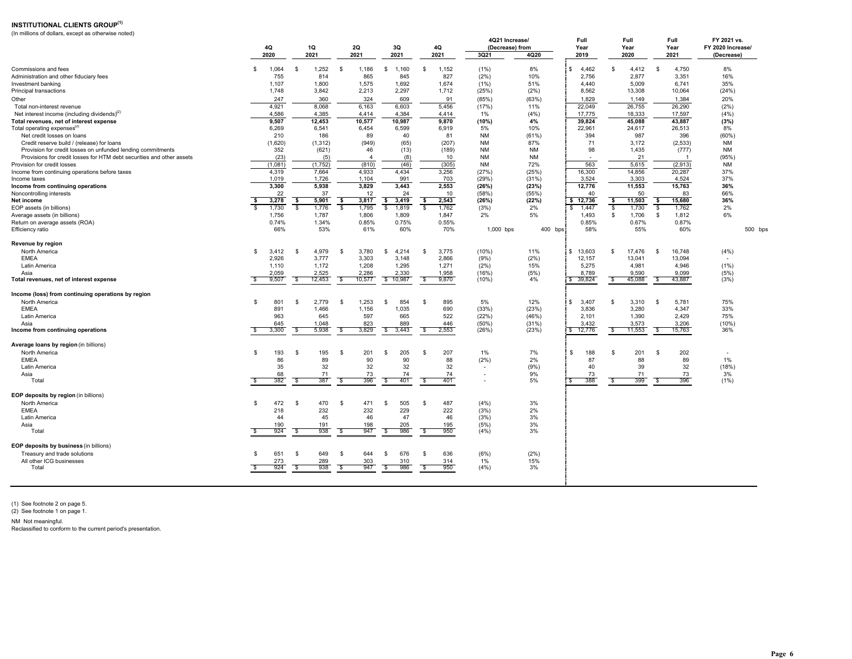### **INSTITUTIONAL CLIENTS GROUP(1)**

(In millions of dollars, except as otherwise noted)

|                                                                       |          |         |      |          |                |                           |      |       | 4Q21 Increase/  |           | Full         |          | Full   | Full                | FY 2021 vs.       |         |
|-----------------------------------------------------------------------|----------|---------|------|----------|----------------|---------------------------|------|-------|-----------------|-----------|--------------|----------|--------|---------------------|-------------------|---------|
|                                                                       |          | 4Q      | 1Q   |          | 2Q             | 3Q                        |      | 4Q    | (Decrease) from |           | Year         |          | Year   | Year                | FY 2020 Increase/ |         |
|                                                                       |          | 2020    | 2021 |          | 2021           | 2021                      |      | 2021  | 3Q21            | 4Q20      | 2019         |          | 2020   | 2021                | (Decrease)        |         |
|                                                                       |          |         |      |          |                |                           |      |       |                 |           |              |          |        |                     |                   |         |
| Commissions and fees                                                  | S        | 1,064   | \$   | 1,252    | - \$<br>1,186  | \$<br>1,160               | \$   | 1,152 | (1%)            | 8%        | 4,462<br>\$. | -S       | 4,412  | \$<br>4,750         | 8%                |         |
| Administration and other fiduciary fees                               |          | 755     |      | 814      | 865            | 845                       |      | 827   | (2%)            | 10%       | 2,756        |          | 2.877  | 3,351               | 16%               |         |
| Investment banking                                                    |          | 1.107   |      | 1.800    | 1.575          | 1.692                     |      | 1.674 | (1%)            | 51%       | 4.440        |          | 5.009  | 6.741               | 35%               |         |
| Principal transactions                                                |          | 1,748   |      | 3,842    | 2,213          | 2,297                     |      | 1,712 | (25%)           | (2%)      | 8,562        |          | 13,308 | 10,064              | (24%)             |         |
| Other                                                                 |          | 247     |      | 360      | 324            | 609                       |      | 91    | (85%)           | (63%)     | 1,829        |          | 1,149  | 1,384               | 20%               |         |
| Total non-interest revenue                                            |          | 4,921   |      | 8,068    | 6,163          | 6,603                     |      | 5,456 | (17%)           | 11%       | 22,049       |          | 26,755 | 26,290              | (2%)              |         |
| Net interest income (including dividends) <sup>(2)</sup>              |          | 4,586   |      | 4,385    | 4,414          | 4,384                     |      | 4,414 | 1%              | (4% )     | 17,775       |          | 18,333 | 17,597              | (4% )             |         |
| Total revenues, net of interest expense                               |          | 9,507   |      | 12,453   | 10,577         | 10,987                    |      | 9,870 | (10%)           | 4%        | 39,824       |          | 45,088 | 43,887              | (3%)              |         |
| Total operating expenses <sup>(2)</sup>                               |          | 6,269   |      | 6,541    | 6,454          | 6,599                     |      | 6.919 | 5%              | 10%       | 22,961       |          | 24,617 | 26,513              | 8%                |         |
| Net credit losses on loans                                            |          | 210     |      | 186      | 89             | 40                        |      | 81    | <b>NM</b>       | (61%)     | 394          |          | 987    | 396                 | (60%              |         |
|                                                                       |          |         |      |          |                | (65)                      |      | (207) | <b>NM</b>       | 87%       | 71           |          | 3,172  | (2,533)             | <b>NM</b>         |         |
| Credit reserve build / (release) for loans                            |          | (1,620) |      | (1, 312) | (949)          |                           |      |       |                 | <b>NM</b> | 98           |          |        |                     |                   |         |
| Provision for credit losses on unfunded lending commitments           |          | 352     |      | (621)    | 46             | (13)                      |      | (189) | <b>NM</b>       |           |              |          | 1,435  | (777)               | <b>NM</b>         |         |
| Provisions for credit losses for HTM debt securities and other assets |          | (23)    |      | (5)      | $\overline{4}$ | (8)                       |      | 10    | <b>NM</b>       | <b>NM</b> |              |          | 21     |                     | (95%)             |         |
| Provision for credit losses                                           |          | (1,081) |      | (1,752)  | (810)          | (46)                      |      | (305) | <b>NM</b>       | 72%       | 563          |          | 5,615  | (2,913)             | <b>NM</b>         |         |
| Income from continuing operations before taxes                        |          | 4,319   |      | 7,664    | 4,933          | 4,434                     |      | 3,256 | (27%)           | (25%      | 16,300       |          | 14,856 | 20,287              | 37%               |         |
| Income taxes                                                          |          | 1,019   |      | 1,726    | 1,104          | 991                       |      | 703   | (29%)           | (31%)     | 3,524        |          | 3,303  | 4,524               | 37%               |         |
| Income from continuing operations                                     |          | 3,300   |      | 5,938    | 3.829          | 3.443                     |      | 2,553 | (26%)           | (23%)     | 12,776       |          | 11,553 | 15,763              | 36%               |         |
| Noncontrolling interests                                              |          | 22      |      | 37       | 12             | 24                        |      | 10    | (58%)           | (55%)     | 40           |          | 50     | 83                  | 66%               |         |
| Net income                                                            | s.       | 3,278   | \$   | 5,901    | 3,817<br>-\$   | \$<br>3,419               | \$   | 2,543 | (26%)           | (22%)     | \$12,736     | \$       | 11,503 | \$<br>15,680        | 36%               |         |
| EOP assets (in billions)                                              |          | 1.730   | - \$ | 1.776    | -S<br>1.795    | \$<br>1,819               | s.   | 1.762 | (3%)            | 2%        | \$<br>1.447  | S.       | 1,730  | $\sqrt{2}$<br>1.762 | 2%                |         |
| Average assets (in billions)                                          |          | 1,756   |      | 1,787    | 1,806          | 1,809                     |      | 1,847 | 2%              | 5%        | 1,493        | -S       | 1,706  | \$<br>1,812         | 6%                |         |
| Return on average assets (ROA)                                        |          | 0.74%   |      | 1.34%    | 0.85%          | 0.75%                     |      | 0.55% |                 |           | 0.85%        |          | 0.67%  | 0.87%               |                   |         |
| Efficiency ratio                                                      |          | 66%     |      | 53%      | 61%            | 60%                       |      | 70%   | 1,000 bps       | 400 bps   | 58%          |          | 55%    | 60%                 |                   | 500 bps |
|                                                                       |          |         |      |          |                |                           |      |       |                 |           |              |          |        |                     |                   |         |
| Revenue by region                                                     |          |         |      |          |                |                           |      |       |                 |           |              |          |        |                     |                   |         |
| North America                                                         | -\$      | 3,412   | \$   | 4.979    | 3,780<br>-S    | 4.214<br>\$               | \$   | 3,775 | (10%)           | 11%       | \$13,603     | \$.      | 17,476 | \$<br>16,748        | (4% )             |         |
| <b>EMEA</b>                                                           |          | 2,926   |      | 3,777    | 3,303          | 3,148                     |      | 2,866 | (9%)            | (2%)      | 12,157       |          | 13,041 | 13,094              |                   |         |
| Latin America                                                         |          | 1,110   |      | 1,172    | 1,208          | 1,295                     |      | 1,271 | (2%)            | 15%       | 5,275        |          | 4,981  | 4,946               | (1%)              |         |
| Asia                                                                  |          | 2,059   |      | 2,525    | 2,286          | 2.330                     |      | 1,958 | (16%)           | (5%)      | 8,789        |          | 9.590  | 9.099               | (5%)              |         |
| Total revenues, net of interest expense                               | <b>S</b> | 9,507   | - \$ | 12,453   | 10,577<br>-S   | \$10,987                  | -S   | 9,870 | (10%)           | 4%        | \$39,824     | \$       | 45,088 | 43,887<br>\$        | (3%)              |         |
|                                                                       |          |         |      |          |                |                           |      |       |                 |           |              |          |        |                     |                   |         |
| Income (loss) from continuing operations by region                    |          |         |      |          |                |                           |      |       |                 |           |              |          |        |                     |                   |         |
| North America                                                         | -\$      | 801     | -\$  | 2,779    | 1,253<br>- \$  | 854<br>- \$               | \$   | 895   | 5%              | 12%       | \$.<br>3,407 | \$       | 3,310  | -\$<br>5,781        | 75%               |         |
| <b>EMEA</b>                                                           |          | 891     |      | 1,466    | 1,156          | 1,035                     |      | 690   | (33%)           | (23%)     | 3,836        |          | 3,280  | 4,347               | 33%               |         |
| Latin America                                                         |          | 963     |      | 645      | 597            | 665                       |      | 522   | (22%)           | (46%)     | 2,101        |          | 1,390  | 2,429               | 75%               |         |
| Asia                                                                  |          | 645     |      | 1,048    | 823            | 889                       |      | 446   | $(50\%)$        | (31%)     | 3,432        |          | 3,573  | 3,206               | (10%              |         |
| Income from continuing operations                                     |          | 3,300   | - \$ | 5,938    | 3,829<br>्र    | \$<br>3,443               | s,   | 2,553 | (26%)           | (23%)     | \$ 12,776    | Ŝ.       | 11,553 | 15,763<br>\$        | 36%               |         |
|                                                                       |          |         |      |          |                |                           |      |       |                 |           |              |          |        |                     |                   |         |
| Average loans by region (in billions)                                 |          |         |      |          |                |                           |      |       |                 |           |              |          |        |                     |                   |         |
| North America                                                         | \$       | 193     | - \$ | 195      | 201            | 205                       | \$   | 207   | 1%              | 7%        | \$           | -S       | 201    | 202<br>-S           |                   |         |
| <b>EMEA</b>                                                           |          |         |      |          | \$             | \$                        |      |       |                 | 2%        | 188          |          |        |                     | 1%                |         |
|                                                                       |          | 86      |      | 89       | 90             | 90                        |      | 88    | (2%)            |           | 87           |          | 88     | 89                  |                   |         |
| <b>Latin America</b>                                                  |          | 35      |      | 32       | 32             | 32                        |      | 32    |                 | (9%)      | 40           |          | 39     | 32                  | (18%)             |         |
| Asia<br>Total                                                         | ŝ.       | 68      | -S   | 71       | 73             | 74                        | s    | 74    |                 | 9%<br>5%  | 73<br>\$     | <b>S</b> | 71     | 73<br>\$            | 3%                |         |
|                                                                       |          | 382     |      | 387      | \$<br>396      | $\mathbf{\hat{s}}$<br>401 |      | 401   |                 |           | 388          |          | 399    | 396                 | (1% )             |         |
|                                                                       |          |         |      |          |                |                           |      |       |                 |           |              |          |        |                     |                   |         |
| EOP deposits by region (in billions)                                  |          |         |      |          |                |                           |      |       |                 |           |              |          |        |                     |                   |         |
| North America                                                         | \$       | 472     | \$   | 470      | 471<br>- \$    | 505<br>\$                 | \$   | 487   | (4% )           | 3%        |              |          |        |                     |                   |         |
| <b>EMEA</b>                                                           |          | 218     |      | 232      | 232            | 229                       |      | 222   | (3%)            | 2%        |              |          |        |                     |                   |         |
| Latin America                                                         |          | 44      |      | 45       | 46             | 47                        |      | 46    | (3%)            | 3%        |              |          |        |                     |                   |         |
| Asia                                                                  |          | 190     |      | 191      | 198            | 205                       |      | 195   | (5%)            | 3%        |              |          |        |                     |                   |         |
| Total                                                                 |          | 924     | - 96 | 938      | 947<br>-S      | 986<br>\$                 | - \$ | 950   | (4% )           | 3%        |              |          |        |                     |                   |         |
|                                                                       |          |         |      |          |                |                           |      |       |                 |           |              |          |        |                     |                   |         |
| EOP deposits by business (in billions)                                |          |         |      |          |                |                           |      |       |                 |           |              |          |        |                     |                   |         |
| Treasury and trade solutions                                          | . ድ      | 651     | - \$ | 649      | 644<br>- \$    | \$<br>676                 | \$   | 636   | (6%)            | (2%)      |              |          |        |                     |                   |         |
| All other ICG businesses                                              |          | 273     |      | 289      | 303            | 310                       |      | 314   | 1%              | 15%       |              |          |        |                     |                   |         |
| Total                                                                 | £.       | 924     | S.   | 938      | 947<br>S.      | 986<br>\$                 | \$   | 950   | (4%)            | 3%        |              |          |        |                     |                   |         |
|                                                                       |          |         |      |          |                |                           |      |       |                 |           |              |          |        |                     |                   |         |
|                                                                       |          |         |      |          |                |                           |      |       |                 |           |              |          |        |                     |                   |         |

(1) See footnote 2 on page 5. (2) See footnote 1 on page 1.

NM Not meaningful. Reclassified to conform to the current period's presentation.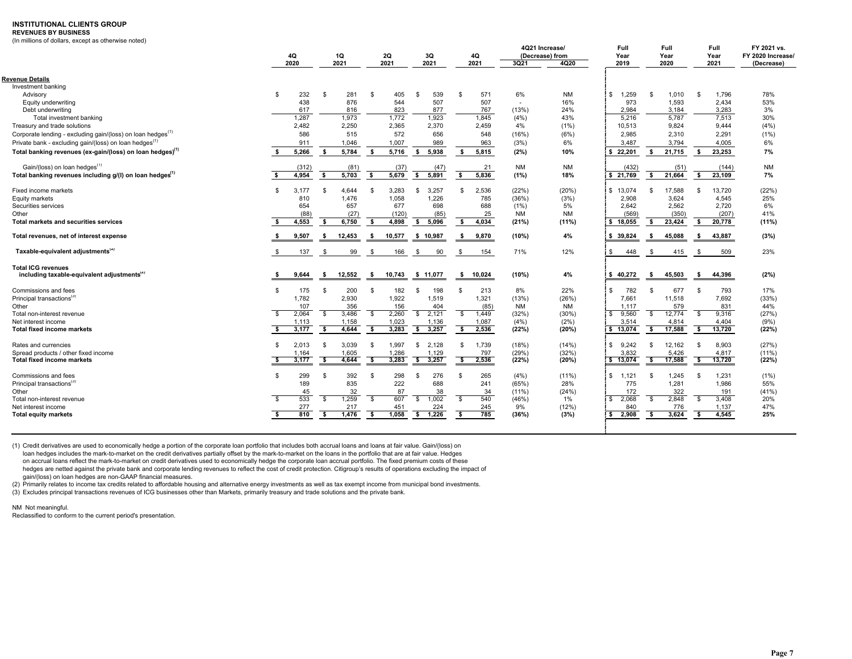#### **INSTITUTIONAL CLIENTS GROUP**

#### **REVENUES BY BUSINESS**

(In millions of dollars, except as otherwise noted)

|                                                                         | 4Q<br>2020                  |              | 1Q<br>2021 |              | 2Q<br>2021 | 3Q<br>2021              | 4Q<br>2021   |        | 4Q21 Increase/<br>(Decrease) from<br>3Q21 | 4Q20      | Full<br>Year<br>2019  |                | Full<br>Year<br>2020 |             | Full<br>Year<br>2021 | FY 2021 vs.<br>FY 2020 Increase/<br>(Decrease) |
|-------------------------------------------------------------------------|-----------------------------|--------------|------------|--------------|------------|-------------------------|--------------|--------|-------------------------------------------|-----------|-----------------------|----------------|----------------------|-------------|----------------------|------------------------------------------------|
|                                                                         |                             |              |            |              |            |                         |              |        |                                           |           |                       |                |                      |             |                      |                                                |
| <b>Revenue Details</b>                                                  |                             |              |            |              |            |                         |              |        |                                           |           |                       |                |                      |             |                      |                                                |
| Investment banking                                                      |                             |              |            |              |            |                         |              |        |                                           |           |                       |                |                      |             |                      |                                                |
| Advisory                                                                | 232<br>\$.                  | -S           | 281        | -S           | 405        | \$<br>539               | - \$         | 571    | 6%                                        | <b>NM</b> | \$<br>1.259           | \$.            | 1.010                | - \$        | 1,796                | 78%                                            |
| Equity underwriting                                                     | 438                         |              | 876        |              | 544        | 507                     |              | 507    | $\sim$                                    | 16%       | 973                   |                | 1,593                |             | 2,434                | 53%                                            |
| Debt underwriting                                                       | 617                         |              | 816        |              | 823        | 877                     |              | 767    | (13%)                                     | 24%       | 2,984                 |                | 3,184                |             | 3,283                | 3%                                             |
| Total investment banking                                                | 1.287                       |              | 1.973      |              | 1.772      | 1.923                   |              | 1.845  | (4%)                                      | 43%       | 5.216                 |                | 5.787                |             | 7.513                | 30%                                            |
| Treasury and trade solutions                                            | 2,482                       |              | 2,250      |              | 2,365      | 2,370                   |              | 2,459  | 4%                                        | (1%)      | 10,513                |                | 9,824                |             | 9,444                | (4% )                                          |
| Corporate lending - excluding gain/(loss) on loan hedges <sup>(1)</sup> | 586                         |              | 515        |              | 572        | 656                     |              | 548    | (16%)                                     | (6%)      | 2,985                 |                | 2,310                |             | 2,291                | (1% )                                          |
| Private bank - excluding gain/(loss) on loan hedges <sup>(1)</sup>      | 911                         |              | 1,046      |              | 1,007      | 989                     |              | 963    | (3%)                                      | 6%        | 3.487                 |                | 3,794                |             | 4,005                | 6%                                             |
| Total banking revenues (ex-gain/(loss) on loan hedges) <sup>(1)</sup>   | 5,266<br>-S                 | - \$         | 5,784      | s.           | 5,716      | s.<br>5,938             | - \$         | 5,815  | (2%)                                      | 10%       | \$22,201              | s.             | 21,715               | - \$        | 23,253               | 7%                                             |
| Gain/(loss) on loan hedges <sup>(1)</sup>                               | (312)                       |              | (81)       |              | (37)       | (47)                    |              | 21     | <b>NM</b>                                 | <b>NM</b> | (432)                 |                | (51)                 |             | (144)                | NM                                             |
| Total banking revenues including g/(I) on loan hedges <sup>(1)</sup>    | 4,954<br>ŝ.                 | -S           | 5,703      | -S           | 5,679      | s.<br>5,891             | \$           | 5,836  | (1%)                                      | 18%       | \$21,769              | s.             | 21,664               | s.          | 23,109               | 7%                                             |
| Fixed income markets                                                    | 3.177<br>$\mathbf{\hat{S}}$ | \$           | 4.644      | - \$         | 3.283      | S.<br>3,257             | -S           | 2,536  | (22%)                                     | (20%)     | \$13.074              | \$.            | 17.588               | - \$        | 13.720               | (22%)                                          |
| Equity markets                                                          | 810                         |              | 1.476      |              | 1,058      | 1,226                   |              | 785    | (36%)                                     | (3%)      | 2,908                 |                | 3,624                |             | 4,545                | 25%                                            |
| Securities services                                                     | 654                         |              | 657        |              | 677        | 698                     |              | 688    | $(1\%)$                                   | 5%        | 2.642                 |                | 2,562                |             | 2,720                | 6%                                             |
| Other                                                                   | (88)                        |              | (27)       |              | (120)      | (85)                    |              | 25     | <b>NM</b>                                 | <b>NM</b> | (569)                 |                | (350)                |             | (207)                | 41%                                            |
| <b>Total markets and securities services</b>                            | 4,553                       | - \$         | 6,750      | \$           | 4,898      | s.<br>5,096             | - \$         | 4,034  | (21%)                                     | $(11\%)$  | \$18,055              | \$             | 23,424               | - \$        | 20,778               | $(11\%)$                                       |
| Total revenues, net of interest expense                                 | 9,507                       | - 55         | 12,453     | s            | 10,577     | \$10,987                | - \$         | 9,870  | (10%)                                     | 4%        | \$39,824              | - \$           | 45,088               | - \$        | 43,887               | (3%)                                           |
| Taxable-equivalent adjustments <sup>(2)</sup>                           | 137<br>- \$                 | - \$         | 99         | -\$          | 166        | -\$<br>90               | -\$          | 154    | 71%                                       | 12%       | \$<br>448             | - \$           | 415                  | -\$         | 509                  | 23%                                            |
| <b>Total ICG revenues</b>                                               |                             |              |            |              |            |                         |              |        |                                           |           |                       |                |                      |             |                      |                                                |
| including taxable-equivalent adjustments <sup>(2)</sup>                 | 9,644                       | - 5          | 12,552     | s            | 10,743     | \$11,077                | s.           | 10,024 | (10%)                                     | 4%        | \$40,272              | - \$           | 45,503               | - \$        | 44,396               | (2%)                                           |
| Commissions and fees                                                    | £.<br>175                   | -S           | 200        | - \$         | 182        | \$<br>198               | -\$          | 213    | 8%                                        | 22%       | 782<br>\$.            | $\mathfrak{s}$ | 677                  | -S          | 793                  | 17%                                            |
| Principal transactions <sup>(3)</sup>                                   | 1,782                       |              | 2,930      |              | 1,922      | 1,519                   |              | 1,321  | (13%)                                     | (26%)     | 7,661                 |                | 11,518               |             | 7,692                | (33%)                                          |
| Other                                                                   | 107                         |              | 356        |              | 156        | 404                     |              | (85)   | <b>NM</b>                                 | <b>NM</b> | 1.117                 |                | 579                  |             | 831                  | 44%                                            |
| Total non-interest revenue                                              | 2,064<br>$\mathbf{\hat{S}}$ | \$           | 3,486      | \$           | 2,260      | $\mathbb{S}$<br>2,121   | \$           | 1,449  | (32%)                                     | (30%)     | \$<br>9,560           | \$             | 12,774               | <b>S</b>    | 9,316                | (27%)                                          |
| Net interest income                                                     | 1,113                       |              | 1,158      |              | 1,023      | 1,136                   |              | 1,087  | (4%)                                      | (2%)      | 3.514                 |                | 4,814                |             | 4,404                | (9% )                                          |
| <b>Total fixed income markets</b>                                       | 3,177                       | - \$         | 4,644      | - \$         | 3,283      | \$3,257                 | \$           | 2,536  | (22%)                                     | (20%)     | \$13,074              | S.             | 17,588               | - \$        | 13,720               | (22%)                                          |
| Rates and currencies                                                    | 2,013<br>-S                 | -\$          | 3,039      | \$           | 1,997      | $\mathfrak s$<br>2,128  | \$           | 1,739  | (18%)                                     | (14%)     | \$<br>9,242           | \$             | 12,162               | -\$         | 8,903                | (27%)                                          |
| Spread products / other fixed income                                    | 1,164                       |              | 1,605      |              | 1,286      | 1,129                   |              | 797    | (29%)                                     | (32%)     | 3.832                 |                | 5,426                |             | 4,817                | $(11\%)$                                       |
| <b>Total fixed income markets</b>                                       | - \$<br>3,177               | -\$          | 4,644      | - \$         | 3,283      | $\frac{1}{2}$ 3,257     | \$           | 2,536  | (22%)                                     | (20%)     | \$13,074              | \$             | 17,588               | - \$        | 13,720               | (22%)                                          |
| Commissions and fees                                                    | 299<br>\$.                  | S.           | 392        | -S           | 298        | 276<br>\$               | \$           | 265    | (4%)                                      | $(11\%)$  | S.<br>1,121           | \$             | 1.245                | - \$        | 1,231                | (1%)                                           |
| Principal transactions <sup>(3)</sup>                                   | 189                         |              | 835        |              | 222        | 688                     |              | 241    | (65%)                                     | 28%       | 775                   |                | 1.281                |             | 1.986                | 55%                                            |
| Other                                                                   | 45                          |              | 32         |              | 87         | 38                      |              | 34     | $(11\%)$                                  | (24%)     | 172                   |                | 322                  |             | 191                  | (41%)                                          |
| Total non-interest revenue                                              | 533<br>$\mathbf{s}$         | $\mathbb{S}$ | 1,259      | $\mathbb{S}$ | 607        | $\mathfrak{S}$<br>1,002 | $\mathbb{S}$ | 540    | (46%)                                     | 1%        | $\mathbb{S}$<br>2,068 | $\mathbb{S}$   | 2,848                | $\mathbf s$ | 3,408                | 20%                                            |
| Net interest income                                                     | 277                         |              | 217        |              | 451        | 224                     |              | 245    | 9%                                        | (12%)     | 840                   |                | 776                  |             | 1,137                | 47%                                            |
| <b>Total equity markets</b>                                             | 810<br>-S                   | \$           | 1,476      | - \$         | 1,058      | \$ 1,226                | \$           | 785    | (36%)                                     | (3%)      | \$ 2,908              | \$             | 3,624                | \$          | 4,545                | 25%                                            |

(1) Credit derivatives are used to economically hedge a portion of the corporate loan portfolio that includes both accrual loans and loans at fair value. Gain/(loss) on loan hedges includes the mark-to-market on the credit derivatives partially offset by the mark-to-market on the loans in the portfolio that are at fair value. Hedges on accrual loans reflect the mark-to-market on credit derivatives used to economically hedge the corporate loan accrual portfolio. The fixed premium costs of these hedges are netted against the private bank and corporate lending revenues to reflect the cost of credit protection. Citigroup's results of operations excluding the impact of gain/(loss) on loan hedges are non-GAAP financial measures.<br>(2) Primarily relates to income tax credits related to affordable housing and alternative energy investments as well as tax exempt income from municipal bond inv

(3) Excludes principal transactions revenues of ICG businesses other than Markets, primarily treasury and trade solutions and the private bank.

NM Not meaningful.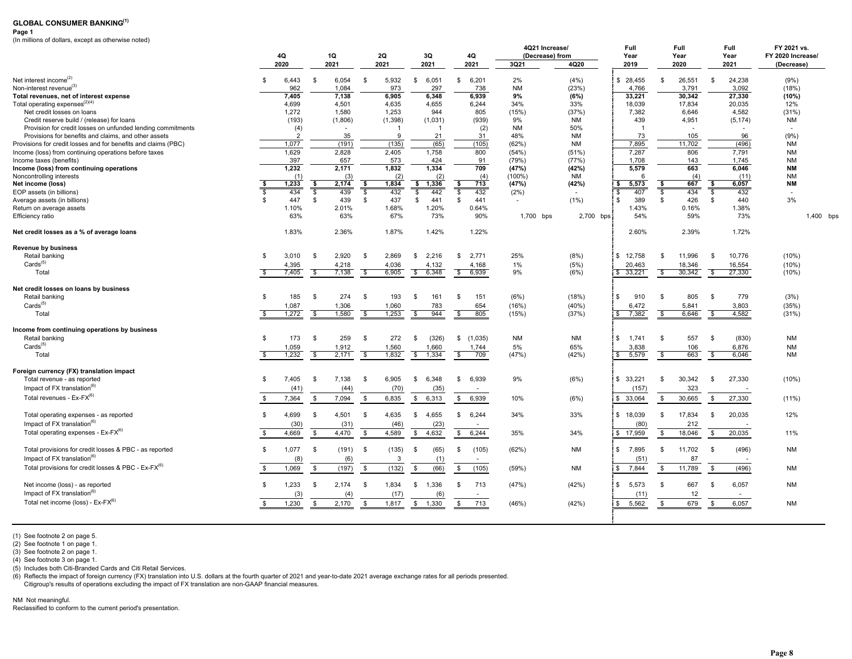#### **Page 1**

(In millions of dollars, except as otherwise noted)

|                                                                         |                         |                |                                   |                          |          |                                 |                                | 4Q21 Increase/  |           | Full           | Full                              |                          | <b>Full</b> | FY 2021 vs.       |           |
|-------------------------------------------------------------------------|-------------------------|----------------|-----------------------------------|--------------------------|----------|---------------------------------|--------------------------------|-----------------|-----------|----------------|-----------------------------------|--------------------------|-------------|-------------------|-----------|
|                                                                         |                         | 4Q             | 1Q                                |                          | 2Q       | 3Q                              | 4Q                             | (Decrease) from |           | Year           | Year                              |                          | Year        | FY 2020 Increase/ |           |
|                                                                         |                         | 2020           | 2021                              |                          | 2021     | 2021                            | 2021                           | 3Q21            | 4Q20      | 2019           | 2020                              |                          | 2021        | (Decrease)        |           |
| Net interest income <sup>(2)</sup>                                      | - \$                    | 6,443          | $\mathbf{s}$<br>6,054             | \$                       | 5,932    | S.<br>6,051                     | 6,201<br>\$                    | 2%              | (4%)      | \$28,455       | \$<br>26,551                      | S.                       | 24.238      | (9%)              |           |
| Non-interest revenue <sup>(3)</sup>                                     |                         | 962            | 1,084                             |                          | 973      | 297                             | 738                            | <b>NM</b>       | (23%)     | 4,766          | 3,791                             |                          | 3,092       | (18%)             |           |
| Total revenues, net of interest expense                                 |                         | 7.405          | 7,138                             |                          | 6,905    | 6,348                           | 6,939                          | 9%              | (6%)      | 33,221         | 30,342                            |                          | 27,330      | (10%)             |           |
| Total operating expenses $(2)(4)$                                       |                         | 4,699          | 4,501                             |                          | 4,635    | 4,655                           | 6,244                          | 34%             | 33%       | 18,039         | 17,834                            |                          | 20,035      | 12%               |           |
| Net credit losses on loans                                              |                         | 1,272          | 1,580                             |                          | 1,253    | 944                             | 805                            | (15%)           | (37%)     | 7,382          | 6,646                             |                          | 4,582       | (31%)             |           |
| Credit reserve build / (release) for loans                              |                         | (193)          | (1,806)                           |                          | (1, 398) | (1,031)                         | (939)                          | 9%              | <b>NM</b> | 439            | 4,951                             |                          | (5, 174)    | <b>NM</b>         |           |
| Provision for credit losses on unfunded lending commitments             |                         | (4)            |                                   |                          |          | -1                              | (2)                            | <b>NM</b>       | 50%       | $\overline{1}$ |                                   |                          |             |                   |           |
| Provisions for benefits and claims, and other assets                    |                         | $\overline{2}$ | 35                                |                          | 9        | 21                              | 31                             | 48%             | <b>NM</b> | 73             | 105                               |                          | 96          | (9% )             |           |
| Provisions for credit losses and for benefits and claims (PBC)          |                         | 1,077          | (191)                             |                          | (135)    | (65)                            | (105)                          | (62%)           | <b>NM</b> | 7,895          | 11,702                            |                          | (496)       | <b>NM</b>         |           |
| Income (loss) from continuing operations before taxes                   |                         | 1.629          | 2,828                             |                          | 2.405    | 1.758                           | 800                            | (54%)           | (51%)     | 7,287          | 806                               |                          | 7.791       | <b>NM</b>         |           |
| Income taxes (benefits)                                                 |                         | 397            | 657                               |                          | 573      | 424                             | 91                             | (79%)           | (77%)     | 1,708          | 143                               |                          | 1,745       | <b>NM</b>         |           |
| Income (loss) from continuing operations                                |                         | 1,232          | 2,171                             |                          | 1,832    | 1,334                           | 709                            | (47%)           | (42%)     | 5,579          | 663                               |                          | 6.046       | <b>NM</b>         |           |
| Noncontrolling interests                                                |                         | (1)            | (3)                               |                          | (2)      | (2)                             | (4)                            | $(100\%)$       | <b>NM</b> | 6              | (4)                               |                          | (11)        | <b>NM</b>         |           |
| Net income (loss)                                                       | -\$                     | 1,233          | - \$<br>2,174                     | \$                       | 1,834    | \$<br>1,336                     | -\$<br>713                     | (47%)           | (42%)     | \$<br>5,573    | 667<br>\$                         | \$                       | 6.057       | <b>NM</b>         |           |
| EOP assets (in billions)                                                | $\overline{\mathbf{s}}$ | 434            | $\overline{\mathcal{S}}$<br>439   | $\overline{\mathbf{s}}$  | 432      | \$<br>442                       | s,<br>432                      | (2%)            |           | 407<br>\$      | $\sqrt{2}$<br>434                 | $\overline{\mathbf{s}}$  | 432         |                   |           |
| Average assets (in billions)                                            | \$                      | 447            | \$<br>439                         | \$                       | 437      | s.<br>441                       | \$<br>441                      |                 | (1%)      | \$<br>389      | 426<br>\$                         | \$                       | 440         | 3%                |           |
| Return on average assets                                                |                         | 1.10%          | 2.01%                             |                          | 1.68%    | 1.20%                           | 0.64%                          |                 |           | 1.43%          | 0.16%                             |                          | 1.38%       |                   |           |
| Efficiency ratio                                                        |                         | 63%            | 63%                               |                          | 67%      | 73%                             | 90%                            | 1,700 bps       | 2,700 bps | 54%            | 59%                               |                          | 73%         |                   | 1,400 bps |
|                                                                         |                         |                |                                   |                          |          |                                 |                                |                 |           |                |                                   |                          |             |                   |           |
| Net credit losses as a % of average loans                               |                         | 1.83%          | 2.36%                             |                          | 1.87%    | 1.42%                           | 1.22%                          |                 |           | 2.60%          | 2.39%                             |                          | 1.72%       |                   |           |
| <b>Revenue by business</b>                                              |                         |                |                                   |                          |          |                                 |                                |                 |           |                |                                   |                          |             |                   |           |
| Retail banking                                                          | \$                      | 3,010          | \$<br>2,920                       | \$                       | 2,869    | 2,216<br>S.                     | 2,771<br>\$                    | 25%             | (8%)      | \$12,758       | S.<br>11,996                      | <b>S</b>                 | 10,776      | (10%)             |           |
| Cards <sup>(5)</sup>                                                    |                         | 4,395          | 4,218                             |                          | 4,036    | 4,132                           | 4,168                          | 1%              | (5%)      | 20,463         | 18,346                            |                          | 16,554      | (10%)             |           |
| Total                                                                   | - \$                    | 7,405          | $\overline{\mathcal{S}}$<br>7,138 | $\overline{\mathbf{s}}$  | 6,905    | 6,348<br>\$                     | \$<br>6,939                    | 9%              | (6%)      | \$33,221       | 30,342<br>\$                      | \$                       | 27,330      | (10%)             |           |
| Net credit losses on loans by business                                  |                         |                |                                   |                          |          |                                 |                                |                 |           |                |                                   |                          |             |                   |           |
| Retail banking                                                          | \$                      | 185            | 274<br>S.                         | \$                       | 193      | 161<br>\$                       | 151<br>\$                      | (6%)            | (18%)     | \$<br>910      | 805<br>\$                         | -S                       | 779         | (3%)              |           |
| Cards <sup>(5)</sup>                                                    |                         | 1,087          | 1,306                             |                          | 1,060    | 783                             | 654                            | (16%)           | (40%      | 6,472          | 5,841                             |                          | 3,803       | (35%)             |           |
| Total                                                                   | $\overline{\mathbf{s}}$ | 1,272          | 1,580<br>S,                       | $\overline{\mathcal{S}}$ | 1,253    | $\overline{\mathcal{S}}$<br>944 | $\overline{\mathbb{S}}$<br>805 | (15%)           | (37%)     | \$7,382        | $\overline{\mathcal{S}}$<br>6,646 | $\overline{\mathcal{S}}$ | 4,582       | (31%)             |           |
| Income from continuing operations by business                           |                         |                |                                   |                          |          |                                 |                                |                 |           |                |                                   |                          |             |                   |           |
| Retail banking                                                          | \$                      | 173            | \$<br>259                         | \$                       | 272      | (326)<br>\$                     | (1,035)<br>\$                  | <b>NM</b>       | <b>NM</b> | \$ 1,741       | S.<br>557                         | \$                       | (830)       | <b>NM</b>         |           |
| Cards <sup>(5)</sup>                                                    |                         | 1,059          | 1,912                             |                          | 1,560    | 1,660                           | 1,744                          | 5%              | 65%       | 3,838          | 106                               |                          | 6,876       | <b>NM</b>         |           |
| Total                                                                   | $\mathbf{s}$            | 1,232          | \$<br>2,171                       | \$                       | 1,832    | \$<br>1,334                     | \$<br>709                      | (47%)           | (42%)     | \$<br>5,579    | $\mathbf{\hat{s}}$<br>663         | $\mathbf{\hat{s}}$       | 6,046       | <b>NM</b>         |           |
|                                                                         |                         |                |                                   |                          |          |                                 |                                |                 |           |                |                                   |                          |             |                   |           |
| Foreign currency (FX) translation impact<br>Total revenue - as reported | \$                      | 7.405          | 7,138<br>\$                       | \$                       | 6,905    | 6.348<br>s.                     | 6,939<br>\$                    | 9%              | (6%)      | \$33,221       | 30,342<br>\$                      | -\$                      | 27,330      | (10%)             |           |
|                                                                         |                         |                |                                   |                          |          |                                 |                                |                 |           |                |                                   |                          |             |                   |           |
| Impact of FX translation $(6)$                                          |                         | (41)           | (44)                              |                          | (70)     | (35)                            | $\sim$                         |                 |           | (157)          | 323                               |                          |             |                   |           |
| Total revenues - Ex-FX <sup>(6)</sup>                                   | - \$                    | 7,364          | $\mathbb{S}$<br>7,094             | \$                       | 6,835    | \$<br>6,313                     | \$<br>6,939                    | 10%             | (6%)      | \$ 33,064      | $\mathfrak s$<br>30,665           | $\mathbb{S}$             | 27,330      | $(11\%)$          |           |
| Total operating expenses - as reported                                  | -S                      | 4,699          | 4,501<br>- \$                     | \$                       | 4,635    | S.<br>4,655                     | \$<br>6,244                    | 34%             | 33%       | \$18,039       | S.<br>17,834                      | -\$                      | 20,035      | 12%               |           |
| Impact of FX translation $(6)$                                          |                         | (30)           | (31)                              |                          | (46)     | (23)                            | ٠                              |                 |           | (80)           | 212                               |                          |             |                   |           |
| Total operating expenses - Ex-FX <sup>(6)</sup>                         | \$                      | 4,669          | \$<br>4,470                       | \$                       | 4,589    | \$<br>4,632                     | \$<br>6,244                    | 35%             | 34%       | \$17,959       | \$<br>18,046                      | \$                       | 20,035      | 11%               |           |
|                                                                         |                         |                |                                   |                          |          |                                 |                                |                 |           |                |                                   |                          |             |                   |           |
| Total provisions for credit losses & PBC - as reported                  | \$                      | 1.077          | (191)<br>- \$                     | \$                       | (135)    | (65)<br>\$                      | \$<br>(105)                    | (62%)           | <b>NM</b> | \$7,895        | 11,702<br>\$                      | - \$                     | (496)       | <b>NM</b>         |           |
| Impact of FX translation <sup>(6)</sup>                                 |                         | (8)            | (6)                               |                          | 3        | (1)                             | $\sim$                         |                 |           | (51)           | 87                                |                          | $\sim$      |                   |           |
| Total provisions for credit losses & PBC - Ex-FX <sup>(6)</sup>         | \$                      | 1,069          | \$<br>(197)                       | $\mathbb{S}$             | (132)    | (66)<br>\$                      | \$<br>(105)                    | (59%)           | <b>NM</b> | \$<br>7,844    | \$<br>11,789                      | \$                       | (496)       | <b>NM</b>         |           |
| Net income (loss) - as reported                                         | \$                      | 1,233          | 2,174<br>\$                       | S.                       | 1,834    | \$ 1,336                        | 713<br>\$                      | (47%)           | (42%)     | \$5,573        | S.<br>667                         | - \$                     | 6,057       | <b>NM</b>         |           |
| Impact of FX translation <sup>(6)</sup>                                 |                         | (3)            | (4)                               |                          | (17)     | (6)                             | $\overline{\phantom{a}}$       |                 |           | (11)           | 12                                |                          | . п.        |                   |           |
| Total net income (loss) - Ex-FX <sup>(b)</sup>                          | \$                      | 1,230          | $\mathbb{S}$<br>2,170             | \$                       | 1,817    | $\mathbb{S}$<br>1,330           | \$<br>713                      | (46%)           | (42%)     | 5,562<br>\$    | \$<br>679                         | \$                       | 6,057       | <b>NM</b>         |           |
|                                                                         |                         |                |                                   |                          |          |                                 |                                |                 |           |                |                                   |                          |             |                   |           |
|                                                                         |                         |                |                                   |                          |          |                                 |                                |                 |           |                |                                   |                          |             |                   |           |

(1) See footnote 2 on page 5. (2) See footnote 1 on page 1.

(3) See footnote 2 on page 1.

(4) See footnote 3 on page 1.

(5) Includes both Citi-Branded Cards and Citi Retail Services.

(6) Reflects the impact of foreign currency (FX) translation into U.S. dollars at the fourth quarter of 2021 and year-to-date 2021 average exchange rates for all periods presented. Citigroup's results of operations excluding the impact of FX translation are non-GAAP financial measures.

NM Not meaningful.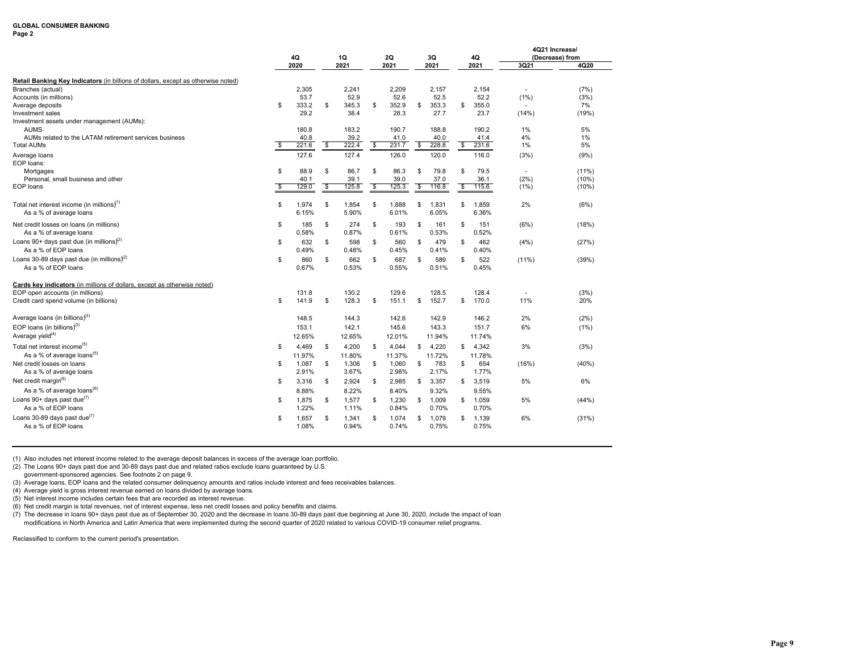### **Page 2**

|                                                                                                                                                      |    | 4Q                     |                          | 1Q                     |     | 2Q                     |                         | 3Q                     |            | 4Q                     | 4Q21 Increase/          | (Decrease) from    |
|------------------------------------------------------------------------------------------------------------------------------------------------------|----|------------------------|--------------------------|------------------------|-----|------------------------|-------------------------|------------------------|------------|------------------------|-------------------------|--------------------|
|                                                                                                                                                      |    | 2020                   |                          | 2021                   |     | 2021                   |                         | 2021                   |            | 2021                   | 3Q21                    | 4Q20               |
| Retail Banking Key Indicators (in billions of dollars, except as otherwise noted)<br>Branches (actual)<br>Accounts (in millions)<br>Average deposits | \$ | 2,305<br>53.7<br>333.2 | \$                       | 2,241<br>52.9<br>345.3 | \$  | 2,209<br>52.6<br>352.9 | \$                      | 2,157<br>52.5<br>353.3 | \$         | 2,154<br>52.2<br>355.0 | $\blacksquare$<br>(1% ) | (7%)<br>(3%)<br>7% |
| Investment sales<br>Investment assets under management (AUMs):<br><b>AUMS</b>                                                                        |    | 29.2<br>180.8          |                          | 38.4<br>183.2          |     | 28.3<br>190.7          |                         | 27.7<br>188.8          |            | 23.7<br>190.2          | (14%)<br>1%             | (19%)<br>5%        |
| AUMs related to the LATAM retirement services business<br><b>Total AUMs</b>                                                                          | \$ | 40.8<br>221.6          | $\overline{\mathcal{S}}$ | 39.2<br>222.4          | -\$ | 41.0<br>231.7          | $\overline{\mathbf{3}}$ | 40.0<br>228.8          | $\sqrt{3}$ | 41.4<br>231.6          | 4%<br>1%                | 1%<br>5%           |
| Average loans<br>EOP loans:<br>Mortgages                                                                                                             | \$ | 127.6<br>88.9          | \$                       | 127.4<br>86.7          | \$  | 126.0<br>86.3          | \$                      | 120.0<br>79.8          | \$         | 116.0<br>79.5          | (3%)<br>$\blacksquare$  | (9%)<br>$(11\%)$   |
| Personal, small business and other<br>EOP loans                                                                                                      | s  | 40.1<br>129.0          | \$                       | 39.1<br>125.8          | \$  | 39.0<br>125.3          | \$                      | 37.0<br>116.8          | \$         | 36.1<br>115.6          | (2%)<br>$(1\%)$         | (10%)<br>(10%)     |
| Total net interest income (in millions) <sup>1)</sup><br>As a % of average loans                                                                     | \$ | 1,974<br>6.15%         | \$                       | 1,854<br>5.90%         | \$  | 1,888<br>6.01%         | \$                      | 1,831<br>6.05%         | \$         | 1,859<br>6.36%         | 2%                      | (6%)               |
| Net credit losses on loans (in millions)<br>As a % of average loans                                                                                  | \$ | 185<br>0.58%           | \$                       | 274<br>0.87%           | \$  | 193<br>0.61%           | \$                      | 161<br>0.53%           | \$         | 151<br>0.52%           | (6%)                    | (18%)              |
| Loans 90+ days past due (in millions) <sup>(2)</sup><br>As a % of EOP loans                                                                          | S  | 632<br>0.49%           | \$                       | 598<br>0.48%           | \$  | 560<br>0.45%           | \$                      | 479<br>0.41%           | \$         | 462<br>0.40%           | (4%)                    | (27%)              |
| Loans 30-89 days past due (in millions) <sup>2)</sup><br>As a % of EOP loans                                                                         | \$ | 860<br>0.67%           | \$                       | 662<br>0.53%           | \$  | 687<br>0.55%           | \$                      | 589<br>0.51%           | \$         | 522<br>0.45%           | $(11\%)$                | (39%)              |
| Cards key indicators (in millions of dollars, except as otherwise noted)<br>EOP open accounts (in millions)                                          |    | 131.8                  |                          | 130.2                  |     | 129.6                  |                         | 128.5                  |            | 128.4                  |                         | (3%)               |
| Credit card spend volume (in billions)<br>Average loans (in billions) $^{(3)}$                                                                       | \$ | 141.9<br>148.5         | \$                       | 128.3<br>144.3         | \$  | 151.1<br>142.6         | \$                      | 152.7<br>142.9         | \$         | 170.0<br>146.2         | 11%<br>2%               | 20%<br>(2%)        |
| EOP loans (in billions) <sup>3)</sup><br>Average yield $(4)$                                                                                         |    | 153.1<br>12.65%        |                          | 142.1<br>12.65%        |     | 145.6<br>12.01%        |                         | 143.3<br>11.94%        |            | 151.7<br>11.74%        | 6%                      | (1% )              |
| Total net interest income <sup>(5)</sup><br>As a % of average loans <sup>(5)</sup>                                                                   | S  | 4.469<br>11.97%        | \$                       | 4,200<br>11.80%        | \$  | 4.044<br>11.37%        | \$                      | 4.220<br>11.72%        | \$         | 4,342<br>11.78%        | 3%                      | (3%)               |
| Net credit losses on loans<br>As a % of average loans                                                                                                | \$ | 1,087<br>2.91%         | \$                       | 1,306<br>3.67%         | \$  | 1,060<br>2.98%         | \$                      | 783<br>2.17%           | \$         | 654<br>1.77%           | (16%)                   | (40%               |
| Net credit margin <sup>(6)</sup><br>As a % of average loans <sup>(6)</sup>                                                                           | S  | 3,316<br>8.88%         | \$                       | 2,924<br>8.22%         | \$  | 2,985<br>8.40%         | \$                      | 3,357<br>9.32%         | \$         | 3,519<br>9.55%         | 5%                      | 6%                 |
| Loans 90+ days past due $^{(7)}$<br>As a % of EOP loans                                                                                              | S  | 1,875<br>1.22%         | \$                       | 1,577<br>1.11%         | \$  | 1.230<br>0.84%         | \$                      | 1.009<br>0.70%         | \$         | 1.059<br>0.70%         | 5%                      | (44%)              |
| Loans 30-89 days past due $(7)$<br>As a % of EOP loans                                                                                               | S  | 1,657<br>1.08%         | \$                       | 1,341<br>0.94%         | \$  | 1,074<br>0.74%         | \$                      | 1,079<br>0.75%         | \$         | 1,139<br>0.75%         | 6%                      | (31%)              |

(1) Also includes net interest income related to the average deposit balances in excess of the average loan portfolio.

(2) The Loans 90+ days past due and 30-89 days past due and related ratios exclude loans guaranteed by U.S.

government-sponsored agencies. See footnote 2 on page 9.

(3) Average loans, EOP loans and the related consumer delinquency amounts and ratios include interest and fees receivables balances.

(4) Average yield is gross interest revenue earned on loans divided by average loans.

(5) Net interest income includes certain fees that are recorded as interest revenue.

(6) Net credit margin is total revenues, net of interest expense, less net credit losses and policy benefits and claims.

(7) The decrease in loans 90+ days past due as of September 30, 2020 and the decrease in loans 30-89 days past due beginning at June 30, 2020, include the impact of loan modifications in North America and Latin America that were implemented during the second quarter of 2020 related to various COVID-19 consumer relief programs.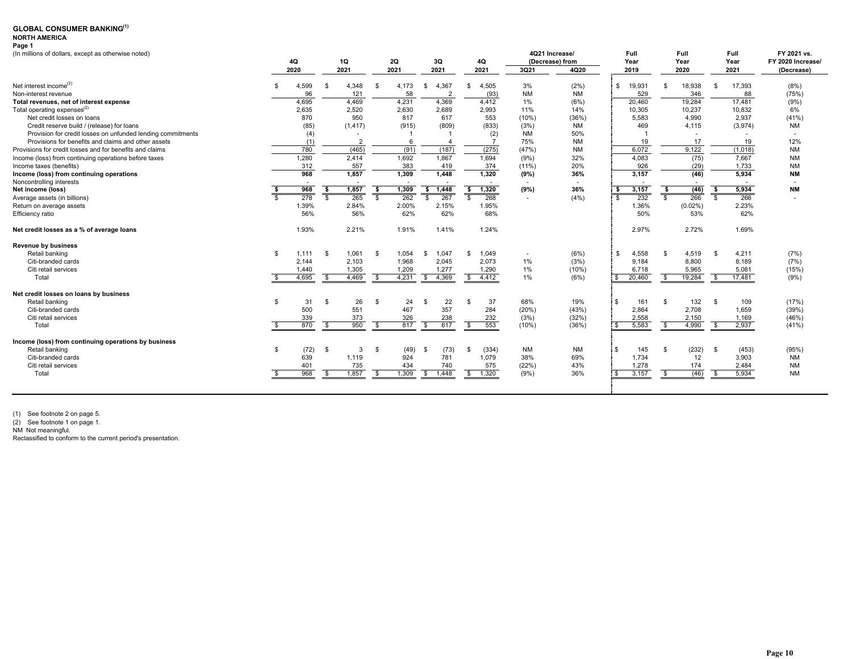#### **NORTH AMERICA Page 1**

| (In millions of dollars, except as otherwise noted)         |              |       |              |          |              |       |                     |              |           | 4Q21 Increase/  | Full                |                | Full       |                         | <b>Full</b> | FY 2021 vs.              |
|-------------------------------------------------------------|--------------|-------|--------------|----------|--------------|-------|---------------------|--------------|-----------|-----------------|---------------------|----------------|------------|-------------------------|-------------|--------------------------|
|                                                             |              | 4Q    |              | 1Q       |              | 2Q    | 3Q                  | 4Q           |           | (Decrease) from | Year                |                | Year       |                         | Year        | FY 2020 Increase/        |
|                                                             |              | 2020  |              | 2021     |              | 2021  | 2021                | 2021         | 3Q21      | 4Q20            | 2019                |                | 2020       |                         | 2021        | (Decrease)               |
| Net interest income <sup>(2)</sup>                          | \$           | 4,599 | - \$         | 4,348    | -S           | 4.173 | 4.367<br>\$         | 4,505<br>-\$ | 3%        | (2% )           | \$<br>19,931        | \$             | 18,938     | -S                      | 17,393      | (8%)                     |
| Non-interest revenue                                        |              | 96    |              | 121      |              | 58    | $\overline{2}$      | (93)         | <b>NM</b> | <b>NM</b>       | 529                 |                | 346        |                         | 88          | (75%)                    |
| Total revenues, net of interest expense                     |              | 4.695 |              | 4.469    |              | 4,231 | 4,369               | 4,412        | 1%        | (6%)            | 20,460              |                | 19,284     |                         | 17,481      | (9% )                    |
| Total operating expenses <sup>(2)</sup>                     |              | 2,635 |              | 2,520    |              | 2,630 | 2,689               | 2,993        | 11%       | 14%             | 10,305              |                | 10,237     |                         | 10,832      | 6%                       |
| Net credit losses on loans                                  |              | 870   |              | 950      |              | 817   | 617                 | 553          | (10%      | (36%)           | 5,583               |                | 4,990      |                         | 2,937       | (41%)                    |
| Credit reserve build / (release) for loans                  |              | (85)  |              | (1, 417) |              | (915) | (809)               | (833)        | (3%)      | <b>NM</b>       | 469                 |                | 4.115      |                         | (3,974)     | <b>NM</b>                |
| Provision for credit losses on unfunded lending commitments |              | (4)   |              |          |              |       |                     | (2)          | NM        | 50%             |                     |                | ٠          |                         |             | $\overline{\phantom{a}}$ |
| Provisions for benefits and claims and other assets         |              | (1)   |              |          |              | 6     |                     |              | 75%       | <b>NM</b>       | 19                  |                | 17         |                         | 19          | 12%                      |
| Provisions for credit losses and for benefits and claims    |              | 780   |              | (465)    |              | (91)  | (187)               | (275)        | (47%)     | <b>NM</b>       | 6,072               |                | 9,122      |                         | (1,018)     | <b>NM</b>                |
| Income (loss) from continuing operations before taxes       |              | 1,280 |              | 2.414    |              | 1,692 | 1,867               | 1,694        | (9%)      | 32%             | 4,083               |                | (75)       |                         | 7,667       | <b>NM</b>                |
| Income taxes (benefits)                                     |              | 312   |              | 557      |              | 383   | 419                 | 374          | $(11\%)$  | 20%             | 926                 |                | (29)       |                         | 1.733       | <b>NM</b>                |
| Income (loss) from continuing operations                    |              | 968   |              | 1,857    |              | 1,309 | 1,448               | 1,320        | (9%)      | 36%             | 3,157               |                | (46)       |                         | 5,934       | <b>NM</b>                |
| Noncontrolling interests                                    |              |       |              |          |              |       |                     |              |           |                 |                     |                |            |                         |             |                          |
| Net income (loss)                                           |              | 968   | -\$          | 1,857    | - 56         | 1,309 | \$1,448             | 1,320<br>\$  | (9%)      | 36%             | 3,157<br>\$         | \$             | (46)       | \$                      | 5,934       | <b>NM</b>                |
| Average assets (in billions)                                |              | 278   | $\mathbf{s}$ | 265      | $\mathbf{s}$ | 262   | 267<br>S.           | s,<br>268    | $\sim$    | (4% )           | 232<br>$\mathbf{s}$ | $\overline{s}$ | 266        | $\overline{\mathbf{s}}$ | 266         | $\overline{\phantom{a}}$ |
| Return on average assets                                    |              | 1.39% |              | 2.84%    |              | 2.00% | 2.15%               | 1.95%        |           |                 | 1.36%               |                | $(0.02\%)$ |                         | 2.23%       |                          |
| Efficiency ratio                                            |              | 56%   |              | 56%      |              | 62%   | 62%                 | 68%          |           |                 | 50%                 |                | 53%        |                         | 62%         |                          |
| Net credit losses as a % of average loans                   |              | 1.93% |              | 2.21%    |              | 1.91% | 1.41%               | 1.24%        |           |                 | 2.97%               |                | 2.72%      |                         | 1.69%       |                          |
| <b>Revenue by business</b>                                  |              |       |              |          |              |       |                     |              |           |                 |                     |                |            |                         |             |                          |
| Retail banking                                              | \$           | 1,111 | - \$         | 1,061    | \$           | 1,054 | 1,047<br>S          | 1,049<br>-\$ |           | (6%)            | 4,558<br>\$         | \$             | 4,519      | - \$                    | 4,211       | (7%)                     |
| Citi-branded cards                                          |              | 2,144 |              | 2,103    |              | 1,968 | 2,045               | 2,073        | 1%        | (3%)            | 9,184               |                | 8,800      |                         | 8,189       | (7%)                     |
| Citi retail services                                        |              | 1,440 |              | 1,305    |              | 1,209 | 1,277               | 1,290        | 1%        | (10%)           | 6.718               |                | 5.965      |                         | 5,081       | (15%)                    |
| Total                                                       |              | 4,695 | \$           | 4,469    | -S           | 4,231 | 4,369<br>\$         | 4,412<br>\$  | $1\%$     | (6%)            | 20,460<br>\$        | - \$           | 19,284     | \$                      | 17,481      | (9%)                     |
| Net credit losses on loans by business                      |              |       |              |          |              |       |                     |              |           |                 |                     |                |            |                         |             |                          |
| Retail banking                                              | $\mathbf{s}$ | 31    | - \$         | 26       | Ŝ.           | 24    | 22<br>-S            | 37<br>-\$    | 68%       | 19%             | $\mathbb{S}$<br>161 | $\mathbf{s}$   | 132        | -S                      | 109         | (17%)                    |
| Citi-branded cards                                          |              | 500   |              | 551      |              | 467   | 357                 | 284          | (20%)     | (43%)           | 2,864               |                | 2,708      |                         | 1,659       | (39%)                    |
| Citi retail services                                        |              | 339   |              | 373      |              | 326   | 238                 | 232          | (3%)      | (32%)           | 2,558               |                | 2,150      |                         | 1,169       | (46%)                    |
| Total                                                       |              | 870   | $\mathbf{s}$ | 950      | -S           | 817   | 617<br>$\mathbb{S}$ | 553<br>\$    | (10%)     | (36%)           | 5,583<br>\$.        | \$             | 4,990      | S.                      | 2,937       | (41%)                    |
| Income (loss) from continuing operations by business        |              |       |              |          |              |       |                     |              |           |                 |                     |                |            |                         |             |                          |
| Retail banking                                              | $\mathbf{s}$ | (72)  | \$           | 3        | \$           | (49)  | (73)<br>-S          | (334)<br>-\$ | <b>NM</b> | <b>NM</b>       | \$<br>145           | \$             | (232)      | -S                      | (453)       | (95%)                    |
| Citi-branded cards                                          |              | 639   |              | 1,119    |              | 924   | 781                 | 1,079        | 38%       | 69%             | 1,734               |                | 12         |                         | 3.903       | <b>NM</b>                |
| Citi retail services                                        |              | 401   |              | 735      |              | 434   | 740                 | 575          | (22%)     | 43%             | 1,278               |                | 174        |                         | 2,484       | <b>NM</b>                |
| Total                                                       |              | 968   | \$           | 1,857    | -S           | 1,309 | \$ 1,448            | \$<br>1,320  | (9% )     | 36%             | 3,157<br>\$.        | s,             | (46)       | -S                      | 5,934       | <b>NM</b>                |
|                                                             |              |       |              |          |              |       |                     |              |           |                 |                     |                |            |                         |             |                          |

(1) See footnote 2 on page 5. (2) See footnote 1 on page 1. NM Not meaningful.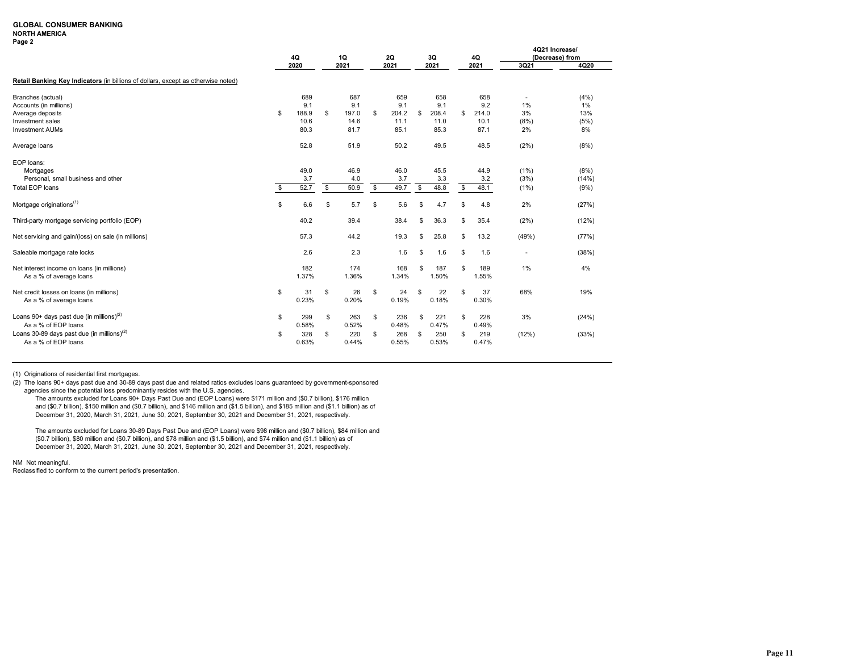### **NORTH AMERICA**

| .<br>п<br>œ |  |
|-------------|--|
|-------------|--|

|                                                                                   | 4Q |               | 1Q                  | 2Q                  |    | 3Q            |    | 4Q            |            | 4Q21 Increase/<br>(Decrease) from |
|-----------------------------------------------------------------------------------|----|---------------|---------------------|---------------------|----|---------------|----|---------------|------------|-----------------------------------|
|                                                                                   |    | 2020          | 2021                | 2021                |    | 2021          |    | 2021          | 3Q21       | 4Q20                              |
| Retail Banking Key Indicators (in billions of dollars, except as otherwise noted) |    |               |                     |                     |    |               |    |               |            |                                   |
| Branches (actual)                                                                 |    | 689           | 687                 | 659                 |    | 658           |    | 658           |            | (4%)                              |
| Accounts (in millions)                                                            |    | 9.1           | 9.1                 | 9.1                 |    | 9.1           |    | 9.2           | 1%         | 1%                                |
| Average deposits<br>Investment sales                                              | \$ | 188.9<br>10.6 | \$<br>197.0<br>14.6 | \$<br>204.2<br>11.1 | \$ | 208.4<br>11.0 | s. | 214.0<br>10.1 | 3%<br>(8%) | 13%<br>(5%)                       |
| <b>Investment AUMs</b>                                                            |    | 80.3          | 81.7                | 85.1                |    | 85.3          |    | 87.1          | 2%         | 8%                                |
| Average loans                                                                     |    | 52.8          | 51.9                | 50.2                |    | 49.5          |    | 48.5          | (2%)       | (8%)                              |
| EOP loans:                                                                        |    |               |                     |                     |    |               |    |               |            |                                   |
| Mortgages                                                                         |    | 49.0          | 46.9                | 46.0                |    | 45.5          |    | 44.9          | (1%)       | (8%)                              |
| Personal, small business and other                                                |    | 3.7           | 4.0                 | 3.7                 |    | 3.3           |    | 3.2           | (3%)       | (14%)                             |
| <b>Total EOP loans</b>                                                            | \$ | 52.7          | \$<br>50.9          | \$<br>49.7          | \$ | 48.8          | \$ | 48.1          | (1%)       | (9%)                              |
| Mortgage originations <sup>(1)</sup>                                              | \$ | 6.6           | \$<br>5.7           | \$<br>5.6           | \$ | 4.7           | \$ | 4.8           | 2%         | (27%)                             |
| Third-party mortgage servicing portfolio (EOP)                                    |    | 40.2          | 39.4                | 38.4                | \$ | 36.3          | \$ | 35.4          | (2%)       | (12%)                             |
| Net servicing and gain/(loss) on sale (in millions)                               |    | 57.3          | 44.2                | 19.3                | \$ | 25.8          | \$ | 13.2          | (49%)      | (77%)                             |
| Saleable mortgage rate locks                                                      |    | 2.6           | 2.3                 | 1.6                 | S  | 1.6           | S  | 1.6           |            | (38%)                             |
| Net interest income on loans (in millions)                                        |    | 182           | 174                 | 168                 | \$ | 187           | \$ | 189           | 1%         | 4%                                |
| As a % of average loans                                                           |    | 1.37%         | 1.36%               | 1.34%               |    | 1.50%         |    | 1.55%         |            |                                   |
| Net credit losses on loans (in millions)                                          | \$ | 31            | \$<br>26            | \$<br>24            | \$ | 22            | \$ | 37            | 68%        | 19%                               |
| As a % of average loans                                                           |    | 0.23%         | 0.20%               | 0.19%               |    | 0.18%         |    | 0.30%         |            |                                   |
| Loans 90+ days past due (in millions) <sup>(2)</sup>                              | \$ | 299           | \$<br>263           | \$<br>236           | \$ | 221           | \$ | 228           | 3%         | (24%)                             |
| As a % of EOP loans                                                               |    | 0.58%         | 0.52%               | 0.48%               |    | 0.47%         |    | 0.49%         |            |                                   |
| Loans 30-89 days past due (in millions) $(2)$                                     | S  | 328           | \$<br>220           | \$<br>268           | \$ | 250           | £. | 219           | (12%)      | (33%)                             |
| As a % of EOP loans                                                               |    | 0.63%         | 0.44%               | 0.55%               |    | 0.53%         |    | 0.47%         |            |                                   |

(1) Originations of residential first mortgages.

(2) The loans 90+ days past due and 30-89 days past due and related ratios excludes loans guaranteed by government-sponsored agencies since the potential loss predominantly resides with the U.S. agencies.

The amounts excluded for Loans 90+ Days Past Due and (EOP Loans) were \$171 million and (\$0.7 billion), \$176 million and (\$0.7 billion), \$150 million and (\$0.7 billion), and \$146 million and (\$1.5 billion), and \$185 million and (\$1.1 billion) as of December 31, 2020, March 31, 2021, June 30, 2021, September 30, 2021 and December 31, 2021, respectively.

The amounts excluded for Loans 30-89 Days Past Due and (EOP Loans) were \$98 million and (\$0.7 billion), \$84 million and (\$0.7 billion), \$80 million and (\$0.7 billion), and \$78 million and (\$1.5 billion), and \$74 million and (\$1.1 billion) as of December 31, 2020, March 31, 2021, June 30, 2021, September 30, 2021 and December 31, 2021, respectively.

NM Not meaningful.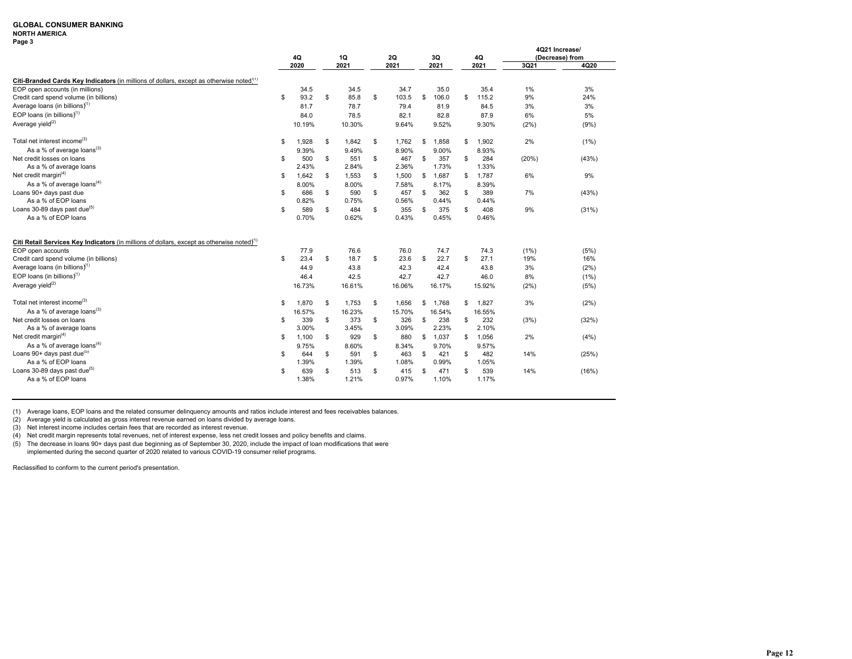### **NORTH AMERICA**

|                                                                                                     | 4Q          | 1Q          | 2Q          | 3Q          |    | 4Q     | 4Q21 Increase/ | (Decrease) from |
|-----------------------------------------------------------------------------------------------------|-------------|-------------|-------------|-------------|----|--------|----------------|-----------------|
|                                                                                                     | 2020        | 2021        | 2021        | 2021        |    | 2021   | 3Q21           | 4Q20            |
| Citi-Branded Cards Key Indicators (in millions of dollars, except as otherwise noted $\binom{1}{1}$ |             |             |             |             |    |        |                |                 |
| EOP open accounts (in millions)                                                                     | 34.5        | 34.5        | 34.7        | 35.0        |    | 35.4   | 1%             | 3%              |
| Credit card spend volume (in billions)                                                              | \$<br>93.2  | \$<br>85.8  | \$<br>103.5 | \$<br>106.0 | s. | 115.2  | 9%             | 24%             |
| Average loans (in billions) $(1)$                                                                   | 81.7        | 78.7        | 79.4        | 81.9        |    | 84.5   | 3%             | 3%              |
| EOP loans (in billions) $(1)$                                                                       | 84.0        | 78.5        | 82.1        | 82.8        |    | 87.9   | 6%             | 5%              |
| Average yield <sup>(2)</sup>                                                                        | 10.19%      | 10.30%      | 9.64%       | 9.52%       |    | 9.30%  | (2%)           | (9%)            |
| Total net interest income <sup>(3)</sup>                                                            | \$<br>1,928 | \$<br>1,842 | \$<br>1,762 | \$<br>1,858 | S  | 1,902  | 2%             | (1%)            |
| As a % of average loans <sup>(3)</sup>                                                              | 9.39%       | 9.49%       | 8.90%       | 9.00%       |    | 8.93%  |                |                 |
| Net credit losses on loans                                                                          | \$<br>500   | \$<br>551   | \$<br>467   | \$<br>357   | S  | 284    | (20%)          | (43%)           |
| As a % of average loans                                                                             | 2.43%       | 2.84%       | 2.36%       | 1.73%       |    | 1.33%  |                |                 |
| Net credit margin $(4)$                                                                             | \$<br>1,642 | \$<br>1,553 | \$<br>1,500 | \$<br>1,687 | \$ | 1,787  | 6%             | 9%              |
| As a % of average loans $(4)$                                                                       | 8.00%       | 8.00%       | 7.58%       | 8.17%       |    | 8.39%  |                |                 |
| Loans 90+ days past due                                                                             | \$<br>686   | \$<br>590   | \$<br>457   | \$<br>362   | s. | 389    | 7%             | (43%)           |
| As a % of EOP loans                                                                                 | 0.82%       | 0.75%       | 0.56%       | 0.44%       |    | 0.44%  |                |                 |
| Loans 30-89 days past due <sup>(5)</sup>                                                            | \$<br>589   | \$<br>484   | \$<br>355   | \$<br>375   | S  | 408    | 9%             | (31%)           |
| As a % of EOP loans                                                                                 | 0.70%       | 0.62%       | 0.43%       | 0.45%       |    | 0.46%  |                |                 |
|                                                                                                     |             |             |             |             |    |        |                |                 |
| Citi Retail Services Key Indicators (in millions of dollars, except as otherwise noted) $(1)$       |             |             |             |             |    |        |                |                 |
| EOP open accounts                                                                                   | 77.9        | 76.6        | 76.0        | 74.7        |    | 74.3   | (1%)           | (5%)            |
| Credit card spend volume (in billions)                                                              | \$<br>23.4  | \$<br>18.7  | \$<br>23.6  | \$<br>22.7  | \$ | 27.1   | 19%            | 16%             |
| Average loans (in billions) $(1)$                                                                   | 44.9        | 43.8        | 42.3        | 42.4        |    | 43.8   | 3%             | (2%)            |
| EOP loans (in billions) $(1)$                                                                       | 46.4        | 42.5        | 42.7        | 42.7        |    | 46.0   | 8%             | (1%)            |
| Average yield <sup>(2)</sup>                                                                        | 16.73%      | 16.61%      | 16.06%      | 16.17%      |    | 15.92% | (2%)           | (5%)            |
| Total net interest income <sup>(3)</sup>                                                            | \$<br>1,870 | \$<br>1,753 | \$<br>1,656 | \$<br>1,768 | s. | 1,827  | 3%             | (2%)            |
| As a % of average loans $^{(3)}$                                                                    | 16.57%      | 16.23%      | 15.70%      | 16.54%      |    | 16.55% |                |                 |
| Net credit losses on loans                                                                          | \$<br>339   | \$<br>373   | \$<br>326   | \$<br>238   | \$ | 232    | (3%)           | (32%)           |
| As a % of average loans                                                                             | 3.00%       | 3.45%       | 3.09%       | 2.23%       |    | 2.10%  |                |                 |
| Net credit margin $(4)$                                                                             | \$<br>1,100 | \$<br>929   | \$<br>880   | \$<br>1,037 | s. | 1,056  | 2%             | (4% )           |
| As a % of average loans $(4)$                                                                       | 9.75%       | 8.60%       | 8.34%       | 9.70%       |    | 9.57%  |                |                 |
| Loans 90+ days past due <sup>(5)</sup>                                                              | \$<br>644   | \$<br>591   | \$<br>463   | \$<br>421   | \$ | 482    | 14%            | (25%)           |
| As a % of EOP loans                                                                                 | 1.39%       | 1.39%       | 1.08%       | 0.99%       |    | 1.05%  |                |                 |
| Loans 30-89 days past due <sup>(5)</sup>                                                            | \$<br>639   | \$<br>513   | \$<br>415   | \$<br>471   | \$ | 539    | 14%            | (16%)           |
| As a % of EOP loans                                                                                 | 1.38%       | 1.21%       | 0.97%       | 1.10%       |    | 1.17%  |                |                 |

(1) Average loans, EOP loans and the related consumer delinquency amounts and ratios include interest and fees receivables balances.

(2) Average yield is calculated as gross interest revenue earned on loans divided by average loans. (3) Net interest income includes certain fees that are recorded as interest revenue.

(4) Net credit margin represents total revenues, net of interest expense, less net credit losses and policy benefits and claims.

(5) The decrease in loans 90+ days past due beginning as of September 30, 2020, include the impact of loan modifications that were implemented during the second quarter of 2020 related to various COVID-19 consumer relief programs.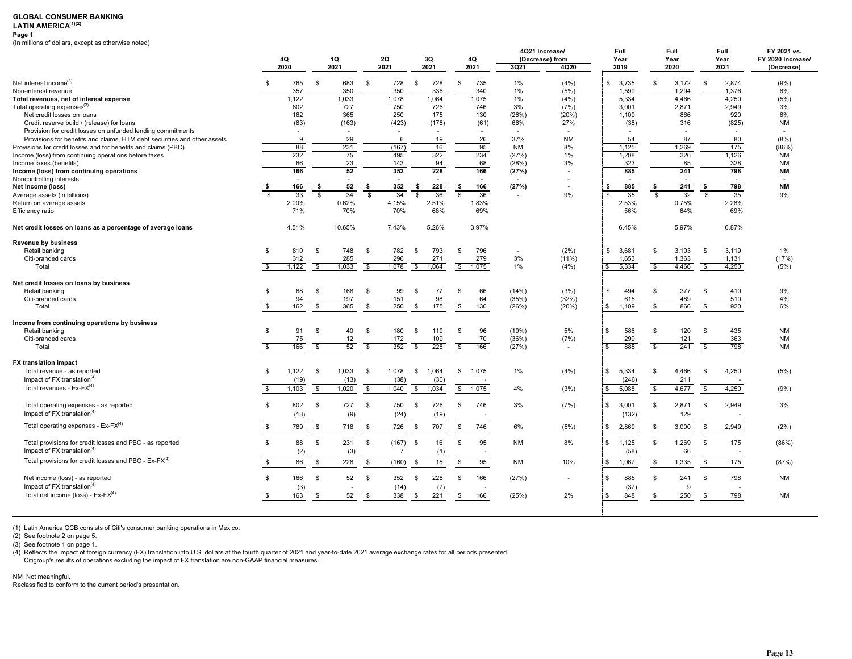## LATIN AMERICA<sup>(1)(2)</sup>

**Page 1**

(In millions of dollars, except as otherwise noted)

|                                                                          |                |                           |                          |                          |                                  | 4Q21 Increase/ | Full                             |           | Full            | Full                  |                    | FY 2021 vs. |                    |                |                   |
|--------------------------------------------------------------------------|----------------|---------------------------|--------------------------|--------------------------|----------------------------------|----------------|----------------------------------|-----------|-----------------|-----------------------|--------------------|-------------|--------------------|----------------|-------------------|
|                                                                          | 4Q             |                           | 1Q                       | 2Q                       |                                  | 3Q             | 4Q                               |           | (Decrease) from | Year                  |                    | Year        | Year               |                | FY 2020 Increase/ |
|                                                                          | 2020           |                           | 2021                     | 2021                     |                                  | 2021           | 2021                             | 3Q21      | 4Q20            | 2019                  |                    | 2020        | 2021               |                | (Decrease)        |
| Net interest income <sup>(3)</sup>                                       | $\mathbf{s}$   | 765<br>\$                 | 683                      | -S                       | 728<br>-S                        | 728            | 735<br>\$                        | 1%        | (4% )           | \$3,735               | \$                 | 3,172       | \$.                | 2,874          | (9% )             |
| Non-interest revenue                                                     |                | 357                       | 350                      |                          | 350                              | 336            | 340                              | 1%        | (5%)            | 1,599                 |                    | 1,294       |                    | 1,376          | 6%                |
| Total revenues, net of interest expense                                  | 1,122          |                           | 1,033                    |                          | 1,078                            | 1,064          | 1,075                            | 1%        | (4% )           | 5,334                 |                    | 4,466       |                    | 4,250          | (5%)              |
| Total operating expenses <sup>(3)</sup>                                  |                | 802                       | 727                      |                          | 750                              | 726            | 746                              | 3%        | (7%)            | 3,001                 |                    | 2,871       |                    | 2,949          | 3%                |
| Net credit losses on loans                                               |                | 162                       | 365                      |                          | 250                              | 175            | 130                              | (26%)     | (20%)           | 1,109                 |                    | 866         |                    | 920            | 6%                |
| Credit reserve build / (release) for loans                               |                | (83)                      | (163)                    |                          | (423)                            | (178)          | (61)                             | 66%       | 27%             | (38)                  |                    | 316         |                    | (825)          | <b>NM</b>         |
| Provision for credit losses on unfunded lending commitments              |                | $\sim$                    | $\overline{\phantom{a}}$ |                          |                                  |                |                                  | $\sim$    |                 |                       |                    |             |                    |                |                   |
| Provisions for benefits and claims, HTM debt securities and other assets |                | 9                         | 29                       |                          | 6                                | 19             | 26                               | 37%       | <b>NM</b>       | 54                    |                    | 87          |                    | 80             | (8%)              |
| Provisions for credit losses and for benefits and claims (PBC)           |                | 88                        | 231                      |                          | (167)                            | 16             | 95                               | <b>NM</b> | 8%              | 1,125                 |                    | 1,269       |                    | 175            | (86%)             |
| Income (loss) from continuing operations before taxes                    |                | 232                       | 75                       |                          | 495                              | 322            | 234                              | (27%)     | 1%              | 1,208                 |                    | 326         |                    | 1,126          | <b>NM</b>         |
| Income taxes (benefits)                                                  |                | 66                        | 23                       |                          | 143                              | 94             | 68                               | (28%)     | 3%              | 323                   |                    | 85          |                    | 328            | <b>NM</b>         |
| Income (loss) from continuing operations                                 |                | 166                       | 52                       |                          | 352                              | 228            | 166                              | (27%)     |                 | 885                   |                    | 241         |                    | 798            | <b>NM</b>         |
| Noncontrolling interests                                                 |                |                           |                          |                          |                                  |                |                                  |           |                 |                       |                    |             |                    |                |                   |
| Net income (loss)                                                        | \$             | 166<br>\$                 | 52                       | \$                       | 352<br>\$                        | 228            | \$<br>166                        | (27%)     | $\blacksquare$  | \$<br>885             | \$                 | 241         | \$                 | 798            | <b>NM</b>         |
| Average assets (in billions)                                             |                | 33<br>$\mathbb{S}$        | 34                       | \$                       | 34<br>\$                         | 36             | 36<br>\$                         |           | 9%              | 35<br>$\mathbf{s}$    | $\mathbf{\hat{S}}$ | 32          | $\mathbb{S}$       | 35             | 9%                |
| Return on average assets                                                 | 2.00%          |                           | 0.62%                    |                          | 4.15%                            | 2.51%          | 1.83%                            |           |                 | 2.53%                 |                    | 0.75%       |                    | 2.28%          |                   |
| Efficiency ratio                                                         |                | 71%                       | 70%                      |                          | 70%                              | 68%            | 69%                              |           |                 | 56%                   |                    | 64%         |                    | 69%            |                   |
| Net credit losses on loans as a percentage of average loans              | 4.51%          |                           | 10.65%                   |                          | 7.43%                            | 5.26%          | 3.97%                            |           |                 | 6.45%                 |                    | 5.97%       |                    | 6.87%          |                   |
| Revenue by business                                                      |                |                           |                          |                          |                                  |                |                                  |           |                 |                       |                    |             |                    |                |                   |
| Retail banking                                                           | \$             | 810<br>\$                 | 748                      | \$                       | 782<br>-S                        | 793            | 796<br><b>S</b>                  |           | (2%)            | $\mathbb{S}$<br>3,681 | \$                 | 3,103       | $\mathfrak s$      | 3,119          | 1%                |
| Citi-branded cards                                                       |                | 312                       | 285                      |                          | 296                              | 271            | 279                              | 3%        | $(11\%)$        | 1,653                 |                    | 1,363       |                    | 1,131          | (17%)             |
| Total                                                                    | -S<br>1,122    | $\overline{\mathbf{s}}$   | 1,033                    | -\$                      | 1,078<br>$\overline{\mathbf{s}}$ | 1,064          | $\overline{\mathbf{s}}$<br>1,075 | 1%        | (4%)            | 5,334<br>\$           | $\mathbf{\hat{s}}$ | 4,466       | $\mathbf{\hat{s}}$ | 4,250          | (5%)              |
| Net credit losses on loans by business                                   |                |                           |                          |                          |                                  |                |                                  |           |                 |                       |                    |             |                    |                |                   |
| Retail banking                                                           | $\mathbf{s}$   | 68<br>$\mathbf{s}$        | 168                      | \$                       | 99<br>$\mathbb{S}$               | 77             | \$<br>66                         | (14%)     | (3%)            | \$<br>494             | \$                 | 377         | $\mathbf{s}$       | 410            | 9%                |
| Citi-branded cards                                                       |                | 94                        | 197                      |                          | 151                              | 98             | 64                               | (35%)     | (32%)           | 615                   |                    | 489         |                    | 510            | 4%                |
| Total                                                                    | s.             | 162<br>$\mathbf{\hat{s}}$ | 365                      | $\mathbf{s}$             | 250<br>s,                        | 175            | $\mathbf{\hat{s}}$<br>130        | (26%)     | (20%)           | 1,109<br>\$           | -S                 | 866         | S.                 | 920            | 6%                |
| Income from continuing operations by business                            |                |                           |                          |                          |                                  |                |                                  |           |                 |                       |                    |             |                    |                |                   |
| Retail banking                                                           | $\mathfrak{R}$ | 91<br>-\$                 | 40                       | - \$                     | 180<br>-S                        | 119            | 96<br>\$.                        | (19%)     | 5%              | \$<br>586             | \$                 | 120         | \$.                | 435            | <b>NM</b>         |
| Citi-branded cards                                                       |                | 75                        | 12                       |                          | 172                              | 109            | 70                               | (36%)     | (7%)            | 299                   |                    | 121         |                    | 363            | <b>NM</b>         |
| Total                                                                    | \$             | 166<br>\$                 | 52                       | $\overline{\mathcal{S}}$ | 352<br>\$                        | 228            | $\overline{\mathcal{S}}$<br>166  | (27%)     |                 | 885<br>\$             | $\frac{1}{2}$      | 241         | \$                 | 798            | <b>NM</b>         |
| <b>FX translation impact</b>                                             |                |                           |                          |                          |                                  |                |                                  |           |                 |                       |                    |             |                    |                |                   |
| Total revenue - as reported                                              | \$<br>1.122    | -\$                       | 1,033                    | - \$                     | 1.078<br>-S                      | 1.064          | 1.075<br>\$                      | $1\%$     | (4%)            | 5.334<br>\$           | \$.                | 4.466       | \$                 | 4,250          | (5%)              |
| Impact of FX translation $(4)$                                           |                | (19)                      | (13)                     |                          | (38)                             | (30)           |                                  |           |                 | (246)                 |                    | 211         |                    |                |                   |
| Total revenues - $Ex-FX^{(4)}$                                           | \$<br>1,103    | \$                        | 1,020                    | $\mathbb{S}$             | 1,040<br>\$                      | 1,034          | \$<br>1,075                      | 4%        | (3%)            | 5,088<br>\$           | \$                 | 4,677       | \$                 | 4,250          | (9%)              |
|                                                                          |                |                           |                          |                          |                                  |                |                                  |           |                 |                       |                    |             |                    |                |                   |
| Total operating expenses - as reported                                   | $\mathfrak s$  | 802<br>- \$               | 727                      | - \$                     | 750<br>-S                        | 726            | \$<br>746                        | 3%        | (7%)            | \$3.001               | \$                 | 2,871       | s.                 | 2,949          | 3%                |
| Impact of FX translation $(4)$                                           |                | (13)                      | (9)                      |                          | (24)                             | (19)           |                                  |           |                 | (132)                 |                    | 129         |                    |                |                   |
| Total operating expenses - $Ex-FX^{(4)}$                                 | \$             | 789<br>S.                 | 718                      | \$                       | 726<br>- \$                      | 707            | \$<br>746                        | 6%        | (5%)            | \$ 2,869              | \$                 | 3,000       | S.                 | 2,949          | (2%)              |
| Total provisions for credit losses and PBC - as reported                 | \$             | 88<br>$\mathbf{s}$        | 231                      | -S                       | (167)<br>\$                      | 16             | <b>S</b><br>95                   | <b>NM</b> | 8%              | \$ 1.125              | S.                 | 1.269       | \$                 | 175            | (86%)             |
| Impact of FX translation $(4)$                                           |                | (2)                       | (3)                      |                          | -7                               | (1)            |                                  |           |                 | (58)                  |                    | 66          |                    | $\blacksquare$ |                   |
| Total provisions for credit losses and PBC - Ex-FX <sup>(4)</sup>        | \$             | 86<br>$\mathfrak s$       | 228                      | $\mathbb{S}$             | (160)<br>\$                      | 15             | \$<br>95                         | <b>NM</b> | 10%             | \$ 1,067              | \$                 | 1,335       | \$                 | 175            | (87%)             |
| Net income (loss) - as reported                                          | \$             | 166<br>$\mathbf{s}$       | 52                       | -S                       | 352<br>$\mathbb{S}$              | 228            | <b>S</b><br>166                  | (27%)     | ÷               | \$<br>885             | $\mathfrak{s}$     | 241         | $\mathbf{s}$       | 798            | <b>NM</b>         |
| Impact of FX translation $(4)$                                           |                | (3)                       |                          |                          | (14)                             | (7)            |                                  |           |                 | (37)                  |                    | 9           |                    |                |                   |
| Total net income (loss) - $Ex-FX^{(4)}$                                  | \$             | 163<br>$\mathfrak s$      | 52                       | \$                       | 338<br>\$                        | 221            | \$<br>166                        | (25%)     | 2%              | 848<br>\$             | \$                 | 250         | \$                 | 798            | <b>NM</b>         |
|                                                                          |                |                           |                          |                          |                                  |                |                                  |           |                 |                       |                    |             |                    |                |                   |

(1) Latin America GCB consists of Citi's consumer banking operations in Mexico.

(2) See footnote 2 on page 5.

(3) See footnote 1 on page 1.

(4) Reflects the impact of foreign currency (FX) translation into U.S. dollars at the fourth quarter of 2021 and year-to-date 2021 average exchange rates for all periods presented.

Citigroup's results of operations excluding the impact of FX translation are non-GAAP financial measures.

NM Not meaningful.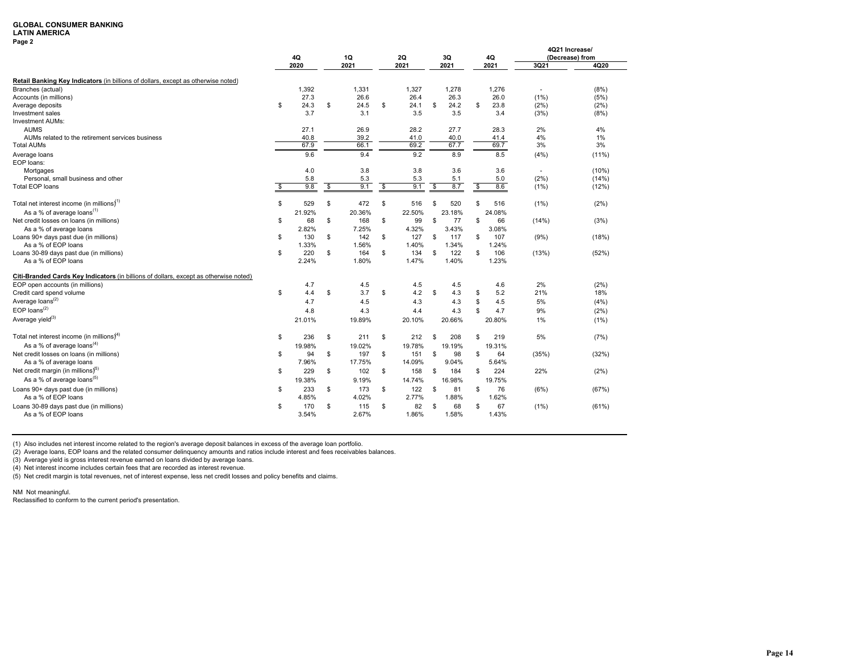### **LATIN AMERICA**

**Page 2**

|                                                                                       |    |            |          |            |                             |                   |          |            |     |            |                          | 4Q21 Increase/  |
|---------------------------------------------------------------------------------------|----|------------|----------|------------|-----------------------------|-------------------|----------|------------|-----|------------|--------------------------|-----------------|
|                                                                                       |    | 4Q<br>2020 |          | 1Q<br>2021 |                             | <b>2Q</b><br>2021 |          | 3Q<br>2021 |     | 4Q<br>2021 | 3Q21                     | (Decrease) from |
|                                                                                       |    |            |          |            |                             |                   |          |            |     |            |                          | 4Q20            |
| Retail Banking Key Indicators (in billions of dollars, except as otherwise noted)     |    |            |          |            |                             |                   |          |            |     |            |                          |                 |
| Branches (actual)                                                                     |    | 1,392      |          | 1,331      |                             | 1,327             |          | 1,278      |     | 1,276      | $\sim$                   | (8%)            |
| Accounts (in millions)                                                                |    | 27.3       |          | 26.6       |                             | 26.4              |          | 26.3       |     | 26.0       | $(1\%)$                  | (5%)            |
| Average deposits                                                                      | S  | 24.3       | \$       | 24.5       | \$                          | 24.1              | \$       | 24.2       | \$  | 23.8       | (2%)                     | (2%)            |
| Investment sales                                                                      |    | 3.7        |          | 3.1        |                             | 3.5               |          | 3.5        |     | 3.4        | (3%)                     | (8%)            |
| <b>Investment AUMs:</b>                                                               |    |            |          |            |                             |                   |          |            |     |            |                          |                 |
| <b>AUMS</b>                                                                           |    | 27.1       |          | 26.9       |                             | 28.2              |          | 27.7       |     | 28.3       | 2%                       | 4%              |
| AUMs related to the retirement services business                                      |    | 40.8       |          | 39.2       |                             | 41.0              |          | 40.0       |     | 41.4       | 4%                       | 1%              |
| <b>Total AUMs</b>                                                                     |    | 67.9       |          | 66.1       |                             | 69.2              |          | 67.7       |     | 69.7       | 3%                       | 3%              |
| Average loans                                                                         |    | 9.6        |          | 9.4        |                             | 9.2               |          | 8.9        |     | 8.5        | (4% )                    | (11%)           |
| EOP loans:                                                                            |    |            |          |            |                             |                   |          |            |     |            |                          |                 |
| Mortgages                                                                             |    | 4.0        |          | 3.8        |                             | 3.8               |          | 3.6        |     | 3.6        | $\overline{\phantom{a}}$ | (10%)           |
| Personal, small business and other                                                    |    | 5.8        |          | 5.3        |                             | 5.3               |          | 5.1        |     | 5.0        | (2%)                     | (14%)           |
| <b>Total EOP loans</b>                                                                | s, | 9.8        | <b>S</b> | 9.1        | $\boldsymbol{\hat{\theta}}$ | 9.1               | <b>S</b> | 8.7        | \$  | 8.6        | (1% )                    | (12%)           |
|                                                                                       |    |            |          |            |                             |                   |          |            |     |            |                          |                 |
| Total net interest income (in millions) <sup>1)</sup>                                 | \$ | 529        | \$       | 472        | \$                          | 516               | \$       | 520        | \$  | 516        | (1%)                     | (2%)            |
| As a % of average loans <sup>(1)</sup>                                                |    | 21.92%     |          | 20.36%     |                             | 22.50%            |          | 23.18%     |     | 24.08%     |                          |                 |
| Net credit losses on loans (in millions)                                              | \$ | 68         | \$       | 168        | \$                          | 99                | \$       | 77         | \$  | 66         | (14%)                    | (3%)            |
| As a % of average loans                                                               |    | 2.82%      |          | 7.25%      |                             | 4.32%             |          | 3.43%      |     | 3.08%      |                          |                 |
| Loans 90+ days past due (in millions)                                                 | \$ | 130        | \$       | 142        | \$                          | 127               | S        | 117        | \$  | 107        | (9% )                    | (18%)           |
| As a % of EOP loans                                                                   |    | 1.33%      |          | 1.56%      |                             | 1.40%             |          | 1.34%      |     | 1.24%      |                          |                 |
| Loans 30-89 days past due (in millions)                                               | \$ | 220        | \$       | 164        | \$                          | 134               | \$       | 122        | \$  | 106        | (13%)                    | (52%)           |
| As a % of EOP loans                                                                   |    | 2.24%      |          | 1.80%      |                             | 1.47%             |          | 1.40%      |     | 1.23%      |                          |                 |
| Citi-Branded Cards Key Indicators (in billions of dollars, except as otherwise noted) |    |            |          |            |                             |                   |          |            |     |            |                          |                 |
| EOP open accounts (in millions)                                                       |    | 4.7        |          | 4.5        |                             | 4.5               |          | 4.5        |     | 4.6        | 2%                       | (2%)            |
| Credit card spend volume                                                              | \$ | 4.4        | \$       | 3.7        | \$                          | 4.2               | S        | 4.3        | \$  | 5.2        | 21%                      | 18%             |
| Average loans <sup>(2)</sup>                                                          |    | 4.7        |          | 4.5        |                             | 4.3               |          | 4.3        | \$  | 4.5        | 5%                       | (4% )           |
| $EOP$ loans <sup>(2)</sup>                                                            |    | 4.8        |          | 4.3        |                             | 4.4               |          |            | \$  |            | 9%                       | (2%)            |
|                                                                                       |    |            |          |            |                             |                   |          | 4.3        |     | 4.7        |                          |                 |
| Average yield <sup>(3)</sup>                                                          |    | 21.01%     |          | 19.89%     |                             | 20.10%            |          | 20.66%     |     | 20.80%     | 1%                       | (1%)            |
| Total net interest income (in millions) <sup>4)</sup>                                 | S  | 236        | \$       | 211        | \$                          | 212               | \$       | 208        | \$  | 219        | 5%                       | (7%)            |
| As a % of average loans $^{(4)}$                                                      |    | 19.98%     |          | 19.02%     |                             | 19.78%            |          | 19.19%     |     | 19.31%     |                          |                 |
| Net credit losses on loans (in millions)                                              | S  | 94         | \$       | 197        | \$                          | 151               | S        | 98         | \$. | 64         | (35%)                    | (32%)           |
| As a % of average loans                                                               |    | 7.96%      |          | 17.75%     |                             | 14.09%            |          | 9.04%      |     | 5.64%      |                          |                 |
| Net credit margin (in millions) <sup>5)</sup>                                         | \$ | 229        | \$       | 102        | \$                          | 158               | S        | 184        | \$  | 224        | 22%                      | (2%)            |
| As a % of average loans <sup>(5)</sup>                                                |    |            |          |            |                             |                   |          |            |     |            |                          |                 |
|                                                                                       |    | 19.38%     |          | 9.19%      |                             | 14.74%            |          | 16.98%     |     | 19.75%     |                          |                 |
| Loans 90+ days past due (in millions)                                                 | \$ | 233        | \$       | 173        | \$                          | 122               | \$       | 81         | \$  | 76         | (6%)                     | (67%)           |
| As a % of EOP loans                                                                   |    | 4.85%      |          | 4.02%      |                             | 2.77%             |          | 1.88%      |     | 1.62%      |                          |                 |
| Loans 30-89 days past due (in millions)                                               | \$ | 170        | \$       | 115        | \$                          | 82                | S        | 68         | \$  | 67         | (1%)                     | (61%)           |
| As a % of EOP loans                                                                   |    | 3.54%      |          | 2.67%      |                             | 1.86%             |          | 1.58%      |     | 1.43%      |                          |                 |

(1) Also includes net interest income related to the region's average deposit balances in excess of the average loan portfolio.

(2) Average loans, EOP loans and the related consumer delinquency amounts and ratios include interest and fees receivables balances.

(3) Average yield is gross interest revenue earned on loans divided by average loans.

(4) Net interest income includes certain fees that are recorded as interest revenue.

(5) Net credit margin is total revenues, net of interest expense, less net credit losses and policy benefits and claims.

NM Not meaningful.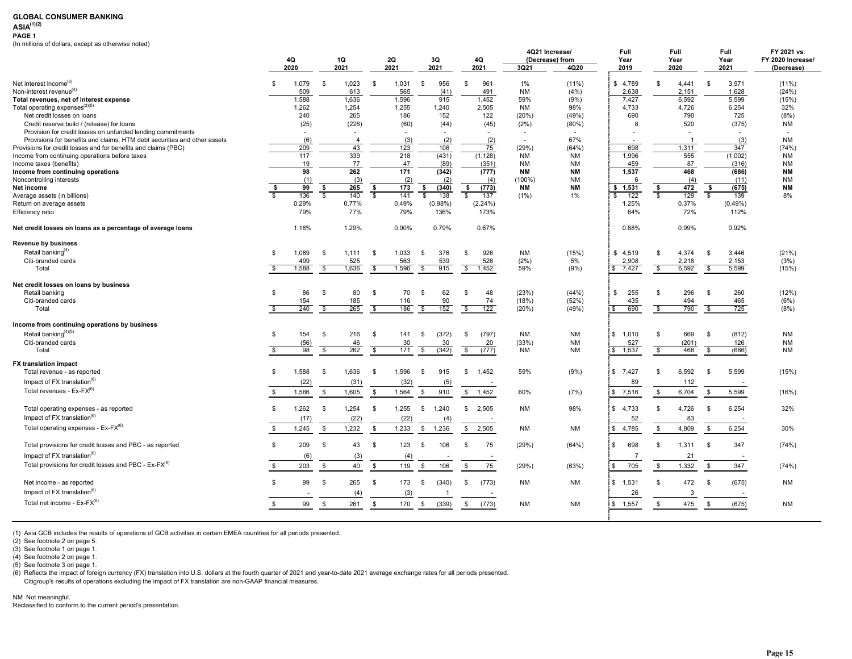## **ASIA(1)(2)**

**PAGE 1**

(In millions of dollars, except as otherwise noted)

|                                                                          |                          |                 |                                |                         |            |                           |                      |                        | 4Q21 Increase/         | Full                     |                         | Full           | Full                           | FY 2021 vs.       |
|--------------------------------------------------------------------------|--------------------------|-----------------|--------------------------------|-------------------------|------------|---------------------------|----------------------|------------------------|------------------------|--------------------------|-------------------------|----------------|--------------------------------|-------------------|
|                                                                          |                          | 4Q              | 1Q                             |                         | 2Q         | 3Q                        | 4Q                   |                        | (Decrease) from        | Year                     |                         | Year           | Year                           | FY 2020 Increase/ |
|                                                                          |                          | 2020            | 2021                           |                         | 2021       | 2021                      | 2021                 | 3Q21                   | 4Q20                   | 2019                     |                         | 2020           | 2021                           | (Decrease)        |
| Net interest income <sup>(3)</sup>                                       | -S                       | 1,079           | 1,023<br>\$                    | S.                      | 1,031      | 956<br>\$                 | 961<br>\$            | $1\%$                  | $(11\%)$               | \$4,789                  | \$                      | 4,441          | 3,971<br>-S                    | $(11\%)$          |
| Non-interest revenue <sup>(4)</sup>                                      |                          | 509             | 613                            |                         | 565        | (41)                      | 491                  | <b>NM</b>              | (4% )                  | 2,638                    |                         | 2,151          | 1,628                          | (24%)             |
| Total revenues, net of interest expense                                  |                          | 1,588           | 1,636                          |                         | 1,596      | 915                       | 1,452                | 59%                    | (9%)                   | 7,427                    |                         | 6,592          | 5,599                          | (15%)             |
| Total operating expenses <sup>(3)(5)</sup>                               |                          | 1,262           | 1,254                          |                         | 1,255      | 1,240                     | 2,505                | <b>NM</b>              | 98%                    | 4,733                    |                         | 4,726          | 6,254                          | 32%               |
| Net credit losses on loans                                               |                          | 240             | 265                            |                         | 186        | 152                       | 122                  | (20%)                  | (49%)                  | 690                      |                         | 790            | 725                            | (8%)              |
| Credit reserve build / (release) for loans                               |                          | (25)            | (226)                          |                         | (60)       | (44)                      | (45)                 | (2%)                   | (80%)                  | 8                        |                         | 520            | (375)                          | <b>NM</b>         |
| Provision for credit losses on unfunded lending commitments              |                          | $\mathbf{r}$    |                                |                         | $\sim$     |                           |                      |                        |                        |                          |                         |                |                                |                   |
| Provisions for benefits and claims, HTM debt securities and other assets |                          | (6)             | $\overline{4}$                 |                         | (3)        | (2)                       | (2)                  | $\sim$                 | 67%                    | $\overline{\phantom{a}}$ |                         | $\overline{1}$ | (3)                            | <b>NM</b>         |
| Provisions for credit losses and for benefits and claims (PBC)           |                          | 209             | 43                             |                         | 123        | 106                       | 75                   | (29%)                  | (64%)                  | 698                      |                         | 1,311          | 347                            | (74%)             |
| Income from continuing operations before taxes                           |                          | 117             | 339                            |                         | 218        | (431)                     | (1, 128)             | <b>NM</b>              | <b>NM</b>              | 1,996                    |                         | 555            | (1,002)                        | <b>NM</b>         |
| Income taxes (benefits)                                                  |                          | 19<br>98        | 77<br>262                      |                         | 47<br>171  | (89)                      | (351)                | NM                     | <b>NM</b>              | 459<br>1,537             |                         | 87<br>468      | (316)                          | <b>NM</b>         |
| Income from continuing operations<br>Noncontrolling interests            |                          | (1)             |                                |                         |            | (342)                     | (777)                | <b>NM</b><br>$(100\%)$ | <b>NM</b><br><b>NM</b> | 6                        |                         | (4)            | (686)<br>(11)                  | <b>NM</b><br>NM   |
| Net income                                                               | -\$                      | $\overline{99}$ | (3)<br>265<br>-\$              | \$                      | (2)<br>173 | (2)<br>(340)<br>\$        | (4)<br>(773)<br>- \$ | <b>NM</b>              | <b>NM</b>              | \$1,531                  | -\$                     | 472            | (675)<br>\$                    | <b>NM</b>         |
| Average assets (in billions)                                             | R                        | 136             | $\overline{\mathbf{s}}$<br>140 | $\mathbf{s}$            | 141        | $\mathbf{s}$<br>138       | ŝ,<br>137            | $(1\%)$                | 1%                     | 122<br>\$.               | $\overline{\mathbb{S}}$ | 129            | $\overline{\mathbf{s}}$<br>139 | 8%                |
| Return on average assets                                                 |                          | 0.29%           | 0.77%                          |                         | 0.49%      | $(0.98\%)$                | (2.24%)              |                        |                        | 1.25%                    |                         | 0.37%          | $(0.49\%)$                     |                   |
| Efficiency ratio                                                         |                          | 79%             | 77%                            |                         | 79%        | 136%                      | 173%                 |                        |                        | 64%                      |                         | 72%            | 112%                           |                   |
| Net credit losses on loans as a percentage of average loans              |                          | 1.16%           | 1.29%                          |                         | 0.90%      | 0.79%                     | 0.67%                |                        |                        | 0.88%                    |                         | 0.99%          | 0.92%                          |                   |
| <b>Revenue by business</b>                                               |                          |                 |                                |                         |            |                           |                      |                        |                        |                          |                         |                |                                |                   |
| Retail banking <sup>(4)</sup>                                            | - \$                     | 1,089           | \$<br>1.111                    | S.                      | 1,033      | 376<br>\$                 | 926<br>S             | <b>NM</b>              | (15%)                  | \$4,519                  | $\mathfrak{s}$          | 4,374          | 3,446<br>-S                    | (21%)             |
| Citi-branded cards                                                       |                          | 499             | 525                            |                         | 563        | 539                       | 526                  | (2%)                   | 5%                     | 2.908                    |                         | 2,218          | 2.153                          | (3%)              |
| Total                                                                    |                          | 1,588           | 1,636<br>$\mathbf{\hat{s}}$    | - \$                    | 1,596      | 915<br>$\mathbf{\hat{s}}$ | \$ 1,452             | 59%                    | (9%)                   | \$7,427                  | -S                      | 6,592          | 5,599<br>$\mathbf{s}$          | (15%)             |
| Net credit losses on loans by business                                   |                          |                 |                                |                         |            |                           |                      |                        |                        |                          |                         |                |                                |                   |
| Retail banking                                                           | -S                       | 86              | 80<br>- \$                     | -S                      | 70         | 62<br>\$                  | 48<br>S.             | (23%)                  | (44%)                  | \$<br>255                | \$.                     | 296            | 260<br>-S                      | (12%)             |
| Citi-branded cards                                                       |                          | 154             | 185                            |                         | 116        | 90                        | 74                   | (18%)                  | (52%)                  | 435                      |                         | 494            | 465                            | (6%)              |
| Total                                                                    | $\overline{\mathcal{S}}$ | 240             | 265<br>S,                      | $\overline{\mathbf{s}}$ | 186        | 152<br>\$                 | 122<br>\$            | (20%)                  | (49%)                  | 690<br>-\$               | -S                      | 790            | $\overline{\mathbf{s}}$<br>725 | (8%)              |
| Income from continuing operations by business                            |                          |                 |                                |                         |            |                           |                      |                        |                        |                          |                         |                |                                |                   |
| Retail banking <sup>(4)(5)</sup>                                         | $\mathbf{\hat{S}}$       | 154             | 216<br>- \$                    | - \$                    | 141        | (372)<br>\$               | (797)<br>S.          | <b>NM</b>              | <b>NM</b>              | 1.010<br>\$              | \$.                     | 669            | (812)<br>-S                    | <b>NM</b>         |
| Citi-branded cards                                                       |                          | (56)            | 46                             |                         | 30         | 30                        | 20                   | (33%)                  | <b>NM</b>              | 527                      |                         | (201)          | 126                            | <b>NM</b>         |
| Total                                                                    |                          | 98              | $\overline{\mathbf{s}}$<br>262 | S.                      | 171        | \$<br>(342)               | \$<br>(777)          | NM                     | <b>NM</b>              | 1,537<br>\$              | s.                      | 468            | \$<br>(686)                    | NM                |
| <b>FX translation impact</b>                                             | \$                       | 1,588           | 1,636                          |                         |            |                           |                      |                        |                        | \$7,427                  | \$.                     | 6,592          |                                |                   |
| Total revenue - as reported                                              |                          |                 | \$                             | $\mathfrak s$           | 1,596      | 915<br>\$                 | 1,452<br>\$          | 59%                    | (9%)                   |                          |                         |                | 5,599<br>- \$                  | (15%)             |
| Impact of $FX$ translation <sup>(6)</sup>                                |                          | (22)            | (31)                           |                         | (32)       | (5)                       | $\sim$               |                        |                        | 89                       |                         | 112            |                                |                   |
| Total revenues - Ex-FX <sup>(6)</sup>                                    | -\$                      | 1,566           | \$<br>1,605                    | \$                      | 1,564      | \$<br>910                 | 1,452<br>\$          | 60%                    | (7%)                   | \$7,516                  | $\mathbb{S}$            | 6,704          | \$<br>5,599                    | (16%)             |
| Total operating expenses - as reported                                   | \$                       | 1,262           | 1.254<br>- \$                  | \$                      | 1,255      | 1.240<br>\$               | 2.505<br>S.          | NM                     | 98%                    | 4.733<br>\$              | s.                      | 4.726          | 6,254<br>- \$                  | 32%               |
| Impact of FX translation <sup>(6)</sup>                                  |                          | (17)            | (22)                           |                         | (22)       | (4)                       |                      |                        |                        | 52                       |                         | 83             |                                |                   |
| Total operating expenses - $Ex-FX^{(6)}$                                 | \$                       | 1,245           | \$<br>1,232                    | \$                      | 1,233      | \$ 1,236                  | \$<br>2,505          | <b>NM</b>              | <b>NM</b>              | 4,785<br>$\mathbb{S}$    | $\mathbb{S}$            | 4,809          | \$<br>6,254                    | 30%               |
| Total provisions for credit losses and PBC - as reported                 | \$                       | 209             | \$<br>43                       | \$                      | 123        | 106<br>\$                 | 75<br>\$             | (29%)                  | (64%)                  | 698<br>\$                | \$                      | 1,311          | 347<br>- \$                    | (74%)             |
| Impact of FX translation <sup>(6)</sup>                                  |                          | (6)             | (3)                            |                         | (4)        |                           |                      |                        |                        | $\overline{7}$           |                         | 21             |                                |                   |
| Total provisions for credit losses and PBC - Ex-FX <sup>(6)</sup>        |                          |                 |                                |                         |            |                           |                      |                        |                        |                          |                         |                |                                |                   |
|                                                                          | \$                       | 203             | 40<br>\$                       | $\mathfrak s$           | 119        | 106<br>\$                 | 75<br>\$             | (29%)                  | (63%)                  | \$<br>705                | $\mathbb S$             | 1,332          | \$<br>347                      | (74%)             |
| Net income - as reported                                                 | $\mathbb{S}$             | 99              | 265<br>\$                      | - \$                    | 173        | (340)<br>\$               | (773)<br>\$          | <b>NM</b>              | <b>NM</b>              | 1,531<br>\$              | s.                      | 472            | (675)<br>- \$                  | <b>NM</b>         |
| Impact of FX translation <sup>(6)</sup>                                  |                          |                 | (4)                            |                         | (3)        |                           | $\sim$               |                        |                        | 26                       |                         | 3              | $\sim$                         |                   |
| Total net income - $Ex-FX^{(6)}$                                         | \$                       | 99              | \$<br>261                      | \$                      | 170        | (339)<br>$\mathbb{S}$     | - \$<br>(773)        | <b>NM</b>              | <b>NM</b>              | \$1,557                  | \$                      | 475            | \$<br>(675)                    | <b>NM</b>         |
|                                                                          |                          |                 |                                |                         |            |                           |                      |                        |                        |                          |                         |                |                                |                   |

(1) Asia GCB includes the results of operations of GCB activities in certain EMEA countries for all periods presented.

(3) See footnote 1 on page 1.

(4) See footnote 2 on page 1.

(5) See footnote 3 on page 1.

(6) Reflects the impact of foreign currency (FX) translation into U.S. dollars at the fourth quarter of 2021 and year-to-date 2021 average exchange rates for all periods presented.

Citigroup's results of operations excluding the impact of FX translation are non-GAAP financial measures.

#### NM Not meaningful.

<sup>(2)</sup> See footnote 2 on page 5.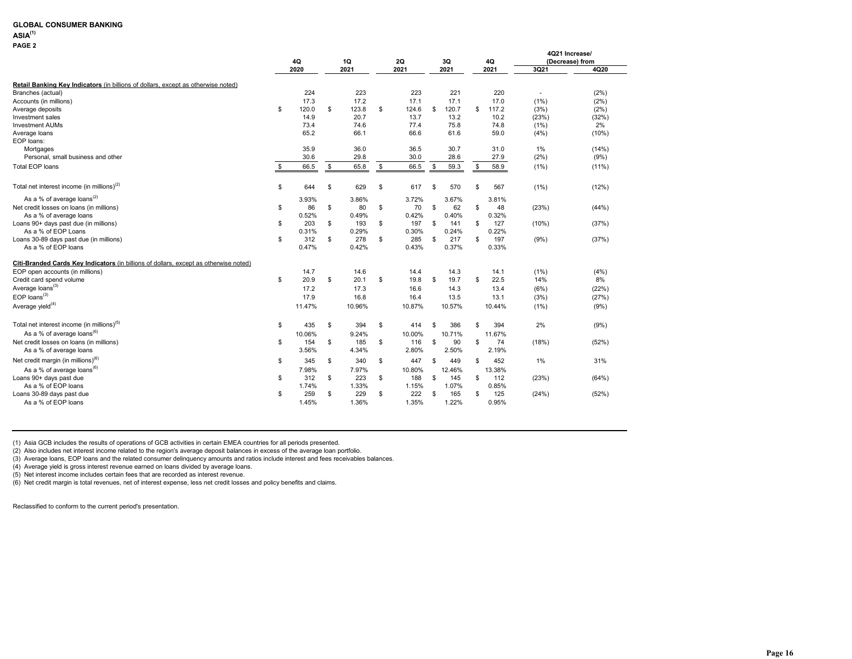### **ASIA(1)**

**PAGE 2**

|                                                                                       | 4Q  |        |    | 1Q     | 2Q          |     | 3Q     | 4Q          |         | 4Q21 Increase/<br>(Decrease) from |
|---------------------------------------------------------------------------------------|-----|--------|----|--------|-------------|-----|--------|-------------|---------|-----------------------------------|
|                                                                                       |     | 2020   |    | 2021   | 2021        |     | 2021   | 2021        | 3Q21    | 4Q20                              |
| Retail Banking Key Indicators (in billions of dollars, except as otherwise noted)     |     |        |    |        |             |     |        |             |         |                                   |
| Branches (actual)                                                                     |     | 224    |    | 223    | 223         |     | 221    | 220         | $\sim$  | (2%)                              |
| Accounts (in millions)                                                                |     | 17.3   |    | 17.2   | 17.1        |     | 17.1   | 17.0        | $(1\%)$ | (2%)                              |
| Average deposits                                                                      | s.  | 120.0  | \$ | 123.8  | \$<br>124.6 | \$  | 120.7  | \$<br>117.2 | (3%)    | (2%)                              |
| Investment sales                                                                      |     | 14.9   |    | 20.7   | 13.7        |     | 13.2   | 10.2        | (23%)   | (32%)                             |
| <b>Investment AUMs</b>                                                                |     | 73.4   |    | 74.6   | 77.4        |     | 75.8   | 74.8        | (1%)    | 2%                                |
| Average loans                                                                         |     | 65.2   |    | 66.1   | 66.6        |     | 61.6   | 59.0        | (4% )   | (10%)                             |
| EOP loans:                                                                            |     |        |    |        |             |     |        |             |         |                                   |
| Mortgages                                                                             |     | 35.9   |    | 36.0   | 36.5        |     | 30.7   | 31.0        | $1\%$   | (14% )                            |
| Personal, small business and other                                                    |     | 30.6   |    | 29.8   | 30.0        |     | 28.6   | 27.9        | (2%)    | (9%)                              |
| <b>Total EOP loans</b>                                                                | \$. | 66.5   | s. | 65.8   | \$<br>66.5  | \$  | 59.3   | \$<br>58.9  | $(1\%)$ | $(11\%)$                          |
|                                                                                       |     |        |    |        |             |     |        |             |         |                                   |
| Total net interest income (in millions) $(2)$                                         | \$  | 644    | S  | 629    | \$<br>617   | \$  | 570    | \$<br>567   | $(1\%)$ | (12%)                             |
| As a % of average loans <sup>(2)</sup>                                                |     | 3.93%  |    | 3.86%  | 3.72%       |     | 3.67%  | 3.81%       |         |                                   |
| Net credit losses on loans (in millions)                                              | \$  | 86     | \$ | 80     | \$<br>70    | \$  | 62     | \$<br>48    | (23%)   | (44%)                             |
| As a % of average loans                                                               |     | 0.52%  |    | 0.49%  | 0.42%       |     | 0.40%  | 0.32%       |         |                                   |
| Loans 90+ days past due (in millions)                                                 | \$  | 203    | \$ | 193    | \$<br>197   | \$  | 141    | \$<br>127   | (10%)   | (37%)                             |
| As a % of EOP Loans                                                                   |     | 0.31%  |    | 0.29%  | 0.30%       |     | 0.24%  | 0.22%       |         |                                   |
| Loans 30-89 days past due (in millions)                                               | \$  | 312    | \$ | 278    | \$<br>285   | \$  | 217    | \$<br>197   | (9% )   | (37%)                             |
| As a % of EOP loans                                                                   |     | 0.47%  |    | 0.42%  | 0.43%       |     | 0.37%  | 0.33%       |         |                                   |
| Citi-Branded Cards Key Indicators (in billions of dollars, except as otherwise noted) |     |        |    |        |             |     |        |             |         |                                   |
| EOP open accounts (in millions)                                                       |     | 14.7   |    | 14.6   | 14.4        |     | 14.3   | 14.1        | $(1\%)$ | (4% )                             |
| Credit card spend volume                                                              | \$  | 20.9   | \$ | 20.1   | \$<br>19.8  | \$  | 19.7   | \$<br>22.5  | 14%     | 8%                                |
| Average loans <sup>(3)</sup>                                                          |     | 17.2   |    | 17.3   | 16.6        |     | 14.3   | 13.4        | (6%)    | (22%)                             |
| $EOP$ loans <sup>(3)</sup>                                                            |     | 17.9   |    | 16.8   | 16.4        |     | 13.5   | 13.1        | (3%)    | (27%)                             |
| Average yield <sup>(4)</sup>                                                          |     | 11.47% |    | 10.96% | 10.87%      |     | 10.57% | 10.44%      | (1%)    | (9%)                              |
| Total net interest income (in millions) <sup>(5)</sup>                                | \$  | 435    | \$ | 394    | \$<br>414   | \$  | 386    | \$<br>394   | 2%      | (9% )                             |
| As a % of average loans <sup>(6)</sup>                                                |     | 10.06% |    | 9.24%  | 10.00%      |     | 10.71% | 11.67%      |         |                                   |
| Net credit losses on loans (in millions)                                              | \$  | 154    | \$ | 185    | \$<br>116   | \$  | 90     | \$<br>74    | (18%)   | (52%)                             |
| As a % of average loans                                                               |     | 3.56%  |    | 4.34%  | 2.80%       |     | 2.50%  | 2.19%       |         |                                   |
|                                                                                       |     |        |    |        |             |     |        |             |         |                                   |
| Net credit margin (in millions) <sup>(6)</sup>                                        | \$  | 345    | \$ | 340    | \$<br>447   | \$  | 449    | \$<br>452   | $1\%$   | 31%                               |
| As a % of average loans <sup><math>(6)</math></sup>                                   |     | 7.98%  |    | 7.97%  | 10.80%      |     | 12.46% | 13.38%      |         |                                   |
| Loans 90+ days past due                                                               | s.  | 312    | S  | 223    | \$<br>188   | \$. | 145    | \$<br>112   | (23%)   | (64%)                             |
| As a % of EOP loans                                                                   |     | 1.74%  |    | 1.33%  | 1.15%       |     | 1.07%  | 0.85%       |         |                                   |
| Loans 30-89 days past due                                                             | \$  | 259    | S  | 229    | \$<br>222   | \$  | 165    | \$<br>125   | (24%)   | (52%)                             |
| As a % of EOP loans                                                                   |     | 1.45%  |    | 1.36%  | 1.35%       |     | 1.22%  | 0.95%       |         |                                   |

(1) Asia GCB includes the results of operations of GCB activities in certain EMEA countries for all periods presented.

(2) Also includes net interest income related to the region's average deposit balances in excess of the average loan portfolio.

(3) Average loans, EOP loans and the related consumer delinquency amounts and ratios include interest and fees receivables balances.

(4) Average yield is gross interest revenue earned on loans divided by average loans.

(5) Net interest income includes certain fees that are recorded as interest revenue.

(6) Net credit margin is total revenues, net of interest expense, less net credit losses and policy benefits and claims.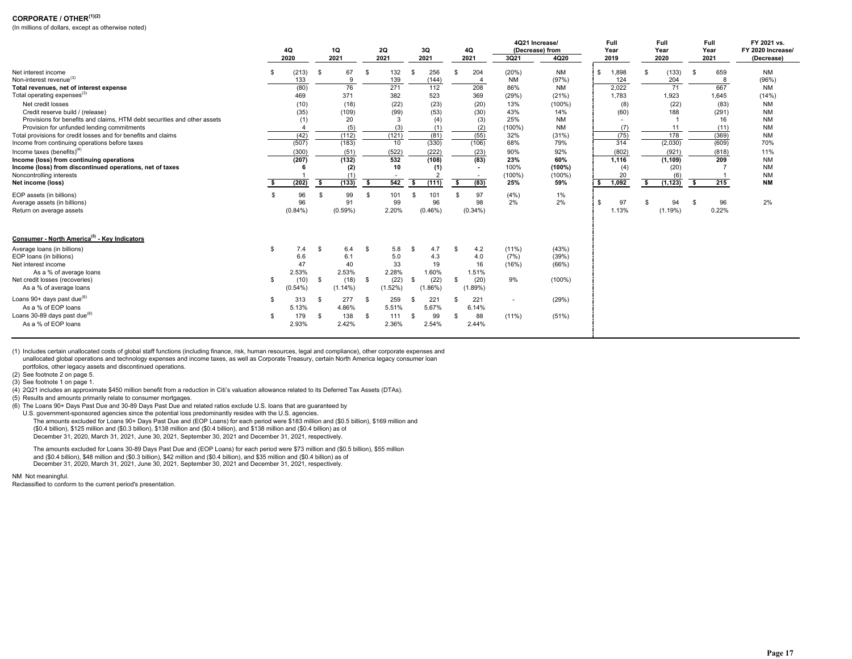### **CORPORATE / OTHER(1)(2)**

(In millions of dollars, except as otherwise noted)

|                                                                          |     |            |      |            |      |            | 4Q21 Increase/ |                  | Full |                          | Full                     |                 | Full | FY 2021 vs.              |    |          |      |       |                   |
|--------------------------------------------------------------------------|-----|------------|------|------------|------|------------|----------------|------------------|------|--------------------------|--------------------------|-----------------|------|--------------------------|----|----------|------|-------|-------------------|
|                                                                          |     | 4Q         |      | 1Q         |      | 2Q         |                | 3Q               |      | 4Q                       |                          | (Decrease) from |      | Year                     |    | Year     |      | Year  | FY 2020 Increase/ |
|                                                                          |     | 2020       |      | 2021       |      | 2021       |                | 2021             |      | 2021                     | 3Q21                     | 4Q20            |      | 2019                     |    | 2020     |      | 2021  | (Decrease)        |
| Net interest income                                                      |     | (213)      | -S   | 67         | - \$ | 132        | \$             | 256              |      | 204                      | (20%)                    | <b>NM</b>       |      | 1,898                    |    | (133)    | - \$ | 659   | <b>NM</b>         |
| Non-interest revenue <sup>(3)</sup>                                      |     | 133        |      | 9          |      | 139        |                | (144)            |      | $\overline{4}$           | <b>NM</b>                | (97%)           |      | 124                      |    | 204      |      | -8    | (96%)             |
| Total revenues, net of interest expense                                  |     | (80)       |      | 76         |      | 271        |                | $\overline{112}$ |      | 208                      | 86%                      | <b>NM</b>       |      | 2,022                    |    | 71       |      | 667   | <b>NM</b>         |
| Total operating expenses <sup>(3)</sup>                                  |     | 469        |      | 371        |      | 382        |                | 523              |      | 369                      | (29%)                    | (21%)           |      | 1,783                    |    | 1,923    |      | 1.645 | (14% )            |
| Net credit losses                                                        |     | (10)       |      | (18)       |      | (22)       |                | (23)             |      | (20)                     | 13%                      | $(100\%)$       |      | (8)                      |    | (22)     |      | (83)  | <b>NM</b>         |
| Credit reserve build / (release)                                         |     | (35)       |      | (109)      |      | (99)       |                | (53)             |      | (30)                     | 43%                      | 14%             |      | (60)                     |    | 188      |      | (291) | <b>NM</b>         |
| Provisions for benefits and claims. HTM debt securities and other assets |     | (1)        |      | 20         |      | 3          |                | (4)              |      | (3)                      | 25%                      | <b>NM</b>       |      | $\overline{\phantom{a}}$ |    |          |      | 16    | <b>NM</b>         |
| Provision for unfunded lending commitments                               |     |            |      | (5)        |      | (3)        |                | (1)              |      | (2)                      | $(100\%)$                | <b>NM</b>       |      | (7)                      |    | 11       |      | (11)  | <b>NM</b>         |
| Total provisions for credit losses and for benefits and claims           |     | (42)       |      | (112)      |      | (121)      |                | (81)             |      | (55)                     | 32%                      | (31%)           |      | (75)                     |    | 178      |      | (369) | <b>NM</b>         |
| Income from continuing operations before taxes                           |     | (507)      |      | (183)      |      | 10         |                | (330)            |      | (106)                    | 68%                      | 79%             |      | 314                      |    | (2,030)  |      | (609) | 70%               |
| Income taxes (benefits) $(4)$                                            |     | (300)      |      | (51)       |      | (522)      |                | (222)            |      | (23)                     | 90%                      | 92%             |      | (802)                    |    | (921)    |      | (818) | 11%               |
| Income (loss) from continuing operations                                 |     | (207)      |      | (132)      |      | 532        |                | (108)            |      | (83)                     | 23%                      | 60%             |      | 1,116                    |    | (1, 109) |      | 209   | <b>NM</b>         |
| Income (loss) from discontinued operations, net of taxes                 |     |            |      | (2)        |      | 10         |                | (1)              |      | $\overline{\phantom{a}}$ | 100%                     | $(100\%)$       |      | (4)                      |    | (20)     |      |       | <b>NM</b>         |
| Noncontrolling interests                                                 |     |            |      | (1)        |      |            |                |                  |      | $\overline{\phantom{a}}$ | $(100\%)$                | $(100\%)$       |      | 20                       |    | (6)      |      |       | <b>NM</b>         |
| Net income (loss)                                                        | -S  | (202)      | - \$ | (133)      | -S   | 542        | - \$           | (111)            | - \$ | (83)                     | 25%                      | 59%             | s.   | 1,092                    | s. | (1, 123) | s.   | 215   | <b>NM</b>         |
| EOP assets (in billions)                                                 |     | 96         |      | 99         | \$.  | 101        |                | 101              |      | 97                       | (4% )                    | $1\%$           |      |                          |    |          |      |       |                   |
| Average assets (in billions)                                             |     | 96         |      | 91         |      | 99         |                | 96               |      | 98                       | 2%                       | 2%              | -\$  | 97                       |    | 94       | - 35 | 96    | 2%                |
| Return on average assets                                                 |     | $(0.84\%)$ |      | (0.59%)    |      | 2.20%      |                | $(0.46\%)$       |      | $(0.34\%)$               |                          |                 |      | 1.13%                    |    | (1.19%)  |      | 0.22% |                   |
|                                                                          |     |            |      |            |      |            |                |                  |      |                          |                          |                 |      |                          |    |          |      |       |                   |
| Consumer - North America <sup>(5)</sup> - Key Indicators                 |     |            |      |            |      |            |                |                  |      |                          |                          |                 |      |                          |    |          |      |       |                   |
| Average loans (in billions)                                              |     | 7.4        | -S   | 6.4        | -\$  | 5.8        | -S             | 4.7              |      | 4.2                      | $(11\%)$                 | (43%)           |      |                          |    |          |      |       |                   |
| EOP loans (in billions)                                                  |     | 6.6        |      | 6.1        |      | 5.0        |                | 4.3              |      | 4.0                      | (7%)                     | (39%)           |      |                          |    |          |      |       |                   |
| Net interest income                                                      |     | 47         |      | 40         |      | 33         |                | 19               |      | 16                       | (16%)                    | (66%)           |      |                          |    |          |      |       |                   |
| As a % of average loans                                                  |     | 2.53%      |      | 2.53%      |      | 2.28%      |                | 1.60%            |      | 1.51%                    |                          |                 |      |                          |    |          |      |       |                   |
| Net credit losses (recoveries)                                           | \$. | (10)       | \$   | (18)       | -\$  | (22)       | \$.            | (22)             |      | (20)                     | 9%                       | $(100\%)$       |      |                          |    |          |      |       |                   |
| As a % of average loans                                                  |     | $(0.54\%)$ |      | $(1.14\%)$ |      | $(1.52\%)$ |                | $(1.86\%)$       |      | (1.89%)                  |                          |                 |      |                          |    |          |      |       |                   |
| Loans $90+$ days past due <sup>(6)</sup>                                 |     | 313        | -S   | 277        | -\$  | 259        | S              | 221              |      | 221                      | $\overline{\phantom{a}}$ | (29%)           |      |                          |    |          |      |       |                   |
| As a % of EOP loans                                                      |     | 5.13%      |      | 4.86%      |      | 5.51%      |                | 5.67%            |      | 6.14%                    |                          |                 |      |                          |    |          |      |       |                   |
| Loans 30-89 days past due $^{(6)}$                                       |     | 179        | -S   | 138        |      | 111        |                | 99               |      | 88                       | $(11\%)$                 | (51%)           |      |                          |    |          |      |       |                   |
| As a % of EOP loans                                                      |     | 2.93%      |      | 2.42%      |      | 2.36%      |                | 2.54%            |      | 2.44%                    |                          |                 |      |                          |    |          |      |       |                   |
|                                                                          |     |            |      |            |      |            |                |                  |      |                          |                          |                 |      |                          |    |          |      |       |                   |

(1) Includes certain unallocated costs of global staff functions (including finance, risk, human resources, legal and compliance), other corporate expenses and unallocated global operations and technology expenses and income taxes, as well as Corporate Treasury, certain North America legacy consumer loan portfolios, other legacy assets and discontinued operations.

(2) See footnote 2 on page 5.

(3) See footnote 1 on page 1.

(4) 2Q21 includes an approximate \$450 million benefit from a reduction in Citi's valuation allowance related to its Deferred Tax Assets (DTAs).

(5) Results and amounts primarily relate to consumer mortgages.

(6) The Loans 90+ Days Past Due and 30-89 Days Past Due and related ratios exclude U.S. loans that are guaranteed by

U.S. government-sponsored agencies since the potential loss predominantly resides with the U.S. agencies. The amounts excluded for Loans 90+ Days Past Due and (EOP Loans) for each period were \$183 million and (\$0.5 billion), \$169 million and (\$0.4 billion), \$125 million and (\$0.3 billion), \$138 million and (\$0.4 billion), and \$138 million and (\$0.4 billion) as of December 31, 2020, March 31, 2021, June 30, 2021, September 30, 2021 and December 31, 2021, respectively.

The amounts excluded for Loans 30-89 Days Past Due and (EOP Loans) for each period were \$73 million and (\$0.5 billion), \$55 million and (\$0.4 billion), \$48 million and (\$0.3 billion), \$42 million and (\$0.4 billion), and \$35 million and (\$0.4 billion) as of December 31, 2020, March 31, 2021, June 30, 2021, September 30, 2021 and December 31, 2021, respectively.

NM Not meaningful.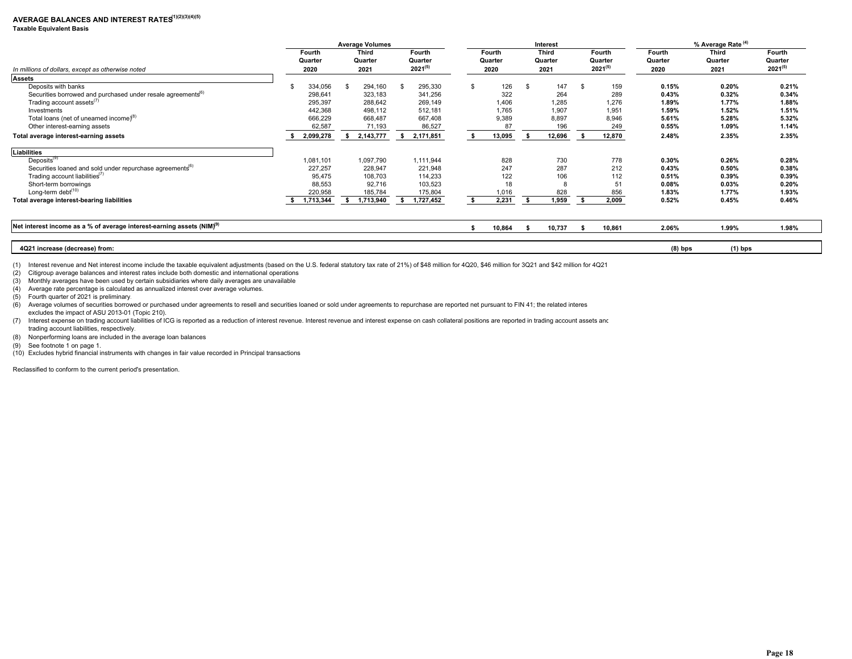# AVERAGE BALANCES AND INTEREST RATES<sup>1)(2)(3)(4)(5)</sub></sup>

#### **Taxable Equivalent Basis**

|                                                                           | <b>Average Volumes</b> |           |   |              |    |              |      |         |      | Interest     |      |              |           | % Average Rate <sup>(4)</sup> |              |
|---------------------------------------------------------------------------|------------------------|-----------|---|--------------|----|--------------|------|---------|------|--------------|------|--------------|-----------|-------------------------------|--------------|
|                                                                           |                        | Fourth    |   | <b>Third</b> |    | Fourth       |      | Fourth  |      | <b>Third</b> |      | Fourth       | Fourth    | <b>Third</b>                  | Fourth       |
|                                                                           |                        | Quarter   |   | Quarter      |    | Quarter      |      | Quarter |      | Quarter      |      | Quarter      | Quarter   | Quarter                       | Quarter      |
| In millions of dollars, except as otherwise noted                         |                        | 2020      |   | 2021         |    | $2021^{(5)}$ |      | 2020    |      | 2021         |      | $2021^{(5)}$ | 2020      | 2021                          | $2021^{(5)}$ |
| <b>Assets</b>                                                             |                        |           |   |              |    |              |      |         |      |              |      |              |           |                               |              |
| Deposits with banks                                                       |                        | 334,056   |   | 294,160      | S  | 295,330      |      | 126     | - 35 | 147          | \$   | 159          | 0.15%     | 0.20%                         | 0.21%        |
| Securities borrowed and purchased under resale agreements <sup>(b)</sup>  |                        | 298,641   |   | 323,183      |    | 341,256      |      | 322     |      | 264          |      | 289          | 0.43%     | 0.32%                         | 0.34%        |
| Trading account assets <sup>(7)</sup>                                     |                        | 295,397   |   | 288,642      |    | 269,149      |      | 1,406   |      | 1,285        |      | 1,276        | 1.89%     | 1.77%                         | 1.88%        |
| Investments                                                               |                        | 442,368   |   | 498,112      |    | 512,181      |      | 1,765   |      | 1,907        |      | 1,951        | 1.59%     | 1.52%                         | 1.51%        |
| Total loans (net of unearned income) <sup>(8)</sup>                       |                        | 666,229   |   | 668,487      |    | 667,408      |      | 9,389   |      | 8,897        |      | 8,946        | 5.61%     | 5.28%                         | 5.32%        |
| Other interest-earning assets                                             |                        | 62,587    |   | 71,193       |    | 86,527       |      | 87      |      | 196          |      | 249          | 0.55%     | 1.09%                         | 1.14%        |
| Total average interest-earning assets                                     |                        | 2,099,278 | s | 2,143,777    | s. | 2,171,851    | - \$ | 13,095  | - 55 | 12,696       | -S   | 12,870       | 2.48%     | 2.35%                         | 2.35%        |
| <b>Liabilities</b>                                                        |                        |           |   |              |    |              |      |         |      |              |      |              |           |                               |              |
| Deposits <sup>(9)</sup>                                                   |                        | 1,081,101 |   | 1,097,790    |    | 1,111,944    |      | 828     |      | 730          |      | 778          | 0.30%     | 0.26%                         | 0.28%        |
| Securities loaned and sold under repurchase agreements <sup>(b)</sup>     |                        | 227,257   |   | 228,947      |    | 221,948      |      | 247     |      | 287          |      | 212          | 0.43%     | 0.50%                         | 0.38%        |
| Trading account liabilities $(7)$                                         |                        | 95,475    |   | 108,703      |    | 114,233      |      | 122     |      | 106          |      | 112          | 0.51%     | 0.39%                         | 0.39%        |
| Short-term borrowings                                                     |                        | 88,553    |   | 92,716       |    | 103,523      |      | 18      |      |              |      | 51           | 0.08%     | 0.03%                         | 0.20%        |
| Long-term debt $(10)$                                                     |                        | 220,958   |   | 185,784      |    | 175,804      |      | 1,016   |      | 828          |      | 856          | 1.83%     | 1.77%                         | 1.93%        |
| Total average interest-bearing liabilities                                |                        | 1,713,344 |   | 1,713,940    |    | 1,727,452    | S.   | 2,231   |      | 1,959        |      | 2,009        | 0.52%     | 0.45%                         | 0.46%        |
|                                                                           |                        |           |   |              |    |              |      |         |      |              |      |              |           |                               |              |
| Net interest income as a % of average interest-earning assets $(NIM)^{9}$ |                        |           |   |              |    |              |      | 10,864  |      | 10,737       | - \$ | 10,861       | 2.06%     | 1.99%                         | 1.98%        |
|                                                                           |                        |           |   |              |    |              |      |         |      |              |      |              |           |                               |              |
| 4Q21 increase (decrease) from:                                            |                        |           |   |              |    |              |      |         |      |              |      |              | $(8)$ bps | $(1)$ bps                     |              |

(1) Interest revenue and Net interest income include the taxable equivalent adjustments (based on the U.S. federal statutory tax rate of 21%) of \$48 million for 4Q20, \$46 million for 3Q21 and \$42 million for 4Q21

(2) Citigroup average balances and interest rates include both domestic and international operations

(3) Monthly averages have been used by certain subsidiaries where daily averages are unavailable

(4) Average rate percentage is calculated as annualized interest over average volumes.

(5) Fourth quarter of 2021 is preliminary.

(6) Average volumes of securities borrowed or purchased under agreements to resell and securities loaned or sold under agreements to repurchase are reported net pursuant to FIN 41; the related interes excludes the impact of ASU 2013-01 (Topic 210).

(7) Interest expense on trading account liabilities of ICG is reported as a reduction of interest revenue. Interest revenue and interest expense on cash collateral positions are reported in trading account assets and trading account liabilities, respectively.

(8) Nonperforming loans are included in the average loan balances

(9) See footnote 1 on page 1.

(10) Excludes hybrid financial instruments with changes in fair value recorded in Principal transactions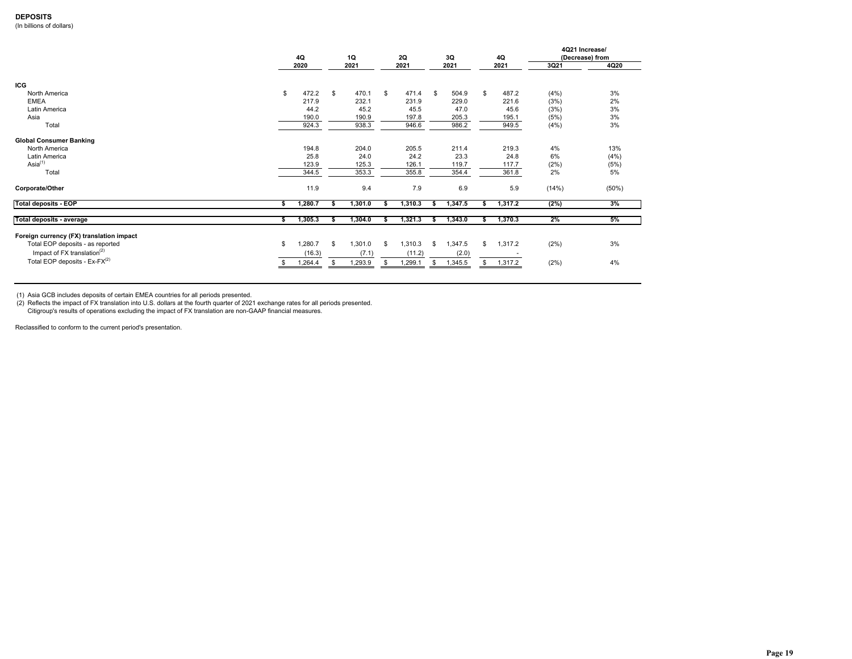### **DEPOSITS**

(In billions of dollars)

|                                          |    | 4Q<br>2020 | 1Q<br>2021    | 2Q<br>2021    | 3Q<br>2021    |   | 4Q<br>2021 | 3Q21  | 4Q21 Increase/<br>(Decrease) from<br>4Q20 |
|------------------------------------------|----|------------|---------------|---------------|---------------|---|------------|-------|-------------------------------------------|
| <b>ICG</b>                               |    |            |               |               |               |   |            |       |                                           |
| North America                            | \$ | 472.2      | \$<br>470.1   | \$<br>471.4   | \$<br>504.9   | S | 487.2      | (4% ) | 3%                                        |
| <b>EMEA</b>                              |    | 217.9      | 232.1         | 231.9         | 229.0         |   | 221.6      | (3%)  | 2%                                        |
| Latin America                            |    | 44.2       | 45.2          | 45.5          | 47.0          |   | 45.6       | (3%)  | 3%                                        |
| Asia                                     |    | 190.0      | 190.9         | 197.8         | 205.3         |   | 195.1      | (5%)  | 3%                                        |
| Total                                    |    | 924.3      | 938.3         | 946.6         | 986.2         |   | 949.5      | (4%)  | 3%                                        |
| <b>Global Consumer Banking</b>           |    |            |               |               |               |   |            |       |                                           |
| North America                            |    | 194.8      | 204.0         | 205.5         | 211.4         |   | 219.3      | 4%    | 13%                                       |
| Latin America                            |    | 25.8       | 24.0          | 24.2          | 23.3          |   | 24.8       | 6%    | (4% )                                     |
| Asia <sup>(1)</sup>                      |    | 123.9      | 125.3         | 126.1         | 119.7         |   | 117.7      | (2%)  | (5%)                                      |
| Total                                    |    | 344.5      | 353.3         | 355.8         | 354.4         |   | 361.8      | 2%    | 5%                                        |
| Corporate/Other                          |    | 11.9       | 9.4           | 7.9           | 6.9           |   | 5.9        | (14%) | (50%)                                     |
| <b>Total deposits - EOP</b>              |    | 1,280.7    | 1,301.0       | 1,310.3       | 1,347.5       |   | 1,317.2    | (2%)  | 3%                                        |
|                                          |    |            |               |               |               |   |            |       |                                           |
| Total deposits - average                 | s  | 1,305.3    | 1,304.0       | 1,321.3       | 1,343.0       |   | 1,370.3    | 2%    | 5%                                        |
| Foreign currency (FX) translation impact |    |            |               |               |               |   |            |       |                                           |
| Total EOP deposits - as reported         | \$ | .280.7     | \$<br>1,301.0 | \$<br>1,310.3 | \$<br>1,347.5 | S | 1,317.2    | (2%)  | 3%                                        |
| Impact of FX translation $(2)$           |    | (16.3)     | (7.1)         | (11.2)        | (2.0)         |   |            |       |                                           |
| Total EOP deposits - $Ex-FX^{(2)}$       |    | 1,264.4    | 1,293.9       | 1,299.1       | 1,345.5       |   | 1,317.2    | (2%)  | 4%                                        |
|                                          |    |            |               |               |               |   |            |       |                                           |

(1) Asia GCB includes deposits of certain EMEA countries for all periods presented. (2) Reflects the impact of FX translation into U.S. dollars at the fourth quarter of 2021 exchange rates for all periods presented. Citigroup's results of operations excluding the impact of FX translation are non-GAAP financial measures.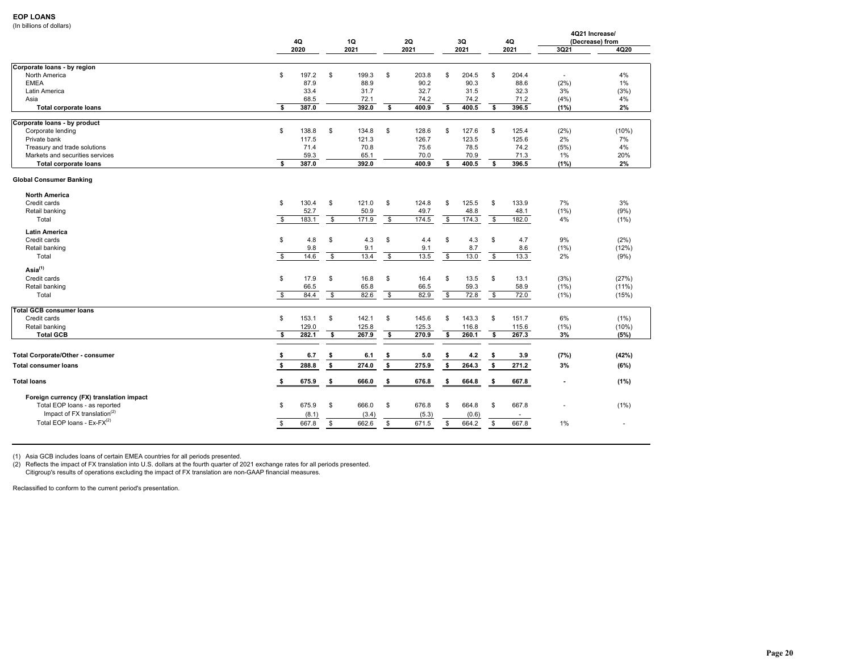### **EOP LOANS**

(In billions of dollars)

| $\mu$ and $\mu$ and $\mu$ and $\mu$      |                         | 4Q    |      | 1Q    |                         | 2Q    |              | 3Q    |                         | 4Q     |                          | 4Q21 Increase/<br>(Decrease) from |
|------------------------------------------|-------------------------|-------|------|-------|-------------------------|-------|--------------|-------|-------------------------|--------|--------------------------|-----------------------------------|
|                                          |                         | 2020  |      | 2021  |                         | 2021  |              | 2021  |                         | 2021   | 3Q21                     | 4Q20                              |
| Corporate loans - by region              |                         |       |      |       |                         |       |              |       |                         |        |                          |                                   |
| North America                            | \$                      | 197.2 | \$   | 199.3 | \$                      | 203.8 | \$           | 204.5 | \$                      | 204.4  | $\overline{\phantom{a}}$ | 4%                                |
| <b>EMEA</b>                              |                         | 87.9  |      | 88.9  |                         | 90.2  |              | 90.3  |                         | 88.6   | (2%)                     | 1%                                |
| Latin America                            |                         | 33.4  |      | 31.7  |                         | 32.7  |              | 31.5  |                         | 32.3   | 3%                       | (3%)                              |
| Asia                                     |                         | 68.5  |      | 72.1  |                         | 74.2  |              | 74.2  |                         | 71.2   | (4% )                    | 4%                                |
| <b>Total corporate loans</b>             | s.                      | 387.0 |      | 392.0 | \$                      | 400.9 | s            | 400.5 | \$                      | 396.5  | (1%)                     | 2%                                |
|                                          |                         |       |      |       |                         |       |              |       |                         |        |                          |                                   |
| Corporate loans - by product             |                         |       |      |       |                         |       |              |       |                         |        |                          |                                   |
| Corporate lending                        | S                       | 138.8 | \$   | 134.8 | \$                      | 128.6 | \$.          | 127.6 | \$                      | 125.4  | (2%)                     | (10%)                             |
| Private bank                             |                         | 117.5 |      | 121.3 |                         | 126.7 |              | 123.5 |                         | 125.6  | 2%                       | 7%                                |
| Treasury and trade solutions             |                         | 71.4  |      | 70.8  |                         | 75.6  |              | 78.5  |                         | 74.2   | (5%)                     | 4%                                |
| Markets and securities services          |                         | 59.3  |      | 65.1  |                         | 70.0  |              | 70.9  |                         | 71.3   | 1%                       | 20%                               |
| <b>Total corporate loans</b>             | s.                      | 387.0 |      | 392.0 |                         | 400.9 | s            | 400.5 | s                       | 396.5  | (1%)                     | 2%                                |
| <b>Global Consumer Banking</b>           |                         |       |      |       |                         |       |              |       |                         |        |                          |                                   |
| <b>North America</b>                     |                         |       |      |       |                         |       |              |       |                         |        |                          |                                   |
| Credit cards                             | \$                      | 130.4 | \$   | 121.0 | \$                      | 124.8 | \$           | 125.5 | \$                      | 133.9  | 7%                       | 3%                                |
| Retail banking                           |                         | 52.7  |      | 50.9  |                         | 49.7  |              | 48.8  |                         | 48.1   | $(1\%)$                  | (9%)                              |
| Total                                    | $\overline{\mathbf{s}}$ | 183.1 | $\$$ | 171.9 | $\mathbf{s}$            | 174.5 | \$           | 174.3 | \$                      | 182.0  | 4%                       | (1%)                              |
|                                          |                         |       |      |       |                         |       |              |       |                         |        |                          |                                   |
| <b>Latin America</b>                     |                         |       |      |       |                         |       |              |       |                         |        |                          |                                   |
| Credit cards                             | $\$$                    | 4.8   | \$   | 4.3   | S                       | 4.4   | \$           | 4.3   | \$                      | 4.7    | 9%                       | (2%)                              |
| Retail banking                           |                         | 9.8   |      | 9.1   |                         | 9.1   |              | 8.7   |                         | 8.6    | $(1\%)$                  | (12%)                             |
| Total                                    | $\overline{\mathbf{s}}$ | 14.6  | \$   | 13.4  | $\overline{\mathbf{s}}$ | 13.5  | $\mathbf{s}$ | 13.0  | $\overline{\mathbf{s}}$ | 13.3   | 2%                       | (9%)                              |
| Asia <sup>(1)</sup>                      |                         |       |      |       |                         |       |              |       |                         |        |                          |                                   |
| Credit cards                             | \$                      | 17.9  | \$   | 16.8  | \$                      | 16.4  | \$           | 13.5  | \$                      | 13.1   | (3%)                     | (27%)                             |
| Retail banking                           |                         | 66.5  |      | 65.8  |                         | 66.5  |              | 59.3  |                         | 58.9   | $(1\%)$                  | $(11\%)$                          |
| Total                                    | \$                      | 84.4  | \$   | 82.6  | $\overline{\mathbf{s}}$ | 82.9  | \$           | 72.8  | \$                      | 72.0   | $(1\%)$                  | (15%)                             |
|                                          |                         |       |      |       |                         |       |              |       |                         |        |                          |                                   |
| Total GCB consumer loans                 |                         |       |      |       |                         |       |              |       |                         |        |                          |                                   |
| Credit cards                             | S                       | 153.1 | \$   | 142.1 | S                       | 145.6 | \$           | 143.3 | \$                      | 151.7  | 6%                       | $(1\%)$                           |
| Retail banking                           |                         | 129.0 |      | 125.8 |                         | 125.3 |              | 116.8 |                         | 115.6  | $(1\%)$                  | (10%)                             |
| <b>Total GCB</b>                         | s                       | 282.1 | s    | 267.9 | \$                      | 270.9 | s            | 260.1 | s                       | 267.3  | 3%                       | (5%)                              |
|                                          |                         |       |      |       |                         |       |              |       |                         |        |                          |                                   |
| <b>Total Corporate/Other - consumer</b>  | \$                      | 6.7   | \$   | 6.1   | -\$                     | 5.0   | S.           | 4.2   | \$                      | 3.9    | (7%)                     | (42%)                             |
| <b>Total consumer loans</b>              | \$                      | 288.8 | \$   | 274.0 | \$                      | 275.9 | \$           | 264.3 | s.                      | 271.2  | 3%                       | (6%)                              |
| <b>Total loans</b>                       | \$                      | 675.9 | \$   | 666.0 | -\$                     | 676.8 | \$           | 664.8 | \$                      | 667.8  | ٠                        | (1%)                              |
| Foreign currency (FX) translation impact |                         |       |      |       |                         |       |              |       |                         |        |                          |                                   |
| Total EOP loans - as reported            | \$                      | 675.9 | \$   | 666.0 | \$                      | 676.8 | \$           | 664.8 | \$                      | 667.8  |                          | (1%)                              |
| Impact of FX translation $(2)$           |                         | (8.1) |      | (3.4) |                         | (5.3) |              | (0.6) |                         | $\sim$ |                          |                                   |
| Total EOP loans - $Ex-FX^{(2)}$          |                         |       |      |       |                         |       |              |       |                         |        |                          |                                   |
|                                          | \$                      | 667.8 | \$   | 662.6 | \$                      | 671.5 | \$           | 664.2 | \$                      | 667.8  | 1%                       | ٠                                 |

(1) Asia GCB includes loans of certain EMEA countries for all periods presented.

(2) Reflects the impact of FX translation into U.S. dollars at the fourth quarter of 2021 exchange rates for all periods presented.

Citigroup's results of operations excluding the impact of FX translation are non-GAAP financial measures.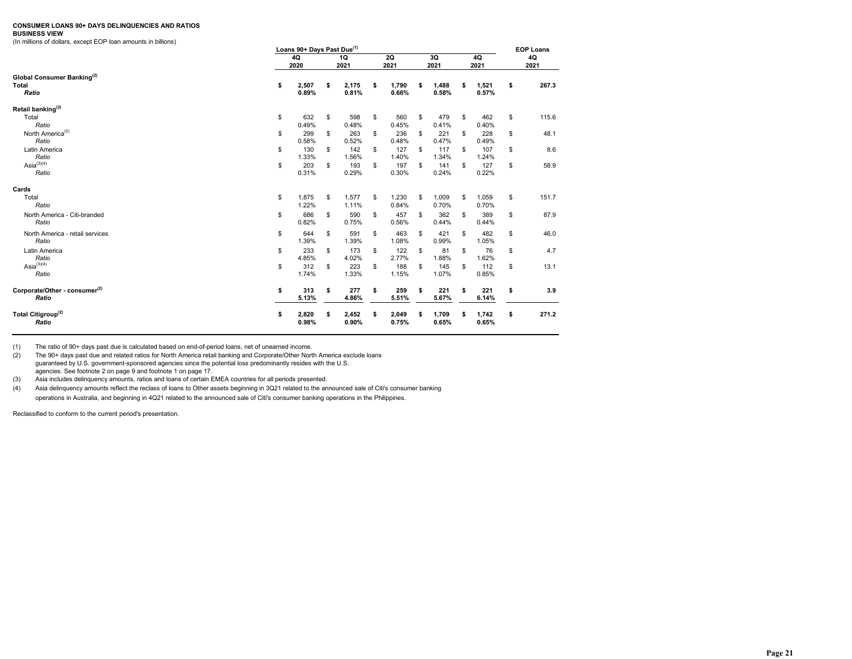#### **CONSUMER LOANS 90+ DAYS DELINQUENCIES AND RATIOS**

#### **BUSINESS VIEW**

(In millions of dollars, except EOP loan amounts in billions)

| Loans 90+ Days Past Due <sup>(1)</sup>                 |    |                |    |                |    |                   |    |                |            |                | <b>EOP Loans</b> |       |  |  |
|--------------------------------------------------------|----|----------------|----|----------------|----|-------------------|----|----------------|------------|----------------|------------------|-------|--|--|
|                                                        |    | 4Q<br>2020     |    |                |    | <b>2Q</b><br>2021 |    | 3Q<br>2021     | 4Q<br>2021 |                | 4Q<br>2021       |       |  |  |
| Global Consumer Banking <sup>(2)</sup><br><b>Total</b> | \$ | 2,507          | \$ | 2,175          | \$ | 1,790             | s  | 1,488          |            | 1,521          | \$               | 267.3 |  |  |
| Ratio                                                  |    | 0.89%          |    | 0.81%          |    | 0.66%             |    | 0.58%          |            | 0.57%          |                  |       |  |  |
| Retail banking <sup>(2)</sup>                          |    |                |    |                |    |                   |    |                |            |                |                  |       |  |  |
| Total<br>Ratio                                         | \$ | 632<br>0.49%   | \$ | 598<br>0.48%   | \$ | 560<br>0.45%      | \$ | 479<br>0.41%   | S          | 462<br>0.40%   | \$               | 115.6 |  |  |
| North America <sup>(2)</sup><br>Ratio                  | \$ | 299<br>0.58%   | \$ | 263<br>0.52%   | \$ | 236<br>0.48%      | \$ | 221<br>0.47%   | \$         | 228<br>0.49%   | \$               | 48.1  |  |  |
| Latin America<br>Ratio                                 | \$ | 130<br>1.33%   | \$ | 142<br>1.56%   | \$ | 127<br>1.40%      | \$ | 117<br>1.34%   | \$         | 107<br>1.24%   | \$               | 8.6   |  |  |
| $\text{Asia}^{(3)(4)}$<br>Ratio                        | \$ | 203<br>0.31%   | S  | 193<br>0.29%   | \$ | 197<br>0.30%      | \$ | 141<br>0.24%   | \$         | 127<br>0.22%   | \$               | 58.9  |  |  |
| Cards                                                  |    |                |    |                |    |                   |    |                |            |                |                  |       |  |  |
| Total<br>Ratio                                         | \$ | 1,875<br>1.22% | \$ | 1,577<br>1.11% | \$ | 1,230<br>0.84%    | \$ | 1,009<br>0.70% | S          | 1,059<br>0.70% | \$               | 151.7 |  |  |
| North America - Citi-branded<br>Ratio                  | \$ | 686<br>0.82%   | S  | 590<br>0.75%   | \$ | 457<br>0.56%      | \$ | 362<br>0.44%   | \$         | 389<br>0.44%   | \$               | 87.9  |  |  |
| North America - retail services<br>Ratio               | \$ | 644<br>1.39%   | S  | 591<br>1.39%   | \$ | 463<br>1.08%      | \$ | 421<br>0.99%   | \$         | 482<br>1.05%   | \$               | 46.0  |  |  |
| Latin America<br>Ratio                                 | \$ | 233<br>4.85%   | \$ | 173<br>4.02%   | \$ | 122<br>2.77%      | \$ | 81<br>1.88%    | \$         | 76<br>1.62%    | \$               | 4.7   |  |  |
| $Asia^{(3)(4)}$<br>Ratio                               | \$ | 312<br>1.74%   | S  | 223<br>1.33%   | \$ | 188<br>1.15%      | \$ | 145<br>1.07%   | \$         | 112<br>0.85%   | \$               | 13.1  |  |  |
| Corporate/Other - consumer <sup>(2)</sup><br>Ratio     | \$ | 313<br>5.13%   | \$ | 277<br>4.86%   | \$ | 259<br>5.51%      | \$ | 221<br>5.67%   |            | 221<br>6.14%   | \$               | 3.9   |  |  |
| Total Citigroup <sup>(2)</sup><br>Ratio                | \$ | 2,820<br>0.98% | Ŝ  | 2,452<br>0.90% | \$ | 2,049<br>0.75%    | S  | 1,709<br>0.65% |            | 1,742<br>0.65% | \$               | 271.2 |  |  |

(1) The ratio of 90+ days past due is calculated based on end-of-period loans, net of unearned income.

(2) The 90+ days past due and related ratios for North America retail banking and Corporate/Other North America exclude loans guaranteed by U.S. government-sponsored agencies since the potential loss predominantly resides with the U.S. agencies. See footnote 2 on page 9 and footnote 1 on page 17.

(3) Asia includes delinquency amounts, ratios and loans of certain EMEA countries for all periods presented.

(4) Asia delinquency amounts reflect the reclass of loans to Other assets beginning in 3Q21 related to the announced sale of Citi's consumer banking operations in Australia, and beginning in 4Q21 related to the announced sale of Citi's consumer banking operations in the Philippines.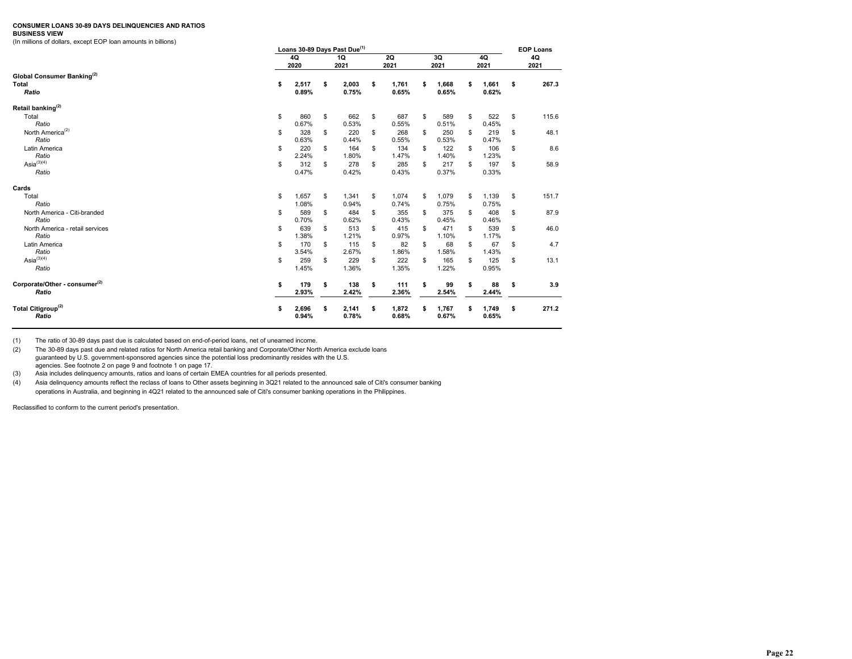#### **CONSUMER LOANS 30-89 DAYS DELINQUENCIES AND RATIOS**

#### **BUSINESS VIEW**

(In millions of dollars, except EOP loan amounts in billions)

|                                           |    | Loans 30-89 Days Past Due <sup>(1)</sup> |    |       |    |            |    |            |            |       | <b>EOP Loans</b> |       |  |
|-------------------------------------------|----|------------------------------------------|----|-------|----|------------|----|------------|------------|-------|------------------|-------|--|
|                                           |    | 4Q<br>2020                               |    |       |    | 2Q<br>2021 |    | 3Q<br>2021 | 4Q<br>2021 |       | 4Q<br>2021       |       |  |
| Global Consumer Banking <sup>(2)</sup>    |    |                                          |    |       |    |            |    |            |            |       |                  |       |  |
| <b>Total</b>                              | \$ | 2,517                                    | \$ | 2,003 | \$ | 1,761      | \$ | 1,668      | \$         | 1,661 | \$               | 267.3 |  |
| Ratio                                     |    | 0.89%                                    |    | 0.75% |    | 0.65%      |    | 0.65%      |            | 0.62% |                  |       |  |
| Retail banking <sup>(2)</sup>             |    |                                          |    |       |    |            |    |            |            |       |                  |       |  |
| Total                                     | \$ | 860                                      | \$ | 662   | \$ | 687        | \$ | 589        | \$         | 522   | \$               | 115.6 |  |
| Ratio                                     |    | 0.67%                                    |    | 0.53% |    | 0.55%      |    | 0.51%      |            | 0.45% |                  |       |  |
| North America <sup>(2)</sup>              | \$ | 328                                      | \$ | 220   | \$ | 268        | \$ | 250        | \$         | 219   | S                | 48.1  |  |
| Ratio                                     |    | 0.63%                                    |    | 0.44% |    | 0.55%      |    | 0.53%      |            | 0.47% |                  |       |  |
| Latin America                             | \$ | 220                                      | \$ | 164   | \$ | 134        | \$ | 122        | \$         | 106   | \$               | 8.6   |  |
| Ratio                                     |    | 2.24%                                    |    | 1.80% |    | 1.47%      |    | 1.40%      |            | 1.23% |                  |       |  |
| Asia $^{(3)(4)}$                          | \$ | 312                                      | \$ | 278   | \$ | 285        | \$ | 217        | \$         | 197   | \$               | 58.9  |  |
| Ratio                                     |    | 0.47%                                    |    | 0.42% |    | 0.43%      |    | 0.37%      |            | 0.33% |                  |       |  |
| Cards                                     |    |                                          |    |       |    |            |    |            |            |       |                  |       |  |
| Total                                     | \$ | 1,657                                    | \$ | 1,341 | \$ | 1,074      | \$ | 1,079      | \$         | 1,139 | \$               | 151.7 |  |
| Ratio                                     |    | 1.08%                                    |    | 0.94% |    | 0.74%      |    | 0.75%      |            | 0.75% |                  |       |  |
| North America - Citi-branded              | \$ | 589                                      | \$ | 484   | \$ | 355        | \$ | 375        | \$         | 408   | \$               | 87.9  |  |
| Ratio                                     |    | 0.70%                                    |    | 0.62% |    | 0.43%      |    | 0.45%      |            | 0.46% |                  |       |  |
| North America - retail services           | \$ | 639                                      | \$ | 513   | \$ | 415        | \$ | 471        | \$         | 539   | \$               | 46.0  |  |
| Ratio                                     |    | 1.38%                                    |    | 1.21% |    | 0.97%      |    | 1.10%      |            | 1.17% |                  |       |  |
| Latin America                             | \$ | 170                                      | \$ | 115   | \$ | 82         | \$ | 68         | \$         | 67    | \$               | 4.7   |  |
| Ratio                                     |    | 3.54%                                    |    | 2.67% |    | 1.86%      |    | 1.58%      |            | 1.43% |                  |       |  |
| Asia $^{(3)(4)}$                          | S  | 259                                      | \$ | 229   | \$ | 222        | \$ | 165        | \$         | 125   | S                | 13.1  |  |
| Ratio                                     |    | 1.45%                                    |    | 1.36% |    | 1.35%      |    | 1.22%      |            | 0.95% |                  |       |  |
| Corporate/Other - consumer <sup>(2)</sup> | \$ | 179                                      | \$ | 138   | \$ | 111        | \$ | 99         | \$         | 88    | \$               | 3.9   |  |
| Ratio                                     |    | 2.93%                                    |    | 2.42% |    | 2.36%      |    | 2.54%      |            | 2.44% |                  |       |  |
| Total Citigroup <sup>(2)</sup>            | s  | 2,696                                    | \$ | 2,141 | \$ | 1,872      |    | 1,767      |            | 1,749 | \$               | 271.2 |  |
| Ratio                                     |    | 0.94%                                    |    | 0.78% |    | 0.68%      |    | 0.67%      |            | 0.65% |                  |       |  |

(1) The ratio of 30-89 days past due is calculated based on end-of-period loans, net of unearned income.

(2) The 30-89 days past due and related ratios for North America retail banking and Corporate/Other North America exclude loans guaranteed by U.S. government-sponsored agencies since the potential loss predominantly resides with the U.S. agencies. See footnote 2 on page 9 and footnote 1 on page 17.

(3) Asia includes delinquency amounts, ratios and loans of certain EMEA countries for all periods presented.

(4) Asia delinquency amounts reflect the reclass of loans to Other assets beginning in 3Q21 related to the announced sale of Citi's consumer banking operations in Australia, and beginning in 4Q21 related to the announced sale of Citi's consumer banking operations in the Philippines.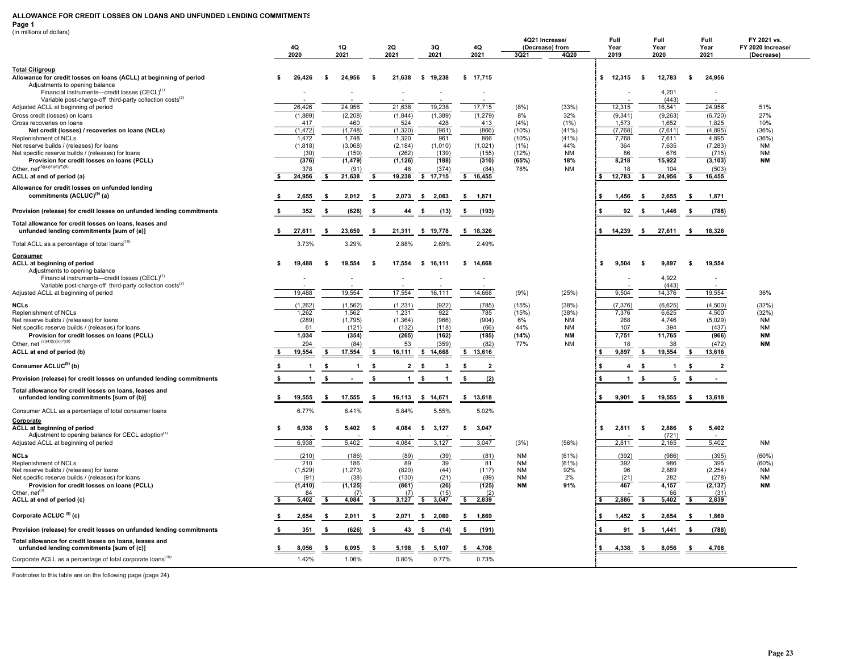#### **ALLOWANCE FOR CREDIT LOSSES ON LOANS AND UNFUNDED LENDING COMMITMENTS**

**Page 1**

| (In millions of dollars)                                                                             |      |                         |      |                          |      |                          |                      |                       |                 |                         |                 |                        |                                |                                  |
|------------------------------------------------------------------------------------------------------|------|-------------------------|------|--------------------------|------|--------------------------|----------------------|-----------------------|-----------------|-------------------------|-----------------|------------------------|--------------------------------|----------------------------------|
|                                                                                                      |      | 4Q                      |      | 1Q                       |      |                          | 3Q                   | 4Q                    |                 | 4Q21 Increase/          | Full            | Full                   | Full                           | FY 2021 vs.<br>FY 2020 Increase/ |
|                                                                                                      |      | 2020                    |      | 2021                     |      | 2Q<br>2021               | 2021                 | 2021                  | 3Q21            | (Decrease) from<br>4Q20 | Year<br>2019    | Year<br>2020           | Year<br>2021                   | (Decrease)                       |
|                                                                                                      |      |                         |      |                          |      |                          |                      |                       |                 |                         |                 |                        |                                |                                  |
| <b>Total Citigroup</b>                                                                               | \$   | 26,426                  |      | 24,956                   | - \$ | 21,638                   | \$19,238             | \$17,715              |                 |                         | \$ 12,315       | 12,783<br>- \$         | 24,956<br>\$                   |                                  |
| Allowance for credit losses on loans (ACLL) at beginning of period<br>Adjustments to opening balance |      |                         | -\$  |                          |      |                          |                      |                       |                 |                         |                 |                        |                                |                                  |
| Financial instruments-credit losses (CECL) <sup>(1)</sup>                                            |      |                         |      |                          |      |                          |                      |                       |                 |                         |                 | 4,201                  | $\overline{a}$                 |                                  |
| Variable post-charge-off third-party collection costs <sup>(2)</sup>                                 |      |                         |      |                          |      |                          |                      |                       |                 |                         |                 | (443)                  |                                |                                  |
| Adjusted ACLL at beginning of period                                                                 |      | 26,426                  |      | 24,956                   |      | 21,638                   | 19,238               | 17,715                | (8%)            | (33%)                   | 12,315          | 16,541                 | 24,956                         | 51%                              |
| Gross credit (losses) on loans                                                                       |      | (1,889)                 |      | (2, 208)                 |      | (1,844)                  | (1, 389)             | (1,279)               | 8%              | 32%                     | (9, 341)        | (9,263)                | (6, 720)                       | 27%                              |
| Gross recoveries on loans                                                                            |      | 417                     |      | 460                      |      | 524                      | 428                  | 413                   | (4% )           | (1%)                    | 1,573           | 1,652                  | 1,825                          | 10%                              |
| Net credit (losses) / recoveries on loans (NCLs)                                                     |      | (1, 472)                |      | (1,748)                  |      | (1,320)                  | (961)                | (866)                 | (10%)           | (41%)                   | (7, 768)        | (7,611)                | (4,895)                        | (36%)                            |
| Replenishment of NCLs                                                                                |      | 1,472                   |      | 1,748                    |      | 1,320                    | 961                  | 866                   | $(10\%)$        | (41%)                   | 7,768<br>364    | 7,611                  | 4,895                          | (36%)                            |
| Net reserve builds / (releases) for loans<br>Net specific reserve builds / (releases) for loans      |      | (1,818)<br>(30)         |      | (3,068)<br>(159)         |      | (2, 184)<br>(262)        | (1,010)<br>(139)     | (1,021)<br>(155)      | (1%)<br>(12%)   | 44%<br><b>NM</b>        | 86              | 7,635<br>676           | (7, 283)<br>(715)              | NM<br><b>NM</b>                  |
| Provision for credit losses on loans (PCLL)                                                          |      | (376)                   |      | (1, 479)                 |      | (1, 126)                 | (188)                | (310)                 | (65%)           | 18%                     | 8,218           | 15,922                 | (3, 103)                       | <b>NM</b>                        |
| Other, $net^{(3)(4)(5)(6)(7)(8)}$                                                                    |      | 378                     |      | (91)                     |      | 46                       | (374)                | (84)                  | 78%             | <b>NM</b>               | 18              | 104                    | (503)                          |                                  |
| ACLL at end of period (a)                                                                            | \$   | 24,956                  | \$   | 21,638                   | - \$ | 19,238                   | \$17,715             | \$16,455              |                 |                         | 12,783<br>s.    | \$<br>24,956           | - \$<br>16,455                 |                                  |
| Allowance for credit losses on unfunded lending                                                      |      |                         |      |                          |      |                          |                      |                       |                 |                         |                 |                        |                                |                                  |
| commitments (ACLUC) <sup>(9)</sup> (a)                                                               |      | 2,655                   | - \$ |                          | - \$ |                          |                      |                       |                 |                         | -S              | - \$                   |                                |                                  |
|                                                                                                      | -S   |                         |      | 2,012                    |      | 2,073                    | \$2,063              | \$ 1,871              |                 |                         | 1,456           | 2,655                  | 1,871<br>- \$                  |                                  |
| Provision (release) for credit losses on unfunded lending commitments                                |      | 352                     | -\$  | (626)                    |      | 44                       | - \$<br>(13)         | \$<br>(193)           |                 |                         | 92              | - \$<br>1,446          | (788)                          |                                  |
|                                                                                                      |      |                         |      |                          |      |                          |                      |                       |                 |                         |                 |                        |                                |                                  |
| Total allowance for credit losses on loans, leases and<br>unfunded lending commitments [sum of (a)]  | \$   | 27,611                  | -S   | 23,650                   | - \$ | 21,311                   | \$19,778             |                       |                 |                         | \$ 14,239       | $\mathbf{s}$<br>27,611 | 18,326<br>- \$                 |                                  |
|                                                                                                      |      |                         |      |                          |      |                          |                      | \$ 18,326             |                 |                         |                 |                        |                                |                                  |
| Total ACLL as a percentage of total loans <sup>(10)</sup>                                            |      | 3.73%                   |      | 3.29%                    |      | 2.88%                    | 2.69%                | 2.49%                 |                 |                         |                 |                        |                                |                                  |
| Consumer                                                                                             |      |                         |      |                          |      |                          |                      |                       |                 |                         |                 |                        |                                |                                  |
| ACLL at beginning of period                                                                          | \$   | 19,488                  | -\$  | 19,554                   | -S   | 17,554                   | \$16,111             | \$14,668              |                 |                         | 9,504<br>s.     | 9,897<br>-S            | 19,554<br>-\$                  |                                  |
| Adjustments to opening balance                                                                       |      |                         |      |                          |      |                          |                      |                       |                 |                         |                 |                        |                                |                                  |
| Financial instruments-credit losses (CECL) <sup>(1)</sup>                                            |      |                         |      | $\overline{\phantom{a}}$ |      | $\overline{\phantom{a}}$ | $\blacksquare$       | $\blacksquare$        |                 |                         |                 | 4,922                  | $\blacksquare$                 |                                  |
| Variable post-charge-off third-party collection costs <sup>(2)</sup>                                 |      |                         |      |                          |      |                          |                      |                       |                 |                         |                 | (443)                  |                                |                                  |
| Adjusted ACLL at beginning of period                                                                 |      | 19,488                  |      | 19,554                   |      | 17,554                   | 16,111               | 14,668                | (9%)            | (25%)                   | 9,504           | 14,376                 | 19,554                         | 36%                              |
| <b>NCLs</b>                                                                                          |      | (1,262)                 |      | (1, 562)                 |      | (1, 231)                 | (922)                | (785)                 | (15%)           | (38%)                   | (7, 376)        | (6,625)                | (4,500)                        | (32%)                            |
| Replenishment of NCLs                                                                                |      | 1,262                   |      | 1,562                    |      | 1,231                    | 922                  | 785                   | (15%)           | (38%)                   | 7,376           | 6,625                  | 4,500                          | (32%)                            |
| Net reserve builds / (releases) for loans                                                            |      | (289)                   |      | (1,795)                  |      | (1, 364)                 | (966)                | (904)                 | 6%              | NM                      | 268             | 4,746                  | (5,029)                        | <b>NM</b>                        |
| Net specific reserve builds / (releases) for loans                                                   |      | 61                      |      | (121)                    |      | (132)                    | (118)                | (66)                  | 44%             | <b>NM</b>               | 107             | 394                    | (437)                          | <b>NM</b>                        |
| Provision for credit losses on loans (PCLL)                                                          |      | 1,034                   |      | (354)                    |      | (265)                    | (162)                | (185)                 | (14%)           | <b>NM</b>               | 7,751           | 11,765                 | (966)                          | <b>NM</b>                        |
| Other, net $(3)(4)(5)(6)(7)(8)$                                                                      |      | 294                     |      | (84)                     |      | 53                       | (359)                | (82)                  | 77%             | <b>NM</b>               | 18              | 38                     | (472)                          | <b>NM</b>                        |
| ACLL at end of period (b)                                                                            | s.   | 19,554                  | s.   | 17,554                   | -\$  | 16,111                   | \$14,668             | \$ 13,616             |                 |                         | 9,897<br>\$     | 19,554<br>- \$         | - \$<br>13,616                 |                                  |
| Consumer ACLUC <sup>(9)</sup> (b)                                                                    |      | $\mathbf{1}$            | - \$ | $\mathbf{1}$             | - S  | $\overline{2}$           | $\mathbf{3}$<br>- \$ | -\$<br>$\overline{2}$ |                 |                         | 4               | -1<br>- 5              | $\overline{\mathbf{2}}$<br>- 5 |                                  |
|                                                                                                      |      |                         |      |                          |      |                          |                      |                       |                 |                         |                 |                        |                                |                                  |
| Provision (release) for credit losses on unfunded lending commitments                                | - \$ | $\overline{\mathbf{1}}$ | \$   |                          | ŝ.   | $\overline{1}$           | \$<br>$\overline{1}$ | \$<br>(2)             |                 |                         | $\mathbf{1}$    | -S<br>5                | \$                             |                                  |
| Total allowance for credit losses on loans, leases and                                               |      |                         |      |                          |      |                          |                      |                       |                 |                         |                 |                        |                                |                                  |
| unfunded lending commitments [sum of (b)]                                                            | - \$ | 19,555                  | - \$ | 17,555                   | - \$ | 16,113                   | \$14,671             | \$ 13,618             |                 |                         | $9,901$ \$<br>s | 19,555                 | 13,618<br>$\sim$               |                                  |
| Consumer ACLL as a percentage of total consumer loans                                                |      | 6.77%                   |      | 6.41%                    |      | 5.84%                    | 5.55%                | 5.02%                 |                 |                         |                 |                        |                                |                                  |
|                                                                                                      |      |                         |      |                          |      |                          |                      |                       |                 |                         |                 |                        |                                |                                  |
| Corporate<br>ACLL at beginning of period                                                             | - \$ | 6,938                   | -\$  | 5,402                    | -S   | 4,084                    | 3,127<br>\$          | 3,047<br>- \$         |                 |                         | 2,811<br>\$     | 2,886<br>- \$          | 5,402<br>s                     |                                  |
| Adjustment to opening balance for CECL adoption <sup>(1)</sup>                                       |      |                         |      |                          |      |                          |                      |                       |                 |                         |                 | (721)                  |                                |                                  |
| Adjusted ACLL at beginning of period                                                                 |      | 6,938                   |      | 5,402                    |      | 4,084                    | 3,127                | 3,047                 | (3%)            | (56%)                   | 2,811           | 2,165                  | 5,402                          | <b>NM</b>                        |
|                                                                                                      |      |                         |      |                          |      |                          |                      |                       |                 |                         |                 |                        |                                |                                  |
| <b>NCLs</b>                                                                                          |      | (210)                   |      | (186)                    |      | (89)                     | (39)                 | (81)                  | <b>NM</b>       | (61%)                   | (392)           | (986)                  | (395)                          | $(60\%)$                         |
| Replenishment of NCLs<br>Net reserve builds / (releases) for loans                                   |      | 210<br>(1,529)          |      | 186<br>(1, 273)          |      | 89<br>(820)              | 39<br>(44)           | 81<br>(117)           | NM<br><b>NM</b> | (61%)<br>92%            | 392<br>96       | 986<br>2,889           | 395<br>(2, 254)                | (60%)<br><b>NM</b>               |
| Net specific reserve builds / (releases) for loans                                                   |      | (91)                    |      | (38)                     |      | (130)                    | (21)                 | (89)                  | <b>NM</b>       | 2%                      | (21)            | 282                    | (278)                          | <b>NM</b>                        |
| Provision for credit losses on loans (PCLL)                                                          |      | (1, 410)                |      | (1, 125)                 |      | (861)                    | (26)                 | (125)                 | ΝM              | 91%                     | 467             | 4,157                  | (2, 137)                       | <b>NM</b>                        |
| Other, net <sup>(3</sup>                                                                             |      | 84                      |      | (7)                      |      | (7)                      | (15)                 | (2)                   |                 |                         |                 | 66                     | (31)                           |                                  |
| ACLL at end of period (c)                                                                            | \$   | 5,402                   | - S  | 4,084                    | - \$ | 3,127                    | \$<br>3,047          | \$<br>2,839           |                 |                         | 2,886           | - \$<br>5,402          | 2,839                          |                                  |
|                                                                                                      |      |                         |      |                          |      |                          |                      |                       |                 |                         |                 |                        |                                |                                  |
| Corporate ACLUC <sup>(9)</sup> (c)                                                                   | - \$ | 2,654                   | -\$  | 2,011                    | - \$ | 2,071                    | 2,060<br>- \$        | 1,869<br>- \$         |                 |                         | 1,452           | 2,654<br>- \$          | 1,869<br>- S                   |                                  |
| Provision (release) for credit losses on unfunded lending commitments                                |      | 351                     | \$   | (626)                    | - \$ | 43                       | (14)<br>- \$         | \$<br>(191)           |                 |                         | 91              | - \$<br>1,441          | (788)                          |                                  |
| Total allowance for credit losses on loans, leases and                                               |      |                         |      |                          |      |                          |                      |                       |                 |                         |                 |                        |                                |                                  |
| unfunded lending commitments [sum of (c)]                                                            | \$   | 8,056                   | -S   | 6,095                    | - \$ | 5,198                    | 5,107<br>- \$        | s.<br>4,708           |                 |                         | £.<br>4,338     | 8,056<br>- \$          | 4,708<br>- 5                   |                                  |
| Corporate ACLL as a percentage of total corporate loans <sup>(10)</sup>                              |      | 1.42%                   |      | 1.06%                    |      | 0.80%                    | 0.77%                | 0.73%                 |                 |                         |                 |                        |                                |                                  |
|                                                                                                      |      |                         |      |                          |      |                          |                      |                       |                 |                         |                 |                        |                                |                                  |

Footnotes to this table are on the following page (page 24).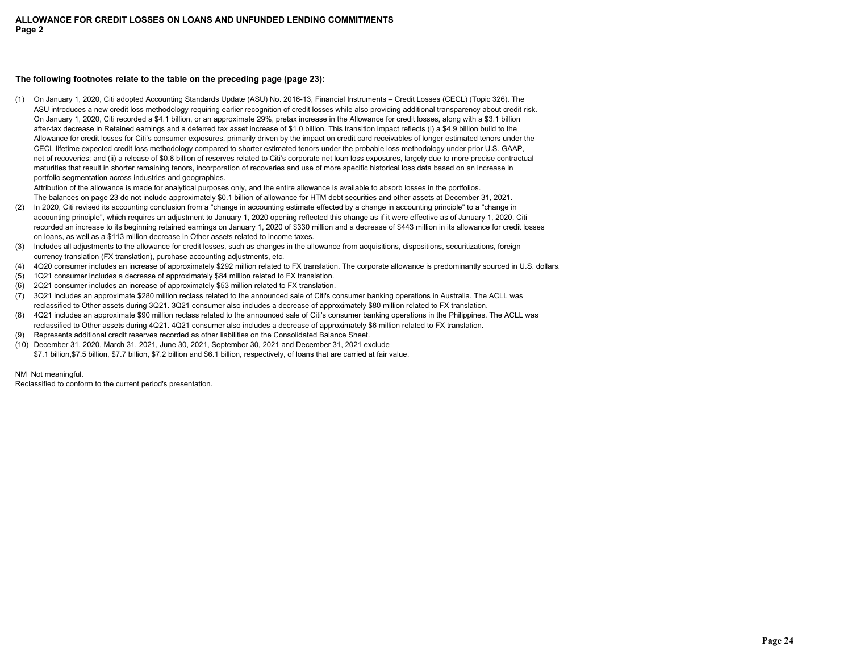# **The following footnotes relate to the table on the preceding page (page 23):**

(1) On January 1, 2020, Citi adopted Accounting Standards Update (ASU) No. 2016-13, Financial Instruments – Credit Losses (CECL) (Topic 326). The ASU introduces a new credit loss methodology requiring earlier recognition of credit losses while also providing additional transparency about credit risk. On January 1, 2020, Citi recorded a \$4.1 billion, or an approximate 29%, pretax increase in the Allowance for credit losses, along with a \$3.1 billion after-tax decrease in Retained earnings and a deferred tax asset increase of \$1.0 billion. This transition impact reflects (i) a \$4.9 billion build to the Allowance for credit losses for Citi's consumer exposures, primarily driven by the impact on credit card receivables of longer estimated tenors under the CECL lifetime expected credit loss methodology compared to shorter estimated tenors under the probable loss methodology under prior U.S. GAAP, net of recoveries; and (ii) a release of \$0.8 billion of reserves related to Citi's corporate net loan loss exposures, largely due to more precise contractual maturities that result in shorter remaining tenors, incorporation of recoveries and use of more specific historical loss data based on an increase in portfolio segmentation across industries and geographies.

Attribution of the allowance is made for analytical purposes only, and the entire allowance is available to absorb losses in the portfolios. The balances on page 23 do not include approximately \$0.1 billion of allowance for HTM debt securities and other assets at December 31, 2021.

- (2) In 2020, Citi revised its accounting conclusion from a "change in accounting estimate effected by a change in accounting principle" to a "change in accounting principle", which requires an adjustment to January 1, 2020 opening reflected this change as if it were effective as of January 1, 2020. Citi recorded an increase to its beginning retained earnings on January 1, 2020 of \$330 million and a decrease of \$443 million in its allowance for credit losses on loans, as well as a \$113 million decrease in Other assets related to income taxes.
- (3) Includes all adjustments to the allowance for credit losses, such as changes in the allowance from acquisitions, dispositions, securitizations, foreign currency translation (FX translation), purchase accounting adjustments, etc.
- (4) 4Q20 consumer includes an increase of approximately \$292 million related to FX translation. The corporate allowance is predominantly sourced in U.S. dollars.
- (5) 1Q21 consumer includes a decrease of approximately \$84 million related to FX translation.
- (6) 2Q21 consumer includes an increase of approximately \$53 million related to FX translation.
- (7) 3Q21 includes an approximate \$280 million reclass related to the announced sale of Citi's consumer banking operations in Australia. The ACLL was reclassified to Other assets during 3Q21. 3Q21 consumer also includes a decrease of approximately \$80 million related to FX translation.
- (8) 4Q21 includes an approximate \$90 million reclass related to the announced sale of Citi's consumer banking operations in the Philippines. The ACLL was reclassified to Other assets during 4Q21. 4Q21 consumer also includes a decrease of approximately \$6 million related to FX translation.
- (9) Represents additional credit reserves recorded as other liabilities on the Consolidated Balance Sheet.
- (10) December 31, 2020, March 31, 2021, June 30, 2021, September 30, 2021 and December 31, 2021 exclude \$7.1 billion,\$7.5 billion, \$7.7 billion, \$7.2 billion and \$6.1 billion, respectively, of loans that are carried at fair value.

NM Not meaningful.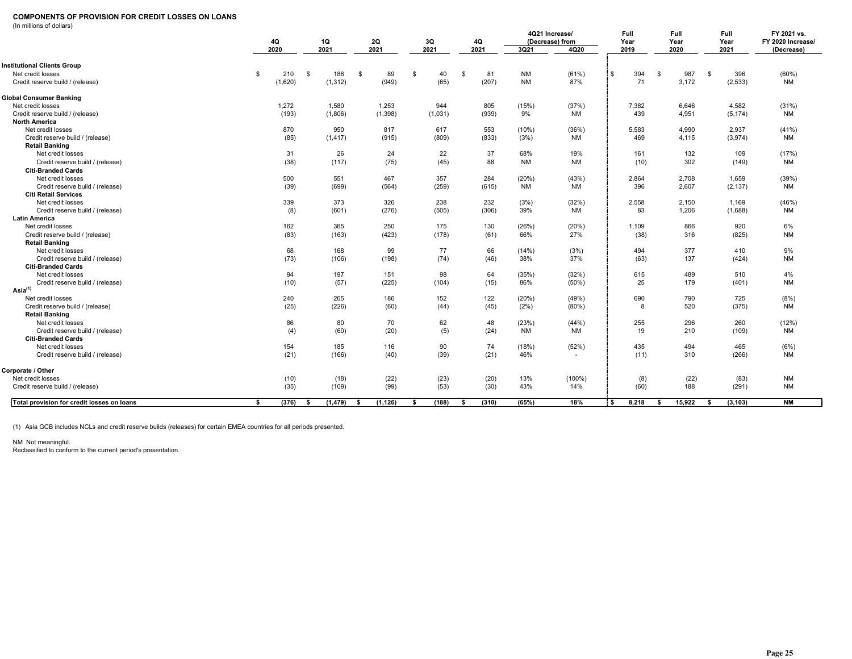### **COMPONENTS OF PROVISION FOR CREDIT LOSSES ON LOANS**

(In millions of dollars)

| (in millions of dollars)                                  | 4Q          |      | 1Q       |              | 2Q       |      | 3Q      |              | 4Q    |              | 4Q21 Increase/<br>(Decrease) from | Full<br>Year |          | Full<br>Year |    | <b>Full</b><br>Year | FY 2021 vs.<br>FY 2020 Increase/ |
|-----------------------------------------------------------|-------------|------|----------|--------------|----------|------|---------|--------------|-------|--------------|-----------------------------------|--------------|----------|--------------|----|---------------------|----------------------------------|
|                                                           | 2020        |      | 2021     |              | 2021     |      | 2021    |              | 2021  | 3Q21         | 4Q20                              | 2019         |          | 2020         |    | 2021                | (Decrease)                       |
| <b>Institutional Clients Group</b>                        |             |      |          |              |          |      |         |              |       |              |                                   |              |          |              |    |                     |                                  |
| Net credit losses                                         | \$<br>210   | S.   | 186      | $\mathbb{S}$ | 89       | \$   | 40      | $\mathbf{s}$ | 81    | <b>NM</b>    | (61%)                             | \$<br>394    | <b>S</b> | 987          | \$ | 396                 | (60%)                            |
| Credit reserve build / (release)                          | (1,620)     |      | (1, 312) |              | (949)    |      | (65)    |              | (207) | <b>NM</b>    | 87%                               | 71           |          | 3,172        |    | (2, 533)            | <b>NM</b>                        |
| Global Consumer Banking                                   |             |      |          |              |          |      |         |              |       |              |                                   |              |          |              |    |                     |                                  |
| Net credit losses                                         | 1,272       |      | 1,580    |              | 1,253    |      | 944     |              | 805   | (15%)        | (37%)                             | 7,382        |          | 6,646        |    | 4,582               | (31%)                            |
| Credit reserve build / (release)                          | (193)       |      | (1,806)  |              | (1, 398) |      | (1,031) |              | (939) | 9%           | <b>NM</b>                         | 439          |          | 4,951        |    | (5, 174)            | <b>NM</b>                        |
| <b>North America</b>                                      |             |      |          |              |          |      |         |              |       |              |                                   |              |          |              |    |                     |                                  |
| Net credit losses                                         | 870         |      | 950      |              | 817      |      | 617     |              | 553   | (10%)        | (36%)                             | 5,583        |          | 4,990        |    | 2,937               | (41%)                            |
| Credit reserve build / (release)                          | (85)        |      | (1, 417) |              | (915)    |      | (809)   |              | (833) | (3%)         | <b>NM</b>                         | 469          |          | 4,115        |    | (3,974)             | <b>NM</b>                        |
| <b>Retail Banking</b>                                     |             |      |          |              |          |      |         |              |       |              |                                   |              |          |              |    |                     |                                  |
| Net credit losses                                         | 31          |      | 26       |              | 24       |      | 22      |              | 37    | 68%          | 19%                               | 161          |          | 132          |    | 109                 | (17%)                            |
| Credit reserve build / (release)                          | (38)        |      | (117)    |              | (75)     |      | (45)    |              | 88    | <b>NM</b>    | <b>NM</b>                         | (10)         |          | 302          |    | (149)               | <b>NM</b>                        |
| <b>Citi-Branded Cards</b>                                 |             |      |          |              |          |      |         |              |       |              |                                   |              |          |              |    |                     |                                  |
| Net credit losses                                         | 500         |      | 551      |              | 467      |      | 357     |              | 284   | (20%)        | (43%)                             | 2,864        |          | 2,708        |    | 1,659               | (39%)                            |
| Credit reserve build / (release)                          | (39)        |      | (699)    |              | (564)    |      | (259)   |              | (615) | ΝM           | NM                                | 396          |          | 2,607        |    | (2, 137)            | NM                               |
| <b>Citi Retail Services</b>                               |             |      |          |              |          |      |         |              |       |              |                                   |              |          |              |    |                     |                                  |
| Net credit losses                                         | 339         |      | 373      |              | 326      |      | 238     |              | 232   | (3%)         | (32%)                             | 2,558        |          | 2,150        |    | 1,169               | (46%)                            |
| Credit reserve build / (release)                          |             | (8)  | (601)    |              | (276)    |      | (505)   |              | (306) | 39%          | <b>NM</b>                         | 83           |          | 1,206        |    | (1,688)             | <b>NM</b>                        |
| <b>Latin America</b>                                      |             |      |          |              |          |      |         |              |       |              |                                   |              |          |              |    |                     |                                  |
| Net credit losses                                         | 162         |      | 365      |              | 250      |      | 175     |              | 130   | (26%)<br>66% | (20%)<br>27%                      | 1,109        |          | 866<br>316   |    | 920                 | 6%<br><b>NM</b>                  |
| Credit reserve build / (release)<br><b>Retail Banking</b> | (83)        |      | (163)    |              | (423)    |      | (178)   |              | (61)  |              |                                   | (38)         |          |              |    | (825)               |                                  |
| Net credit losses                                         |             | 68   | 168      |              | 99       |      | 77      |              | 66    | (14%)        | (3%)                              | 494          |          | 377          |    | 410                 | 9%                               |
| Credit reserve build / (release)                          | (73)        |      | (106)    |              | (198)    |      | (74)    |              | (46)  | 38%          | 37%                               | (63)         |          | 137          |    | (424)               | <b>NM</b>                        |
| <b>Citi-Branded Cards</b>                                 |             |      |          |              |          |      |         |              |       |              |                                   |              |          |              |    |                     |                                  |
| Net credit losses                                         | 94          |      | 197      |              | 151      |      | 98      |              | 64    | (35%)        | (32%)                             | 615          |          | 489          |    | 510                 | 4%                               |
| Credit reserve build / (release)                          | (10)        |      | (57)     |              | (225)    |      | (104)   |              | (15)  | 86%          | (50%)                             | 25           |          | 179          |    | (401)               | <b>NM</b>                        |
| Asia <sup>(1)</sup>                                       |             |      |          |              |          |      |         |              |       |              |                                   |              |          |              |    |                     |                                  |
| Net credit losses                                         | 240         |      | 265      |              | 186      |      | 152     |              | 122   | (20%)        | (49%)                             | 690          |          | 790          |    | 725                 | (8%)                             |
| Credit reserve build / (release)                          | (25)        |      | (226)    |              | (60)     |      | (44)    |              | (45)  | (2%)         | $(80\%)$                          | 8            |          | 520          |    | (375)               | <b>NM</b>                        |
| <b>Retail Banking</b>                                     |             |      |          |              |          |      |         |              |       |              |                                   |              |          |              |    |                     |                                  |
| Net credit losses                                         |             | 86   | 80       |              | 70       |      | 62      |              | 48    | (23%)        | (44%)                             | 255          |          | 296          |    | 260                 | (12%)                            |
| Credit reserve build / (release)                          |             | (4)  | (60)     |              | (20)     |      | (5)     |              | (24)  | <b>NM</b>    | <b>NM</b>                         | 19           |          | 210          |    | (109)               | <b>NM</b>                        |
| <b>Citi-Branded Cards</b>                                 |             |      |          |              |          |      |         |              |       |              |                                   |              |          |              |    |                     |                                  |
| Net credit losses                                         | 154         |      | 185      |              | 116      |      | 90      |              | 74    | (18%)        | (52%)                             | 435          |          | 494          |    | 465                 | (6%)                             |
| Credit reserve build / (release)                          | (21)        |      | (166)    |              | (40)     |      | (39)    |              | (21)  | 46%          | $\sim$                            | (11)         |          | 310          |    | (266)               | NM                               |
| Corporate / Other                                         |             |      |          |              |          |      |         |              |       |              |                                   |              |          |              |    |                     |                                  |
| Net credit losses                                         | (10)        |      | (18)     |              | (22)     |      | (23)    |              | (20)  | 13%          | $(100\%)$                         | (8)          |          | (22)         |    | (83)                | <b>NM</b>                        |
| Credit reserve build / (release)                          | (35)        |      | (109)    |              | (99)     |      | (53)    |              | (30)  | 43%          | 14%                               | (60)         |          | 188          |    | (291)               | <b>NM</b>                        |
| Total provision for credit losses on loans                | (376)<br>S. | - \$ | (1, 479) | - \$         | (1, 126) | - \$ | (188)   | -S           | (310) | (65%)        | 18%                               | 8.218<br>Ŝ.  | - \$     | 15.922       | s. | (3, 103)            | <b>NM</b>                        |

(1) Asia GCB includes NCLs and credit reserve builds (releases) for certain EMEA countries for all periods presented.

NM Not meaningful. Reclassified to conform to the current period's presentation.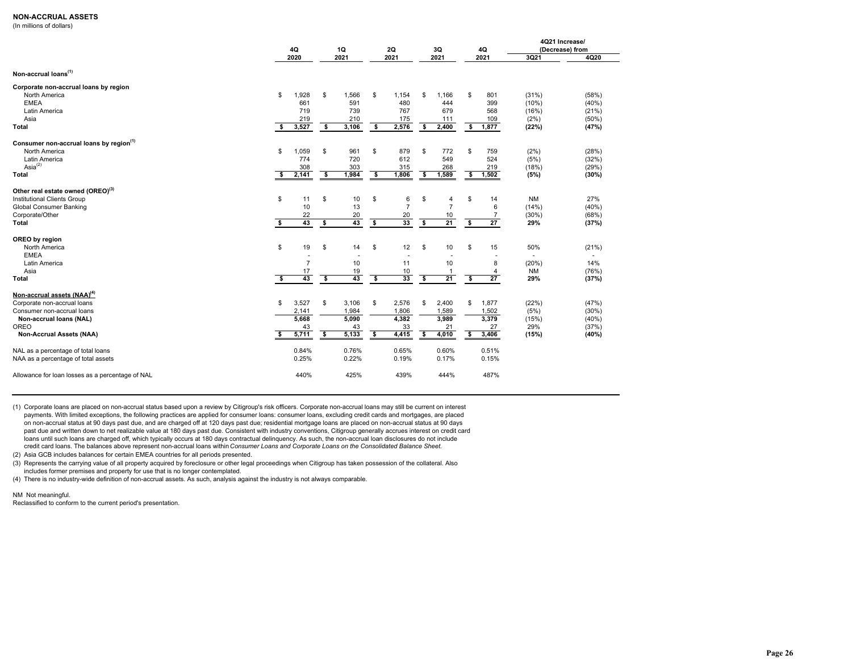### **NON-ACCRUAL ASSETS**

(In millions of dollars)

|                                                                              | 4Q                      |                | <b>1Q</b>               |                          |                         | <b>2Q</b>           |                         | 3Q                  |                         | 4Q      | 4Q21 Increase/<br>(Decrease) from |       |  |  |
|------------------------------------------------------------------------------|-------------------------|----------------|-------------------------|--------------------------|-------------------------|---------------------|-------------------------|---------------------|-------------------------|---------|-----------------------------------|-------|--|--|
|                                                                              |                         | 2020           |                         | 2021                     |                         | 2021                |                         | 2021                |                         | 2021    | 3Q21                              | 4Q20  |  |  |
| Non-accrual loans <sup>(1)</sup>                                             |                         |                |                         |                          |                         |                     |                         |                     |                         |         |                                   |       |  |  |
| Corporate non-accrual loans by region                                        |                         |                |                         |                          |                         |                     |                         |                     |                         |         |                                   |       |  |  |
| North America                                                                | \$                      | ,928<br>1      | \$                      | 1,566                    | \$                      | 1,154               | \$                      | 1,166               | \$                      | 801     | (31%)                             | (58%) |  |  |
| <b>EMEA</b>                                                                  |                         | 661            |                         | 591                      |                         | 480                 |                         | 444                 |                         | 399     | (10%)                             | (40%) |  |  |
| Latin America                                                                |                         | 719            |                         | 739                      |                         | 767                 |                         | 679                 |                         | 568     | (16%)                             | (21%) |  |  |
| Asia                                                                         |                         | 219            |                         | 210                      |                         | 175                 |                         | 111                 |                         | 109     | (2%)                              | (50%  |  |  |
| Total                                                                        | \$                      | 3,527          | \$                      | 3,106                    | \$                      | 2,576               | \$                      | 2,400               | \$                      | 1,877   | (22%)                             | (47%) |  |  |
| Consumer non-accrual loans by region <sup>(1)</sup>                          |                         |                |                         |                          |                         |                     |                         |                     |                         |         |                                   |       |  |  |
| North America                                                                | \$                      | 1,059          | \$                      | 961                      | \$                      | 879                 | \$                      | 772                 | \$                      | 759     | (2%)                              | (28%) |  |  |
| Latin America                                                                |                         | 774            |                         | 720                      |                         | 612                 |                         | 549                 |                         | 524     | (5%)                              | (32%) |  |  |
| Asia $^{(2)}$                                                                |                         | 308            |                         | 303                      |                         | 315                 |                         | 268                 |                         | 219     | (18%)                             | (29%) |  |  |
| <b>Total</b>                                                                 | $\overline{\bullet}$    | 2,141          | \$                      | 1,984                    | \$                      | 1,806               | $\overline{\bullet}$    | 1,589               | - \$                    | 1,502   | (5%)                              | (30%) |  |  |
|                                                                              |                         |                |                         |                          |                         |                     |                         |                     |                         |         |                                   |       |  |  |
| Other real estate owned (OREO) <sup>(3)</sup><br>Institutional Clients Group |                         |                |                         |                          |                         |                     |                         |                     |                         |         |                                   | 27%   |  |  |
| Global Consumer Banking                                                      | \$                      | 11<br>10       | \$                      | 10<br>13                 | \$                      | 6<br>$\overline{7}$ | \$                      | 4<br>$\overline{7}$ | \$                      | 14<br>6 | <b>NM</b><br>(14%)                | (40%  |  |  |
| Corporate/Other                                                              |                         | 22             |                         | 20                       |                         | 20                  |                         | $10\,$              |                         | 7       | (30%)                             | (68%) |  |  |
| Total                                                                        | $\overline{\mathbf{s}}$ | 43             | $\overline{\mathbf{s}}$ | 43                       | $\overline{\mathbf{s}}$ | 33                  | $\overline{\mathbf{s}}$ | 21                  | $\overline{\mathbf{s}}$ | 27      | 29%                               | (37%) |  |  |
|                                                                              |                         |                |                         |                          |                         |                     |                         |                     |                         |         |                                   |       |  |  |
| OREO by region                                                               |                         |                |                         |                          |                         |                     |                         |                     |                         |         |                                   |       |  |  |
| North America                                                                | \$                      | 19             | \$                      | 14                       | \$                      | 12                  | \$                      | 10                  | \$                      | 15      | 50%                               | (21%) |  |  |
| <b>EMEA</b>                                                                  |                         | ٠              |                         | $\overline{\phantom{a}}$ |                         |                     |                         | $\blacksquare$      |                         |         | $\overline{\phantom{a}}$          |       |  |  |
| Latin America                                                                |                         | $\overline{7}$ |                         | 10                       |                         | 11                  |                         | 10                  |                         | 8       | (20%)                             | 14%   |  |  |
| Asia                                                                         |                         | 17             |                         | 19                       |                         | 10                  |                         | $\mathbf{1}$        |                         | 4       | <b>NM</b>                         | (76%) |  |  |
| <b>Total</b>                                                                 | $\overline{\mathbf{s}}$ | 43             | s                       | 43                       | $\overline{\mathbf{s}}$ | 33                  | $\overline{\bullet}$    | 21                  | $\overline{\mathbf{s}}$ | 27      | 29%                               | (37%) |  |  |
| Non-accrual assets (NAA) <sup>(4)</sup>                                      |                         |                |                         |                          |                         |                     |                         |                     |                         |         |                                   |       |  |  |
| Corporate non-accrual loans                                                  | \$                      | 3,527          | \$                      | 3,106                    | \$                      | 2,576               | \$                      | 2,400               | \$                      | 1,877   | (22%)                             | (47%) |  |  |
| Consumer non-accrual loans                                                   |                         | 2,141          |                         | 1,984                    |                         | 1,806               |                         | 1,589               |                         | 1,502   | (5%)                              | (30%) |  |  |
| Non-accrual loans (NAL)                                                      |                         | 5,668          |                         | 5,090                    |                         | 4,382               |                         | 3,989               |                         | 3,379   | (15%)                             | (40%  |  |  |
| OREO                                                                         |                         | 43             |                         | 43                       |                         | 33                  |                         | 21                  |                         | 27      | 29%                               | (37%) |  |  |
| <b>Non-Accrual Assets (NAA)</b>                                              | s.                      | 5,711          | S.                      | 5,133                    | s.                      | 4,415               | S.                      | 4,010               | \$                      | 3,406   | (15%)                             | (40%) |  |  |
| NAL as a percentage of total loans                                           |                         | 0.84%          |                         | 0.76%                    |                         | 0.65%               |                         | 0.60%               |                         | 0.51%   |                                   |       |  |  |
| NAA as a percentage of total assets                                          |                         | 0.25%          |                         | 0.22%                    |                         | 0.19%               |                         | 0.17%               |                         | 0.15%   |                                   |       |  |  |
|                                                                              |                         |                |                         |                          |                         |                     |                         |                     |                         |         |                                   |       |  |  |
| Allowance for loan losses as a percentage of NAL                             |                         | 440%           |                         | 425%                     |                         | 439%                |                         | 444%                |                         | 487%    |                                   |       |  |  |

(1) Corporate loans are placed on non-accrual status based upon a review by Citigroup's risk officers. Corporate non-accrual loans may still be current on interest payments. With limited exceptions, the following practices are applied for consumer loans: consumer loans, excluding credit cards and mortgages, are placed on non-accrual status at 90 days past due, and are charged off at 120 days past due; residential mortgage loans are placed on non-accrual status at 90 days past due and written down to net realizable value at 180 days past due. Consistent with industry conventions, Citigroup generally accrues interest on credit card loans until such loans are charged off, which typically occurs at 180 days contractual delinquency. As such, the non-accrual loan disclosures do not include credit card loans. The balances above represent non-accrual loans within *Consumer Loans and Corporate Loans on the Consolidated Balance Sheet.* 

(2) Asia GCB includes balances for certain EMEA countries for all periods presented.

(3) Represents the carrying value of all property acquired by foreclosure or other legal proceedings when Citigroup has taken possession of the collateral. Also includes former premises and property for use that is no longer contemplated.

(4) There is no industry-wide definition of non-accrual assets. As such, analysis against the industry is not always comparable.

NM Not meaningful.